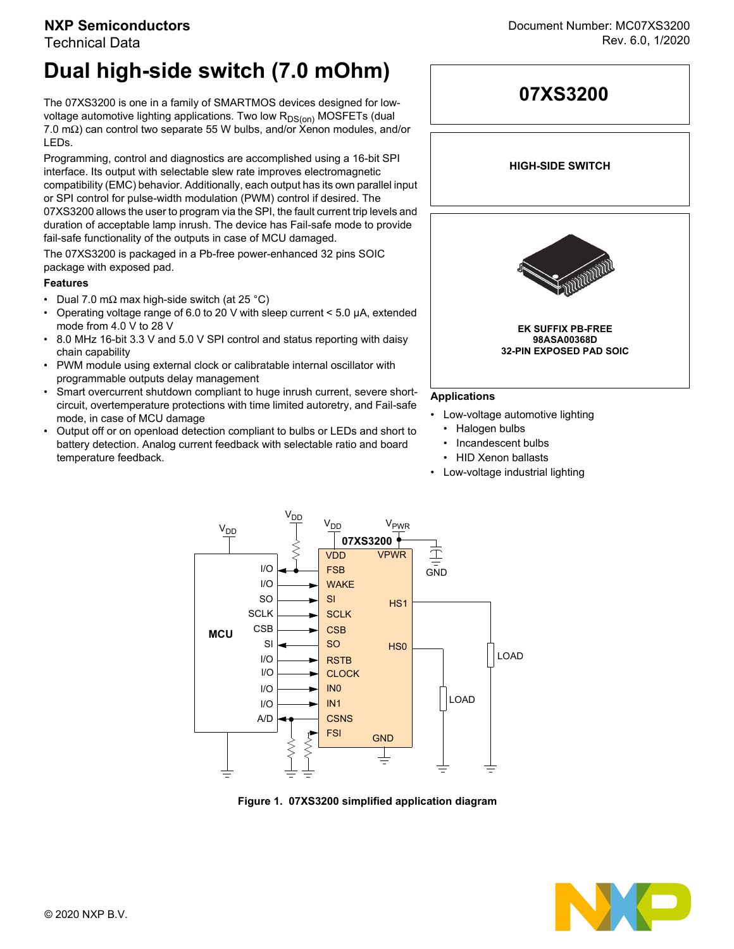### **NXP Semiconductors**

### Technical Data

# **Dual high-side switch (7.0 mOhm)**

The 07XS3200 is one in a family of SMARTMOS devices designed for lowvoltage automotive lighting applications. Two low  $R_{DS(on)}$  MOSFETs (dual 7.0 mΩ) can control two separate 55 W bulbs, and/or Xenon modules, and/or LEDs.

Programming, control and diagnostics are accomplished using a 16-bit SPI interface. Its output with selectable slew rate improves electromagnetic compatibility (EMC) behavior. Additionally, each output has its own parallel input or SPI control for pulse-width modulation (PWM) control if desired. The 07XS3200 allows the user to program via the SPI, the fault current trip levels and duration of acceptable lamp inrush. The device has Fail-safe mode to provide fail-safe functionality of the outputs in case of MCU damaged.

The 07XS3200 is packaged in a Pb-free power-enhanced 32 pins SOIC package with exposed pad.

### **Features**

- Dual 7.0 m $\Omega$  max high-side switch (at 25 °C)
- Operating voltage range of 6.0 to 20 V with sleep current < 5.0 µA, extended mode from 4.0 V to 28 V
- 8.0 MHz 16-bit 3.3 V and 5.0 V SPI control and status reporting with daisy chain capability
- PWM module using external clock or calibratable internal oscillator with programmable outputs delay management
- Smart overcurrent shutdown compliant to huge inrush current, severe shortcircuit, overtemperature protections with time limited autoretry, and Fail-safe mode, in case of MCU damage
- Output off or on openload detection compliant to bulbs or LEDs and short to battery detection. Analog current feedback with selectable ratio and board temperature feedback.



- Low-voltage automotive lighting
	- Halogen bulbs
	- Incandescent bulbs
	- HID Xenon ballasts
- Low-voltage industrial lighting



**Figure 1. 07XS3200 simplified application diagram**

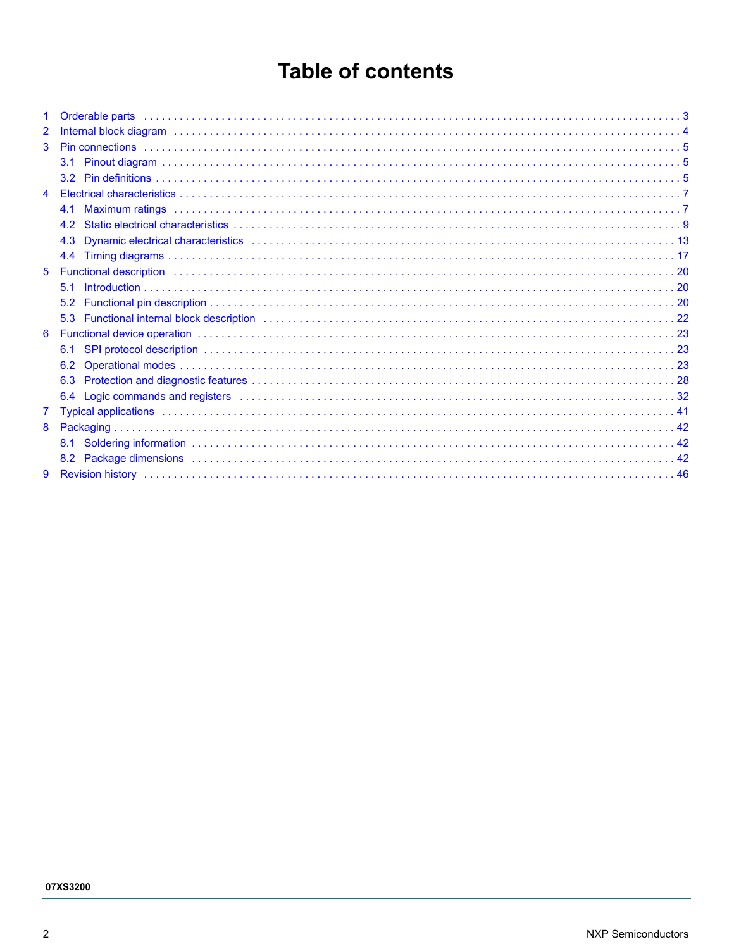# **Table of contents**

| $\mathbf{1}$   |                                                                                                                                                                                                                                |  |
|----------------|--------------------------------------------------------------------------------------------------------------------------------------------------------------------------------------------------------------------------------|--|
| $\overline{2}$ |                                                                                                                                                                                                                                |  |
| 3              |                                                                                                                                                                                                                                |  |
|                |                                                                                                                                                                                                                                |  |
|                |                                                                                                                                                                                                                                |  |
| 4              |                                                                                                                                                                                                                                |  |
|                |                                                                                                                                                                                                                                |  |
|                |                                                                                                                                                                                                                                |  |
|                | 4.3                                                                                                                                                                                                                            |  |
|                | 4.4                                                                                                                                                                                                                            |  |
| 5              |                                                                                                                                                                                                                                |  |
|                | 5.1                                                                                                                                                                                                                            |  |
|                |                                                                                                                                                                                                                                |  |
|                | 5.3 Functional internal block description (and according contract and according to the contract of the contract of $22$                                                                                                        |  |
| 6              |                                                                                                                                                                                                                                |  |
|                | 6.1                                                                                                                                                                                                                            |  |
|                | 6.2                                                                                                                                                                                                                            |  |
|                |                                                                                                                                                                                                                                |  |
|                |                                                                                                                                                                                                                                |  |
| $\overline{7}$ | Typical applications in the continuum control of the control of the control of the control of the control of the control of the control of the control of the control of the control of the control of the control of the cont |  |
| 8              |                                                                                                                                                                                                                                |  |
|                |                                                                                                                                                                                                                                |  |
|                |                                                                                                                                                                                                                                |  |
| 9              |                                                                                                                                                                                                                                |  |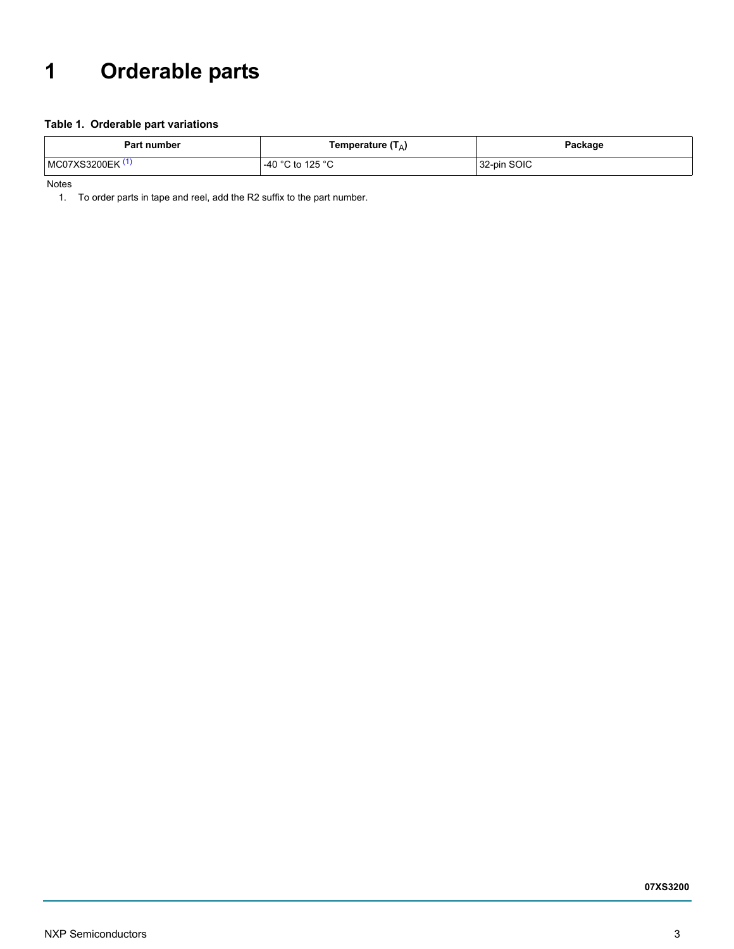# <span id="page-2-0"></span>**1 Orderable parts**

### **Table 1. Orderable part variations**

| Part number  | Temperature $(T_A)$ | Package     |
|--------------|---------------------|-------------|
| MC07XS3200EK | -40 °C to 125 °C    | 32-pin SOIC |

<span id="page-2-1"></span>Notes

1. To order parts in tape and reel, add the R2 suffix to the part number.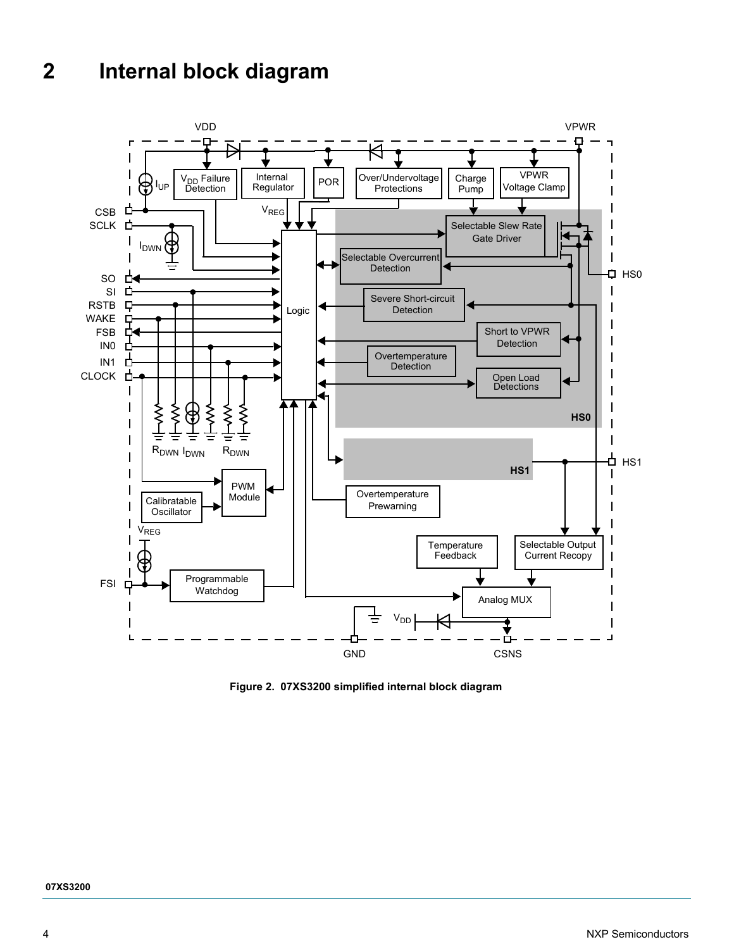# <span id="page-3-0"></span>**2 Internal block diagram**



**Figure 2. 07XS3200 simplified internal block diagram** 

4 NXP Semiconductors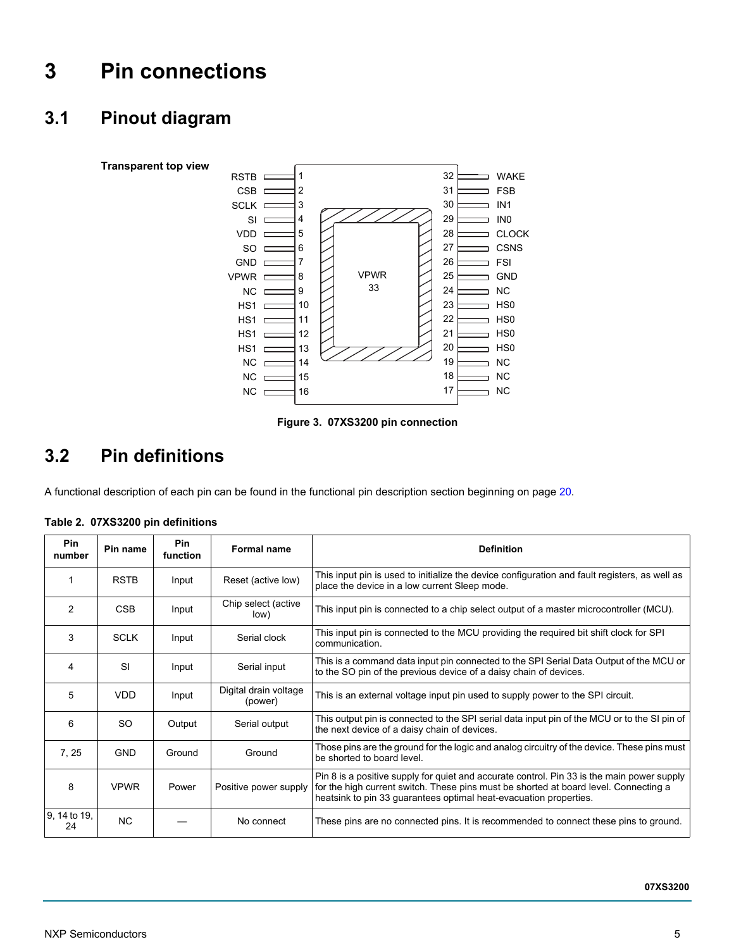# <span id="page-4-0"></span>**3 Pin connections**

# <span id="page-4-1"></span>**3.1 Pinout diagram**



**Figure 3. 07XS3200 pin connection**

# <span id="page-4-3"></span><span id="page-4-2"></span>**3.2 Pin definitions**

A functional description of each pin can be found in the functional pin description section beginning on [page](#page-19-2) 20.

<span id="page-4-4"></span>

| Table 2. 07XS3200 pin definitions |  |
|-----------------------------------|--|
|                                   |  |

| Pin<br>number                             | Pin name    | <b>Pin</b><br>function | <b>Formal name</b>                                                                                                                                          | <b>Definition</b>                                                                                                                                                                                                                                       |
|-------------------------------------------|-------------|------------------------|-------------------------------------------------------------------------------------------------------------------------------------------------------------|---------------------------------------------------------------------------------------------------------------------------------------------------------------------------------------------------------------------------------------------------------|
|                                           | <b>RSTB</b> | Input                  | Reset (active low)                                                                                                                                          | This input pin is used to initialize the device configuration and fault registers, as well as<br>place the device in a low current Sleep mode.                                                                                                          |
| 2                                         | <b>CSB</b>  | Input                  | Chip select (active<br>low)                                                                                                                                 | This input pin is connected to a chip select output of a master microcontroller (MCU).                                                                                                                                                                  |
| 3<br><b>SCLK</b><br>Serial clock<br>Input |             |                        | This input pin is connected to the MCU providing the required bit shift clock for SPI<br>communication.                                                     |                                                                                                                                                                                                                                                         |
| 4<br>SI<br>Serial input<br>Input          |             |                        | This is a command data input pin connected to the SPI Serial Data Output of the MCU or<br>to the SO pin of the previous device of a daisy chain of devices. |                                                                                                                                                                                                                                                         |
| 5                                         | <b>VDD</b>  | Input                  | Digital drain voltage<br>(power)                                                                                                                            | This is an external voltage input pin used to supply power to the SPI circuit.                                                                                                                                                                          |
| 6                                         | <b>SO</b>   | Output                 | Serial output                                                                                                                                               | This output pin is connected to the SPI serial data input pin of the MCU or to the SI pin of<br>the next device of a daisy chain of devices.                                                                                                            |
| 7, 25                                     | <b>GND</b>  | Ground                 | Ground                                                                                                                                                      | Those pins are the ground for the logic and analog circuitry of the device. These pins must<br>be shorted to board level.                                                                                                                               |
| 8                                         | <b>VPWR</b> | Power                  | Positive power supply                                                                                                                                       | Pin 8 is a positive supply for quiet and accurate control. Pin 33 is the main power supply<br>for the high current switch. These pins must be shorted at board level. Connecting a<br>heatsink to pin 33 guarantees optimal heat-evacuation properties. |
| 9, 14 to 19,<br>24                        | <b>NC</b>   |                        | No connect                                                                                                                                                  | These pins are no connected pins. It is recommended to connect these pins to ground.                                                                                                                                                                    |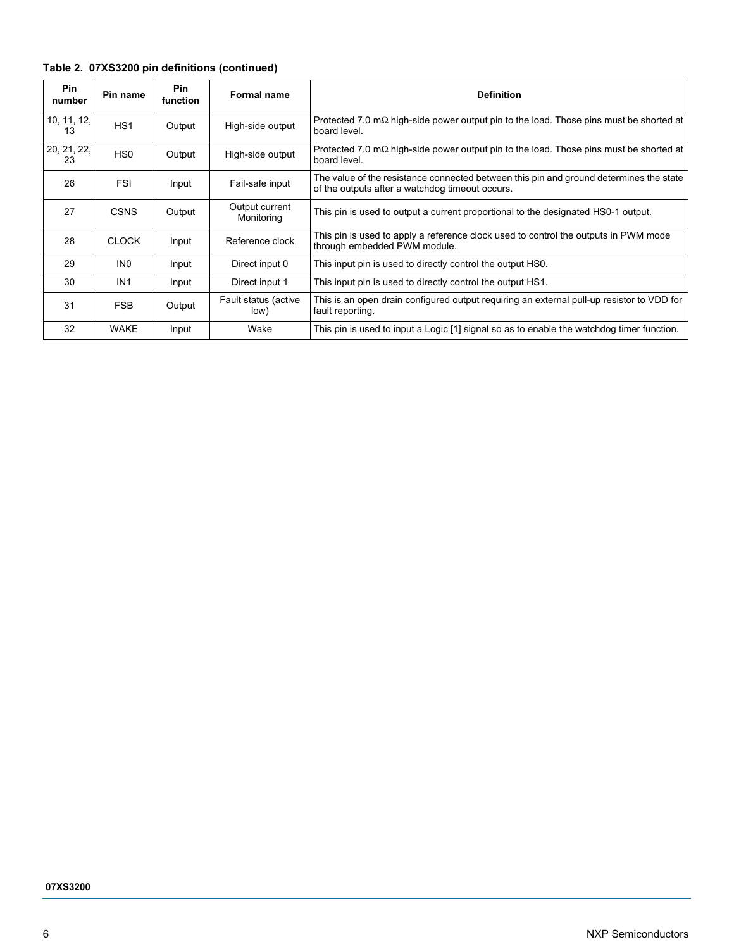|  |  |  |  | Table 2. 07XS3200 pin definitions (continued) |
|--|--|--|--|-----------------------------------------------|
|--|--|--|--|-----------------------------------------------|

| Pin<br>number     | Pin name        | <b>Pin</b><br><b>function</b> | <b>Formal name</b>           | <b>Definition</b>                                                                                                                         |
|-------------------|-----------------|-------------------------------|------------------------------|-------------------------------------------------------------------------------------------------------------------------------------------|
| 10, 11, 12,<br>13 | HS <sub>1</sub> | Output                        | High-side output             | Protected 7.0 m $\Omega$ high-side power output pin to the load. Those pins must be shorted at<br>board level.                            |
| 20, 21, 22,<br>23 | HS <sub>0</sub> | Output                        | High-side output             | Protected 7.0 m $\Omega$ high-side power output pin to the load. Those pins must be shorted at<br>board level.                            |
| 26                | <b>FSI</b>      | Input                         | Fail-safe input              | The value of the resistance connected between this pin and ground determines the state<br>of the outputs after a watchdog timeout occurs. |
| 27                | <b>CSNS</b>     | Output                        | Output current<br>Monitoring | This pin is used to output a current proportional to the designated HS0-1 output.                                                         |
| 28                | <b>CLOCK</b>    | Input                         | Reference clock              | This pin is used to apply a reference clock used to control the outputs in PWM mode<br>through embedded PWM module.                       |
| 29                | IN <sub>0</sub> | Input                         | Direct input 0               | This input pin is used to directly control the output HS0.                                                                                |
| 30                | IN <sub>1</sub> | Input                         | Direct input 1               | This input pin is used to directly control the output HS1.                                                                                |
| 31                | <b>FSB</b>      | Output                        | Fault status (active<br>low) | This is an open drain configured output requiring an external pull-up resistor to VDD for<br>fault reporting.                             |
| 32                | <b>WAKE</b>     | Input                         | Wake                         | This pin is used to input a Logic [1] signal so as to enable the watchdog timer function.                                                 |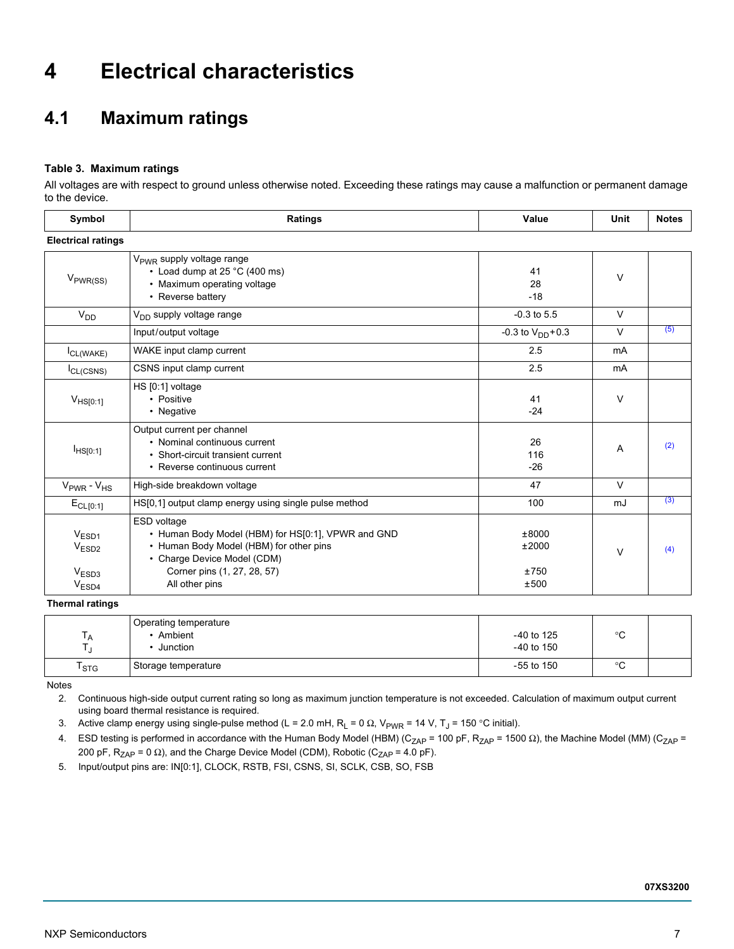# <span id="page-6-0"></span>**4 Electrical characteristics**

# <span id="page-6-1"></span>**4.1 Maximum ratings**

### **Table 3. Maximum ratings**

All voltages are with respect to ground unless otherwise noted. Exceeding these ratings may cause a malfunction or permanent damage to the device.

| Symbol                                                                           | Ratings                                                                                                                                                                                      |                                | Unit   | <b>Notes</b> |  |  |  |  |  |  |
|----------------------------------------------------------------------------------|----------------------------------------------------------------------------------------------------------------------------------------------------------------------------------------------|--------------------------------|--------|--------------|--|--|--|--|--|--|
| <b>Electrical ratings</b>                                                        |                                                                                                                                                                                              |                                |        |              |  |  |  |  |  |  |
| $V_{PWR(SS)}$                                                                    | V <sub>PWR</sub> supply voltage range<br>• Load dump at 25 $°C$ (400 ms)<br>• Maximum operating voltage<br>• Reverse battery                                                                 | 41<br>28<br>$-18$              | $\vee$ |              |  |  |  |  |  |  |
| V <sub>DD</sub>                                                                  | $V_{DD}$ supply voltage range                                                                                                                                                                | $-0.3$ to $5.5$                | $\vee$ |              |  |  |  |  |  |  |
|                                                                                  | Input/output voltage                                                                                                                                                                         | $-0.3$ to $V_{DD}$ +0.3        | $\vee$ | (5)          |  |  |  |  |  |  |
| $I_{CL(WAKE)}$                                                                   | WAKE input clamp current                                                                                                                                                                     | 2.5                            | mA     |              |  |  |  |  |  |  |
| $I_{CL(CSNS)}$                                                                   | CSNS input clamp current                                                                                                                                                                     | 2.5                            | mA     |              |  |  |  |  |  |  |
| $V_{HS[0:1]}$                                                                    | HS [0:1] voltage<br>• Positive<br>• Negative                                                                                                                                                 | 41<br>$-24$                    | $\vee$ |              |  |  |  |  |  |  |
| I <sub>HSI0:1]</sub>                                                             | Output current per channel<br>• Nominal continuous current<br>• Short-circuit transient current<br>• Reverse continuous current                                                              | 26<br>116<br>$-26$             | A      | (2)          |  |  |  |  |  |  |
| $V_{\text{PWR}}$ - $V_{\text{HS}}$                                               | High-side breakdown voltage                                                                                                                                                                  | 47                             | $\vee$ |              |  |  |  |  |  |  |
| $E_{CL[0:1]}$                                                                    | HS[0,1] output clamp energy using single pulse method                                                                                                                                        | 100                            | mJ     | (3)          |  |  |  |  |  |  |
| V <sub>FSD1</sub><br>V <sub>ESD2</sub><br>V <sub>ESD3</sub><br>V <sub>ESD4</sub> | ESD voltage<br>• Human Body Model (HBM) for HS[0:1], VPWR and GND<br>• Human Body Model (HBM) for other pins<br>• Charge Device Model (CDM)<br>Corner pins (1, 27, 28, 57)<br>All other pins | ±8000<br>±2000<br>±750<br>±500 | $\vee$ | (4)          |  |  |  |  |  |  |

**Thermal ratings**

| $\overline{A}$   | Operating temperature<br>Ambient<br>Junction | $-40$ to 125<br>$-40$ to 150 | ൦ึ<br>ີ |  |
|------------------|----------------------------------------------|------------------------------|---------|--|
| $T_{\text{STG}}$ | Storage temperature                          | $-55$ to 150                 | ൦ึ<br>ັ |  |

<span id="page-6-2"></span>Notes

2. Continuous high-side output current rating so long as maximum junction temperature is not exceeded. Calculation of maximum output current using board thermal resistance is required.

<span id="page-6-3"></span>3. Active clamp energy using single-pulse method (L = 2.0 mH, R<sub>L</sub> = 0 Ω, V<sub>PWR</sub> = 14 V, T<sub>J</sub> = 150 °C initial).

<span id="page-6-4"></span>4. ESD testing is performed in accordance with the Human Body Model (HBM) (C<sub>ZAP</sub> = 100 pF, R<sub>ZAP</sub> = 1500 Ω), the Machine Model (MM) (C<sub>ZAP</sub> = 200 pF,  $R_{ZAP} = 0 \Omega$ ), and the Charge Device Model (CDM), Robotic (C<sub>ZAP</sub> = 4.0 pF).

<span id="page-6-5"></span>5. Input/output pins are: IN[0:1], CLOCK, RSTB, FSI, CSNS, SI, SCLK, CSB, SO, FSB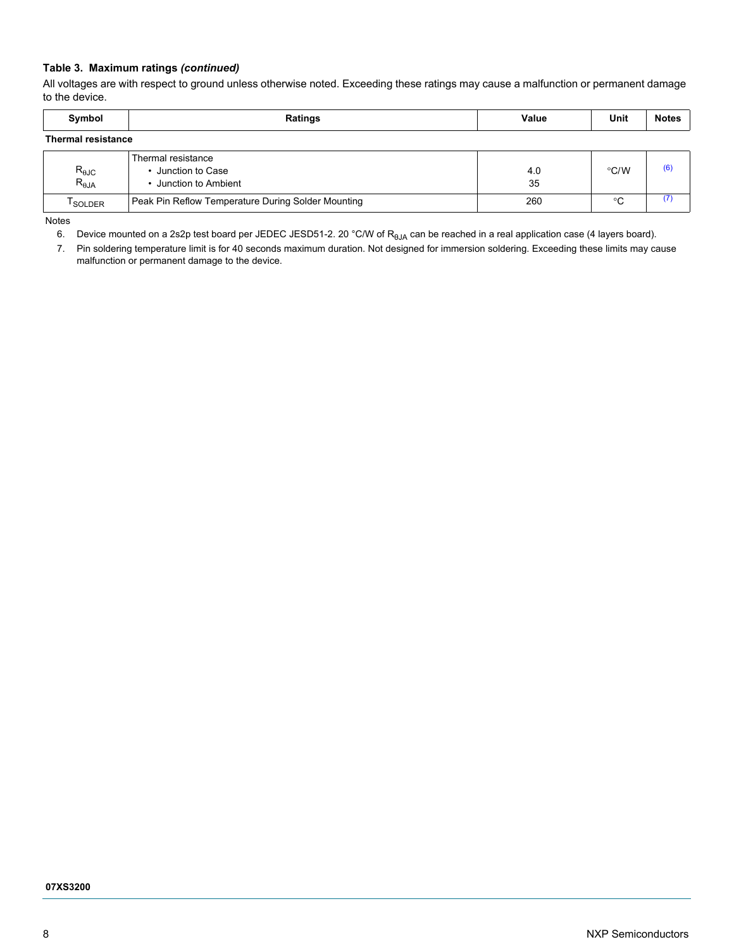### **Table 3. Maximum ratings** *(continued)*

All voltages are with respect to ground unless otherwise noted. Exceeding these ratings may cause a malfunction or permanent damage to the device.

| Symbol                                   | Ratings                                                           | Value     | Unit          | <b>Notes</b> |  |  |  |  |
|------------------------------------------|-------------------------------------------------------------------|-----------|---------------|--------------|--|--|--|--|
| <b>Thermal resistance</b>                |                                                                   |           |               |              |  |  |  |  |
| $R_{\theta \text{JC}}$<br>$R_{\theta$ JA | Thermal resistance<br>• Junction to Case<br>• Junction to Ambient | 4.0<br>35 | $\degree$ C/W | (6)          |  |  |  |  |
| <sup>I</sup> SOLDER                      | Peak Pin Reflow Temperature During Solder Mounting                | 260       | °C            |              |  |  |  |  |

<span id="page-7-0"></span>Notes

6. Device mounted on a 2s2p test board per JEDEC JESD51-2. 20 °C/W of R<sub>0JA</sub> can be reached in a real application case (4 layers board).

<span id="page-7-1"></span>7. Pin soldering temperature limit is for 40 seconds maximum duration. Not designed for immersion soldering. Exceeding these limits may cause malfunction or permanent damage to the device.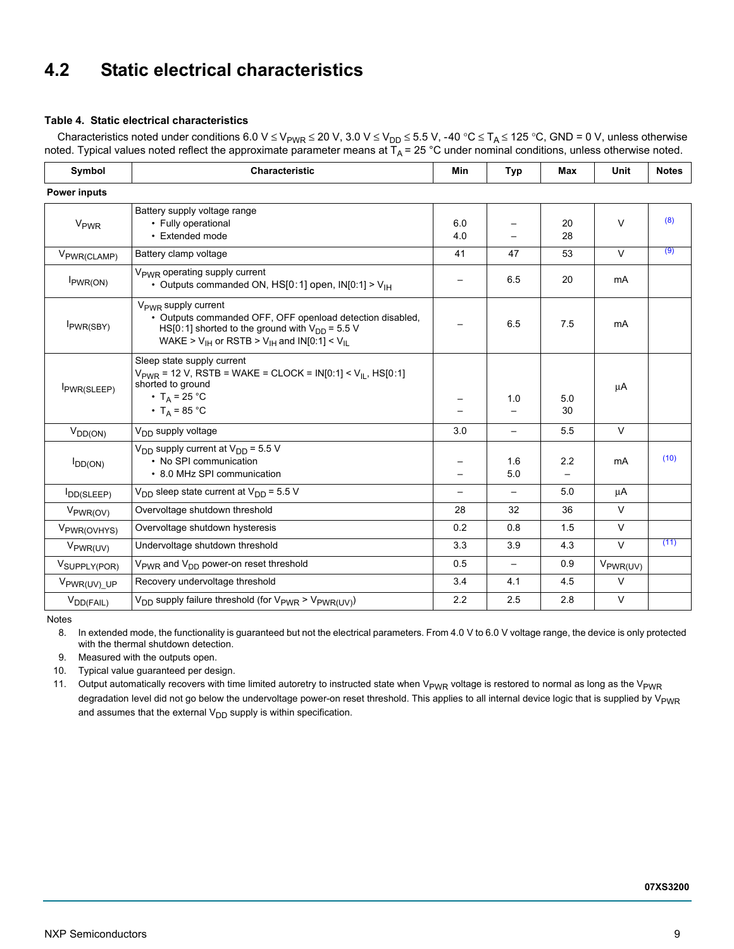# <span id="page-8-0"></span>**4.2 Static electrical characteristics**

### <span id="page-8-5"></span>**Table 4. Static electrical characteristics**

Characteristics noted under conditions 6.0 V ≤ V<sub>PWR</sub> ≤ 20 V, 3.0 V ≤ V<sub>DD</sub> ≤ 5.5 V, -40 °C ≤ T<sub>A</sub> ≤ 125 °C, GND = 0 V, unless otherwise noted. Typical values noted reflect the approximate parameter means at  $T_A$  = 25 °C under nominal conditions, unless otherwise noted.

| Symbol                   | <b>Characteristic</b>                                                                                                                                                                                            |            | <b>Typ</b>        | <b>Max</b> | <b>Unit</b>          | <b>Notes</b> |
|--------------------------|------------------------------------------------------------------------------------------------------------------------------------------------------------------------------------------------------------------|------------|-------------------|------------|----------------------|--------------|
| <b>Power inputs</b>      |                                                                                                                                                                                                                  |            |                   |            |                      |              |
| V <sub>PWR</sub>         | Battery supply voltage range<br>• Fully operational<br>• Extended mode                                                                                                                                           | 6.0<br>4.0 |                   | 20<br>28   | $\vee$               | (8)          |
| V <sub>PWR(CLAMP)</sub>  | Battery clamp voltage                                                                                                                                                                                            | 41         | 47                | 53         | $\vee$               | (9)          |
| I <sub>PWR(ON)</sub>     | V <sub>PWR</sub> operating supply current<br>• Outputs commanded ON, $HS[0:1]$ open, $IN[0:1] > V1H$                                                                                                             |            | 6.5               | 20         | mA                   |              |
| I <sub>PWR(SBY)</sub>    | $V_{\text{PWR}}$ supply current<br>• Outputs commanded OFF, OFF openload detection disabled,<br>HS[0:1] shorted to the ground with $V_{DD}$ = 5.5 V<br>WAKE > $V_{IH}$ or RSTB > $V_{IH}$ and IN[0:1] < $V_{II}$ |            | 6.5               | 7.5        | mA                   |              |
| PWR(SLEEP)               | Sleep state supply current<br>$V_{PWR}$ = 12 V, RSTB = WAKE = CLOCK = IN[0:1] < V <sub>IL</sub> , HS[0:1]<br>shorted to ground<br>• T <sub>A</sub> = 25 °C<br>• $T_A = 85 °C$                                    |            | 1.0               | 5.0<br>30  | μA                   |              |
| $V_{DD(ON)}$             | V <sub>DD</sub> supply voltage                                                                                                                                                                                   | 3.0        |                   | 5.5        | $\vee$               |              |
| $I_{DD(ON)}$             | $V_{DD}$ supply current at $V_{DD}$ = 5.5 V<br>• No SPI communication<br>• 8.0 MHz SPI communication                                                                                                             |            | 1.6<br>5.0        | 2.2<br>—   | mA                   | (10)         |
| $I_{DD(SLEEP)}$          | $V_{DD}$ sleep state current at $V_{DD}$ = 5.5 V                                                                                                                                                                 |            | $\qquad \qquad -$ | 5.0        | μA                   |              |
| V <sub>PWR(OV)</sub>     | Overvoltage shutdown threshold                                                                                                                                                                                   | 28         | 32                | 36         | V                    |              |
| V <sub>PWR(OVHYS)</sub>  | Overvoltage shutdown hysteresis                                                                                                                                                                                  | 0.2        | 0.8               | 1.5        | $\vee$               |              |
| V <sub>PWR(UV)</sub>     | Undervoltage shutdown threshold                                                                                                                                                                                  | 3.3        | 3.9               | 4.3        | $\vee$               | (11)         |
| V <sub>SUPPLY(POR)</sub> | V <sub>PWR</sub> and V <sub>DD</sub> power-on reset threshold                                                                                                                                                    | 0.5        | $\qquad \qquad -$ | 0.9        | $V_{\text{PWR}(UV)}$ |              |
| V <sub>PWR(UV)_UP</sub>  | Recovery undervoltage threshold                                                                                                                                                                                  | 3.4        | 4.1               | 4.5        | V                    |              |
| $V_{DD(FAIL)}$           | V <sub>DD</sub> supply failure threshold (for V <sub>PWR</sub> > V <sub>PWR(UV)</sub> )                                                                                                                          | 2.2        | 2.5               | 2.8        | $\vee$               |              |

Notes

<span id="page-8-1"></span>8. In extended mode, the functionality is guaranteed but not the electrical parameters. From 4.0 V to 6.0 V voltage range, the device is only protected with the thermal shutdown detection.

<span id="page-8-2"></span>9. Measured with the outputs open.

<span id="page-8-3"></span>10. Typical value guaranteed per design.

<span id="page-8-4"></span>11. Output automatically recovers with time limited autoretry to instructed state when V<sub>PWR</sub> voltage is restored to normal as long as the V<sub>PWR</sub> degradation level did not go below the undervoltage power-on reset threshold. This applies to all internal device logic that is supplied by V<sub>PWR</sub> and assumes that the external  $V_{DD}$  supply is within specification.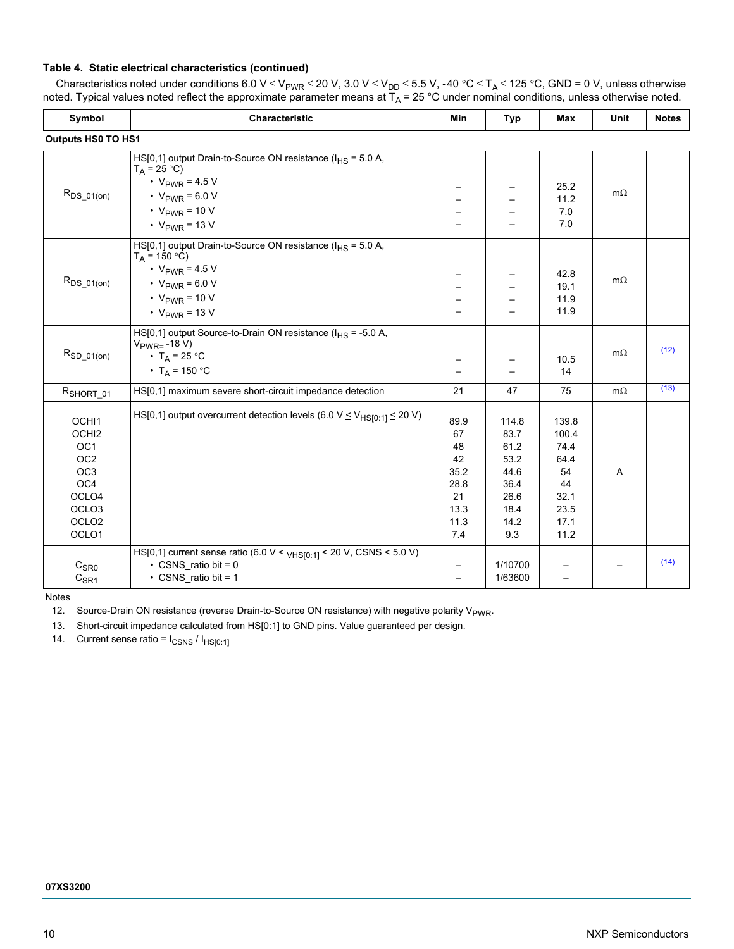### **Table 4. Static electrical characteristics (continued)**

| Characteristics noted under conditions 6.0 V $\leq$ V <sub>PWR</sub> $\leq$ 20 V, 3.0 V $\leq$ V <sub>DD</sub> $\leq$ 5.5 V, -40 °C $\leq$ T <sub>A</sub> $\leq$ 125 °C, GND = 0 V, unless otherwise |
|------------------------------------------------------------------------------------------------------------------------------------------------------------------------------------------------------|
| noted. Typical values noted reflect the approximate parameter means at $T_A = 25$ °C under nominal conditions, unless otherwise noted.                                                               |

| Symbol             | Characteristic                                                                                | Min  | <b>Typ</b> | Max        | Unit      | <b>Notes</b> |  |  |  |
|--------------------|-----------------------------------------------------------------------------------------------|------|------------|------------|-----------|--------------|--|--|--|
| Outputs HS0 TO HS1 |                                                                                               |      |            |            |           |              |  |  |  |
|                    | HS[0,1] output Drain-to-Source ON resistance ( $I_{HS}$ = 5.0 A,<br>$T_A = 25 °C$             |      |            |            |           |              |  |  |  |
|                    | • $V_{PWR} = 4.5 V$                                                                           |      |            | 25.2       |           |              |  |  |  |
| $R_{DS_01(on)}$    | • $V_{PWR} = 6.0 V$                                                                           |      |            | 11.2       | $m\Omega$ |              |  |  |  |
|                    | $\cdot$ V <sub>PWR</sub> = 10 V                                                               |      |            | 7.0        |           |              |  |  |  |
|                    | $\cdot$ V <sub>PWR</sub> = 13 V                                                               |      |            | 7.0        |           |              |  |  |  |
|                    | HS[0,1] output Drain-to-Source ON resistance ( $I_{HS}$ = 5.0 A,<br>$T_A = 150 °C$            |      |            |            |           |              |  |  |  |
|                    | • $V_{PWR} = 4.5 V$                                                                           |      |            | 42.8       |           |              |  |  |  |
| $R_{DS_01(on)}$    | • $V_{PWR} = 6.0 V$                                                                           |      |            | 19.1       | $m\Omega$ |              |  |  |  |
|                    | $\cdot$ V <sub>PWR</sub> = 10 V                                                               |      |            | 11.9       |           |              |  |  |  |
|                    | $\cdot$ V <sub>PWR</sub> = 13 V                                                               |      |            | 11.9       |           |              |  |  |  |
|                    | HS[0,1] output Source-to-Drain ON resistance ( $I_{HS}$ = -5.0 A,                             |      |            |            |           |              |  |  |  |
| $R_{SD_01(0n)}$    | $V_{PWR=}-18 V$<br>• $T_A = 25 °C$                                                            |      |            |            | $m\Omega$ | (12)         |  |  |  |
|                    | • T <sub>A</sub> = 150 °C                                                                     |      |            | 10.5<br>14 |           |              |  |  |  |
|                    |                                                                                               |      |            |            |           |              |  |  |  |
| RSHORT 01          | HS[0,1] maximum severe short-circuit impedance detection                                      | 21   | 47         | 75         | $m\Omega$ | (13)         |  |  |  |
| OCHI1              | HS[0,1] output overcurrent detection levels (6.0 V $\leq$ V <sub>HSI0:11</sub> $\leq$ 20 V)   | 89.9 | 114.8      | 139.8      |           |              |  |  |  |
| OCHI <sub>2</sub>  |                                                                                               | 67   | 83.7       | 100.4      |           |              |  |  |  |
| OC <sub>1</sub>    |                                                                                               | 48   | 61.2       | 74.4       |           |              |  |  |  |
| OC <sub>2</sub>    |                                                                                               | 42   | 53.2       | 64.4       |           |              |  |  |  |
| OC <sub>3</sub>    |                                                                                               | 35.2 | 44.6       | 54         | Α         |              |  |  |  |
| OC4                |                                                                                               | 28.8 | 36.4       | 44         |           |              |  |  |  |
| OCLO <sub>4</sub>  |                                                                                               | 21   | 26.6       | 32.1       |           |              |  |  |  |
| OCLO <sub>3</sub>  |                                                                                               | 13.3 | 18.4       | 23.5       |           |              |  |  |  |
| OCLO <sub>2</sub>  |                                                                                               | 11.3 | 14.2       | 17.1       |           |              |  |  |  |
| OCLO1              |                                                                                               | 7.4  | 9.3        | 11.2       |           |              |  |  |  |
|                    | HS[0,1] current sense ratio (6.0 V $\leq$ <sub>VHS[0:1]</sub> $\leq$ 20 V, CSNS $\leq$ 5.0 V) |      |            |            |           |              |  |  |  |
| C <sub>SR0</sub>   | $\cdot$ CSNS ratio bit = 0                                                                    |      | 1/10700    |            |           | (14)         |  |  |  |
| $C_{\text{S}R1}$   | $\cdot$ CSNS ratio bit = 1                                                                    |      | 1/63600    |            |           |              |  |  |  |

Notes

<span id="page-9-0"></span>12. Source-Drain ON resistance (reverse Drain-to-Source ON resistance) with negative polarity V<sub>PWR</sub>.

<span id="page-9-1"></span>13. Short-circuit impedance calculated from HS[0:1] to GND pins. Value guaranteed per design.

<span id="page-9-2"></span>14. Current sense ratio =  $I_{CSNS} / I_{HS[0:1]}$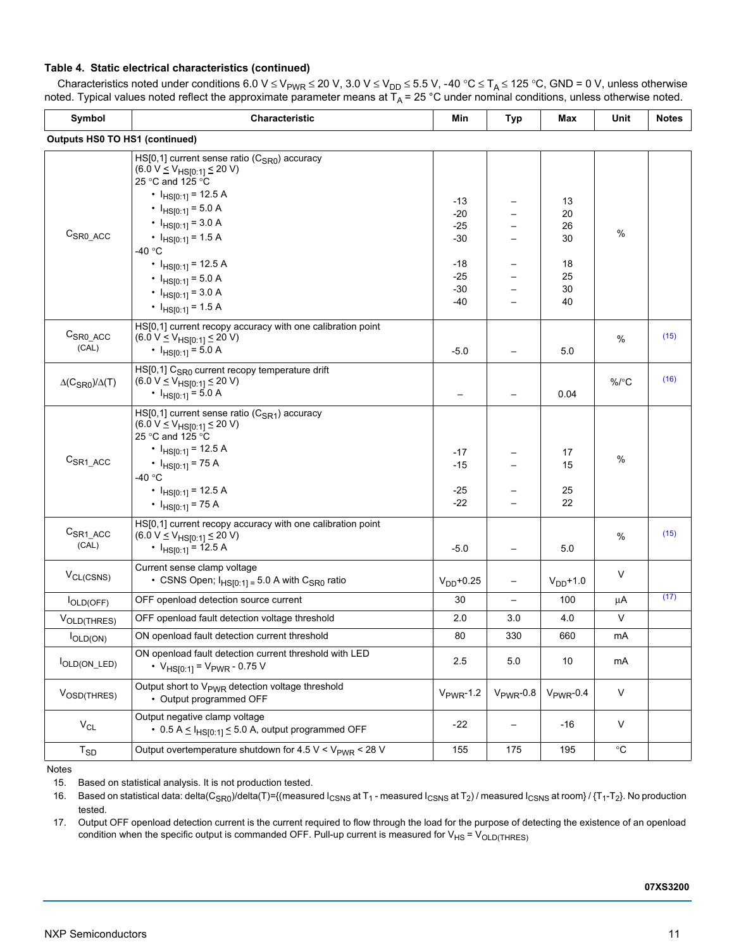### **Table 4. Static electrical characteristics (continued)**

| Characteristics noted under conditions 6.0 V $\leq$ V <sub>PWR</sub> $\leq$ 20 V, 3.0 V $\leq$ V <sub>DD</sub> $\leq$ 5.5 V, -40 °C $\leq$ T <sub>A</sub> $\leq$ 125 °C, GND = 0 V, unless otherwise |
|------------------------------------------------------------------------------------------------------------------------------------------------------------------------------------------------------|
| noted. Typical values noted reflect the approximate parameter means at $T_A = 25$ °C under nominal conditions, unless otherwise noted.                                                               |

| Symbol                                     | <b>Characteristic</b>                                                                                                                                                                                                                                                                                                                            | Min                                                                | <b>Typ</b>     | Max                                          | Unit              | <b>Notes</b> |
|--------------------------------------------|--------------------------------------------------------------------------------------------------------------------------------------------------------------------------------------------------------------------------------------------------------------------------------------------------------------------------------------------------|--------------------------------------------------------------------|----------------|----------------------------------------------|-------------------|--------------|
| <b>Outputs HS0 TO HS1 (continued)</b>      |                                                                                                                                                                                                                                                                                                                                                  |                                                                    |                |                                              |                   |              |
| $CSR0_{ACC}$                               | $HS[0,1]$ current sense ratio ( $CSR0$ ) accuracy<br>$(6.0 V \le V_{H S[0:1]} \le 20 V)$<br>25 °C and 125 °C<br>• $I_{HS[0:1]} = 12.5 A$<br>• $I_{HS[0:1]} = 5.0 A$<br>• $I_{HS[0:1]} = 3.0 A$<br>• $I_{HS[0:1]} = 1.5 A$<br>-40 °C<br>• $I_{HS[0:1]} = 12.5 A$<br>• $I_{HS[0:1]} = 5.0 A$<br>• $I_{HS[0:1]} = 3.0 A$<br>• $I_{HS[0:1]} = 1.5 A$ | $-13$<br>$-20$<br>$-25$<br>$-30$<br>-18<br>$-25$<br>$-30$<br>$-40$ |                | 13<br>20<br>26<br>30<br>18<br>25<br>30<br>40 | %                 |              |
| $CSRO_{ACC}$<br>(CAL)                      | HS[0,1] current recopy accuracy with one calibration point<br>$(6.0 V \le V_{HSI0:1} \le 20 V)$<br>• $I_{HS[0:1]} = 5.0 A$                                                                                                                                                                                                                       | $-5.0$                                                             |                | 5.0                                          | %                 | (15)         |
| $\Delta$ (C <sub>SR0</sub> )/ $\Delta$ (T) | HS[0,1] C <sub>SR0</sub> current recopy temperature drift<br>$(6.0 V \le V_{HSI0:1} \le 20 V)$<br>• $I_{HS[0:1]} = 5.0 A$                                                                                                                                                                                                                        |                                                                    |                | 0.04                                         | $%$ /°C           | (16)         |
| $CSR1_{ACC}$                               | HS[0,1] current sense ratio (C <sub>SR1</sub> ) accuracy<br>$(6.0 V \le V_{H S[0:1]} \le 20 V)$<br>25 °C and 125 °C<br>• $I_{HS[0:1]} = 12.5 A$<br>• $I_{HS[0:1]} = 75 A$<br>-40 °C<br>• $I_{HS[0:1]}$ = 12.5 A<br>• $I_{HS[0:1]} = 75 A$                                                                                                        | $-17$<br>$-15$<br>$-25$<br>$-22$                                   |                | 17<br>15<br>25<br>22                         | %                 |              |
| $CSR1_{ACC}$<br>(CAL)                      | HS[0,1] current recopy accuracy with one calibration point<br>$(6.0 V \le V_{HSI0:1} \le 20 V)$<br>• $I_{HS[0:1]}$ = 12.5 A                                                                                                                                                                                                                      | $-5.0$                                                             |                | 5.0                                          | %                 | (15)         |
| $V_{CL(CSNS)}$                             | Current sense clamp voltage<br>• CSNS Open; $I_{HSI0:11} = 5.0$ A with C <sub>SR0</sub> ratio                                                                                                                                                                                                                                                    | $V_{DD} + 0.25$                                                    | —              | $V_{DD}$ +1.0                                | V                 |              |
| <b>IOLD(OFF)</b>                           | OFF openload detection source current                                                                                                                                                                                                                                                                                                            | 30                                                                 | —              | 100                                          | μA                | (17)         |
| VOLD(THRES)                                | OFF openload fault detection voltage threshold                                                                                                                                                                                                                                                                                                   | 2.0                                                                | 3.0            | 4.0                                          | V                 |              |
| <b>I</b> OLD(ON)                           | ON openload fault detection current threshold                                                                                                                                                                                                                                                                                                    | 80                                                                 | 330            | 660                                          | mA                |              |
| OLD(ON LED)                                | ON openload fault detection current threshold with LED<br>• $V_{HS[0:1]} = V_{PWR} - 0.75 V$                                                                                                                                                                                                                                                     | 2.5                                                                | 5.0            | 10                                           | mA                |              |
| V <sub>OSD</sub> (THRES)                   | Output short to V <sub>PWR</sub> detection voltage threshold<br>• Output programmed OFF                                                                                                                                                                                                                                                          | $V_{PWR}$ -1.2                                                     | $V_{PWR}$ -0.8 | $V_{PWR}$ -0.4                               | V                 |              |
| $V_{CL}$                                   | Output negative clamp voltage<br>• 0.5 A $\leq$ $I_{HS[0:1]} \leq$ 5.0 A, output programmed OFF                                                                                                                                                                                                                                                  | $-22$                                                              | —              | -16                                          | V                 |              |
| $T_{SD}$                                   | Output overtemperature shutdown for 4.5 V < $V_{PWR}$ < 28 V                                                                                                                                                                                                                                                                                     | 155                                                                | 175            | 195                                          | $^\circ \text{C}$ |              |

Notes

<span id="page-10-0"></span>15. Based on statistical analysis. It is not production tested.

<span id="page-10-1"></span>16. Based on statistical data: delta(C<sub>SR0</sub>)/delta(T)={(measured I<sub>CSNS</sub> at T<sub>1</sub> - measured I<sub>CSNS</sub> at T<sub>2</sub>) / measured I<sub>CSNS</sub> at room} / {T<sub>1</sub>-T<sub>2</sub>}. No production tested.

<span id="page-10-2"></span>17. Output OFF openload detection current is the current required to flow through the load for the purpose of detecting the existence of an openload condition when the specific output is commanded OFF. Pull-up current is measured for  $V_{HS} = V_{OLD(THRES)}$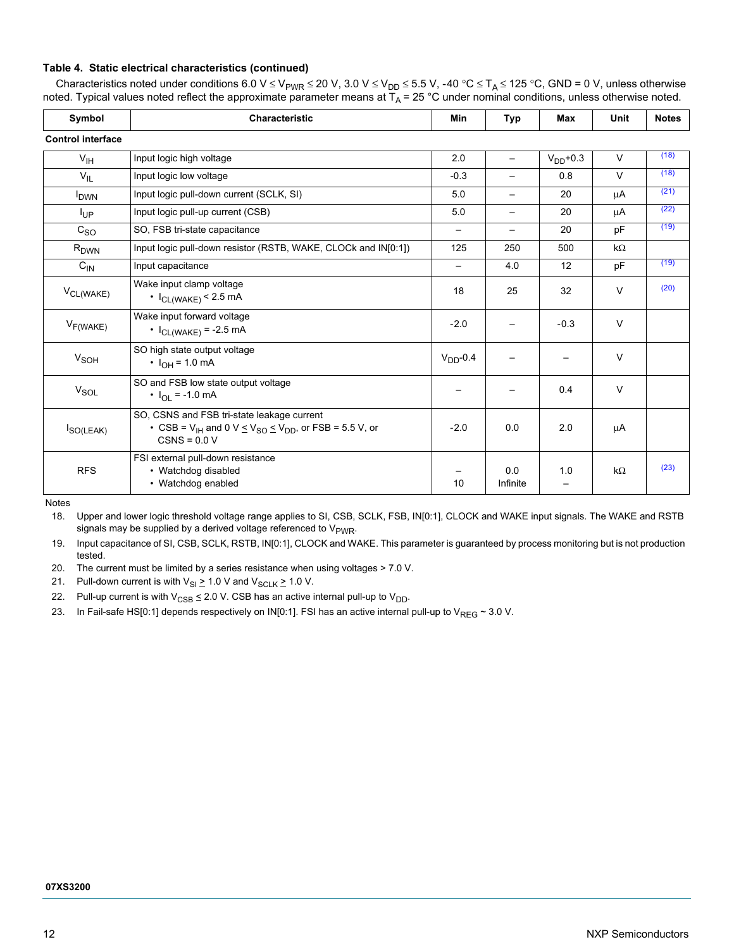### **Table 4. Static electrical characteristics (continued)**

Characteristics noted under conditions 6.0 V ≤ V<sub>PWR</sub> ≤ 20 V, 3.0 V ≤ V<sub>DD</sub> ≤ 5.5 V, -40 °C ≤ T<sub>A</sub> ≤ 125 °C, GND = 0 V, unless otherwise noted. Typical values noted reflect the approximate parameter means at T<sub>A</sub> = 25 °C under nominal conditions, unless otherwise noted.

| Symbol                   | <b>Characteristic</b>                                                                                                                                       |                          | Typ               | Max                             | Unit      | <b>Notes</b> |
|--------------------------|-------------------------------------------------------------------------------------------------------------------------------------------------------------|--------------------------|-------------------|---------------------------------|-----------|--------------|
| <b>Control interface</b> |                                                                                                                                                             |                          |                   |                                 |           |              |
| V <sub>IH</sub>          | Input logic high voltage                                                                                                                                    | 2.0                      | $\qquad \qquad -$ | $VDD+0.3$                       | $\vee$    | (18)         |
| $V_{IL}$                 | Input logic low voltage                                                                                                                                     | $-0.3$                   | $\qquad \qquad$   | 0.8                             | $\vee$    | (18)         |
| <b>I</b> <sub>DWN</sub>  | Input logic pull-down current (SCLK, SI)                                                                                                                    | 5.0                      | $\qquad \qquad -$ | 20                              | μA        | (21)         |
| <b>I</b> UP              | Input logic pull-up current (CSB)                                                                                                                           | 5.0                      |                   | 20                              | μA        | (22)         |
| $c_{SO}$                 | SO, FSB tri-state capacitance                                                                                                                               | $\overline{\phantom{m}}$ | $\qquad \qquad -$ | 20                              | pF        | (19)         |
| R <sub>DWN</sub>         | Input logic pull-down resistor (RSTB, WAKE, CLOCk and IN[0:1])                                                                                              | 125                      | 250               | 500                             | kΩ        |              |
| $C_{IN}$                 | Input capacitance                                                                                                                                           | $\qquad \qquad -$        | 4.0               | 12                              | pF        | (19)         |
| V <sub>CL(WAKE)</sub>    | Wake input clamp voltage<br>$\cdot$ $I_{CL(WAKE)}$ < 2.5 mA                                                                                                 | 18                       | 25                | 32                              | $\vee$    | (20)         |
| $V_{F(WAKE)}$            | Wake input forward voltage<br>• $I_{CL(WAKE)} = -2.5 mA$                                                                                                    | $-2.0$                   |                   | $-0.3$                          | $\vee$    |              |
| <b>V<sub>SOH</sub></b>   | SO high state output voltage<br>• $I_{OH} = 1.0$ mA                                                                                                         | $VDD - 0.4$              |                   | —                               | V         |              |
| V <sub>SOL</sub>         | SO and FSB low state output voltage<br>• $I_{\text{OI}} = -1.0 \text{ mA}$                                                                                  |                          |                   | 0.4                             | $\vee$    |              |
| $I_{SO(LEAK)}$           | SO, CSNS and FSB tri-state leakage current<br>• CSB = $V_{IH}$ and 0 V $\leq$ V <sub>SO</sub> $\leq$ V <sub>DD</sub> , or FSB = 5.5 V, or<br>$CSNS = 0.0 V$ | $-2.0$                   | 0.0               | 2.0                             | μA        |              |
| <b>RFS</b>               | FSI external pull-down resistance<br>• Watchdog disabled<br>• Watchdog enabled                                                                              | 10                       | 0.0<br>Infinite   | 1.0<br>$\overline{\phantom{0}}$ | $k\Omega$ | (23)         |

Notes

<span id="page-11-0"></span>18. Upper and lower logic threshold voltage range applies to SI, CSB, SCLK, FSB, IN[0:1], CLOCK and WAKE input signals. The WAKE and RSTB signals may be supplied by a derived voltage referenced to  $V_{\text{PWR}}$ .

<span id="page-11-3"></span>19. Input capacitance of SI, CSB, SCLK, RSTB, IN[0:1], CLOCK and WAKE. This parameter is guaranteed by process monitoring but is not production tested.

<span id="page-11-4"></span>20. The current must be limited by a series resistance when using voltages > 7.0 V.

<span id="page-11-1"></span>21. Pull-down current is with  $V_{SI} \ge 1.0$  V and  $V_{SCLK} \ge 1.0$  V.

<span id="page-11-2"></span>22. Pull-up current is with  $V_{CSB} \le 2.0 V$ . CSB has an active internal pull-up to  $V_{DD}$ .

<span id="page-11-5"></span>23. In Fail-safe HS[0:1] depends respectively on IN[0:1]. FSI has an active internal pull-up to  $V_{REG} \sim 3.0$  V.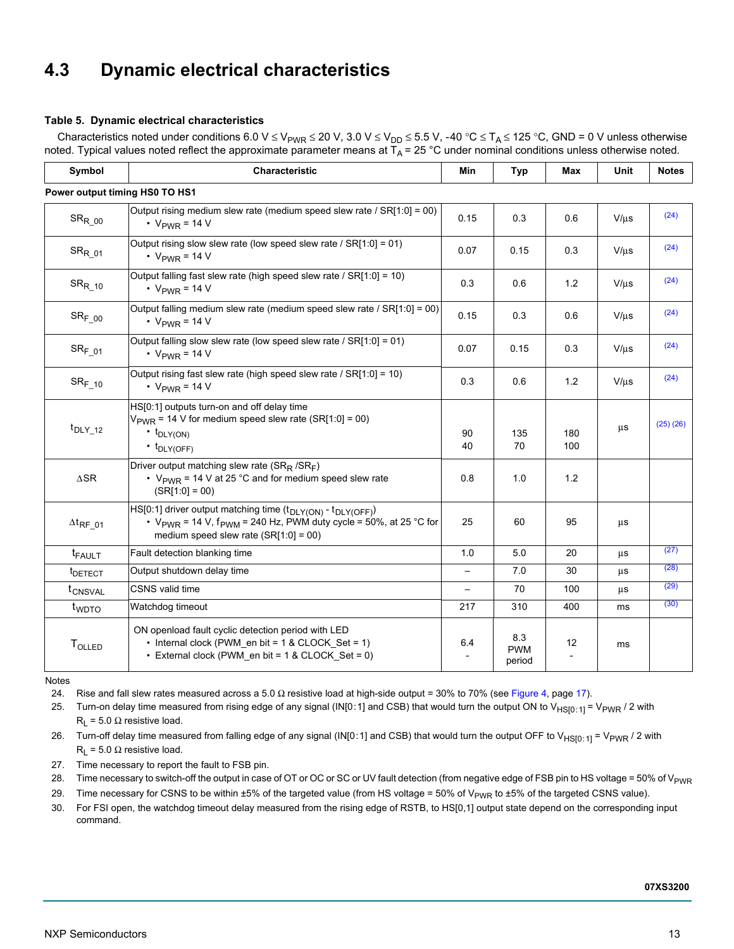# <span id="page-12-0"></span>**4.3 Dynamic electrical characteristics**

### <span id="page-12-8"></span>**Table 5. Dynamic electrical characteristics**

Characteristics noted under conditions 6.0 V  $\leq$  V<sub>PWR</sub>  $\leq$  20 V, 3.0 V  $\leq$  V<sub>DD</sub>  $\leq$  5.5 V, -40 °C  $\leq$  T<sub>A</sub>  $\leq$  125 °C, GND = 0 V unless otherwise noted. Typical values noted reflect the approximate parameter means at  $T_A$  = 25 °C under nominal conditions unless otherwise noted.

| Symbol                         | Characteristic                                                                                                                                                                                               | Min                      | <b>Typ</b>                  | <b>Max</b>        | Unit       | <b>Notes</b> |
|--------------------------------|--------------------------------------------------------------------------------------------------------------------------------------------------------------------------------------------------------------|--------------------------|-----------------------------|-------------------|------------|--------------|
|                                | Power output timing HS0 TO HS1                                                                                                                                                                               |                          |                             |                   |            |              |
| $\mathrm{SR}_{\mathrm{R\_00}}$ | Output rising medium slew rate (medium speed slew rate / $SR[1:0] = 00$ )<br>$\cdot$ V <sub>PWR</sub> = 14 V                                                                                                 | 0.15                     | 0.3                         | 0.6               | $V/ \mu s$ | (24)         |
| ${\rm SR}_{\rm R\_01}$         | Output rising slow slew rate (low speed slew rate / $SRI1:0$ ] = 01)<br>• $V_{PWR}$ = 14 V                                                                                                                   | 0.07                     | 0.15                        | 0.3               | $V/\mu s$  | (24)         |
| $\text{SR}_{\text{R\_10}}$     | Output falling fast slew rate (high speed slew rate / SR[1:0] = 10)<br>• $V_{PWR}$ = 14 V                                                                                                                    | 0.3                      | 0.6                         | 1.2               | $V/ \mu s$ | (24)         |
| SR <sub>F 00</sub>             | Output falling medium slew rate (medium speed slew rate / SR[1:0] = 00)<br>• $V_{PWR}$ = 14 V                                                                                                                | 0.15                     | 0.3                         | 0.6               | $V/ \mu s$ | (24)         |
| $SRF_{01}$                     | Output falling slow slew rate (low speed slew rate / $SR[1:0] = 01$ )<br>• $V_{PWR}$ = 14 V                                                                                                                  | 0.07                     | 0.15                        | 0.3               | $V/\mu s$  | (24)         |
| $\text{SR}_{\text{F\_10}}$     | Output rising fast slew rate (high speed slew rate / SR[1:0] = 10)<br>$\cdot$ V <sub>PWR</sub> = 14 V                                                                                                        | 0.3                      | 0.6                         | 1.2               | $V/\mu s$  | (24)         |
| $t_{\text{DLY}_12}$            | HS[0:1] outputs turn-on and off delay time<br>$VPWR$ = 14 V for medium speed slew rate (SR[1:0] = 00)<br>$\cdot$ t <sub>DLY(ON)</sub><br>$\cdot$ t <sub>DLY(OFF)</sub>                                       | 90<br>40                 | 135<br>70                   | 180<br>100        | μs         | (25)(26)     |
| $\Delta \mathsf{SR}$           | Driver output matching slew rate ( $SR_R / SR_F$ )<br>• $V_{PWR}$ = 14 V at 25 °C and for medium speed slew rate<br>$(SR[1:0] = 00)$                                                                         | 0.8                      | 1.0                         | 1.2               |            |              |
| $\Delta t_{\text{RF}}$ 01      | $HST0:1$ ] driver output matching time $(t_{DLY(ON)} - t_{DLY(OFF)})$<br>• $V_{\text{PWR}}$ = 14 V, $f_{\text{PWM}}$ = 240 Hz, PWM duty cycle = 50%, at 25 °C for<br>medium speed slew rate $(SR[1:0] = 00)$ | 25                       | 60                          | 95                | μs         |              |
| $t_{FAULT}$                    | Fault detection blanking time                                                                                                                                                                                | 1.0                      | 5.0                         | 20                | μs         | (27)         |
| <sup>t</sup> DETECT            | Output shutdown delay time                                                                                                                                                                                   | $\overline{\phantom{0}}$ | 7.0                         | 30                | μs         | (28)         |
| t <sub>CNSVAL</sub>            | <b>CSNS</b> valid time                                                                                                                                                                                       | $\overline{\phantom{0}}$ | 70                          | 100               | μs         | (29)         |
| t <sub>WDTO</sub>              | Watchdog timeout                                                                                                                                                                                             | 217                      | 310                         | 400               | ms         | (30)         |
| <b>TOLLED</b>                  | ON openload fault cyclic detection period with LED<br>• Internal clock (PWM en bit = 1 & CLOCK Set = 1)<br>• External clock (PWM en bit = 1 & CLOCK Set = 0)                                                 | 6.4                      | 8.3<br><b>PWM</b><br>period | $12 \overline{ }$ | ms         |              |

Notes

<span id="page-12-1"></span>24. Rise and fall slew rates measured across a 5.0  $\Omega$  resistive load at high-side output = 30% to 70% (see [Figure](#page-16-1) 4, [page](#page-16-1) 17).

<span id="page-12-2"></span>25. Turn-on delay time measured from rising edge of any signal (IN[0:1] and CSB) that would turn the output ON to V<sub>HS[0:1]</sub> = V<sub>PWR</sub> / 2 with  $R_1 = 5.0 \Omega$  resistive load.

<span id="page-12-7"></span>26. Turn-off delay time measured from falling edge of any signal (IN[0:1] and CSB) that would turn the output OFF to V<sub>HS[0:1]</sub> = V<sub>PWR</sub> / 2 with  $R_1 = 5.0 \Omega$  resistive load.

<span id="page-12-3"></span>27. Time necessary to report the fault to FSB pin.

<span id="page-12-4"></span>28. Time necessary to switch-off the output in case of OT or OC or SC or UV fault detection (from negative edge of FSB pin to HS voltage = 50% of V<sub>PWR</sub>

<span id="page-12-5"></span>29. Time necessary for CSNS to be within  $\pm 5\%$  of the targeted value (from HS voltage = 50% of V<sub>PWR</sub> to  $\pm 5\%$  of the targeted CSNS value).

<span id="page-12-6"></span>30. For FSI open, the watchdog timeout delay measured from the rising edge of RSTB, to HS[0,1] output state depend on the corresponding input command.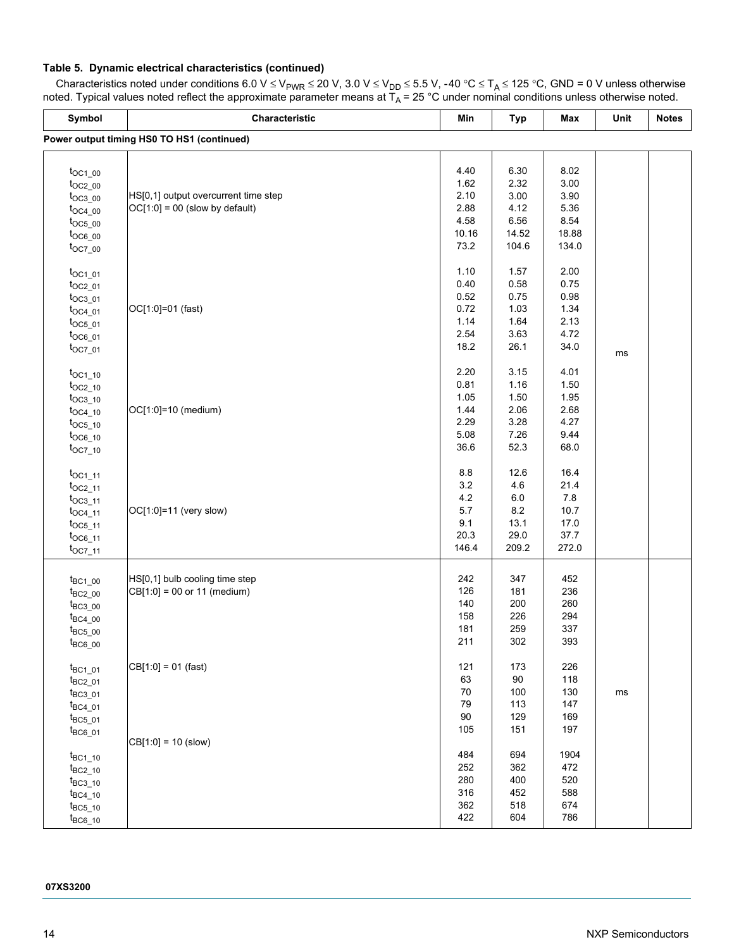### **Table 5. Dynamic electrical characteristics (continued)**

| Symbol                | Characteristic                             | Min    | Typ     | Max   | Unit | <b>Notes</b> |
|-----------------------|--------------------------------------------|--------|---------|-------|------|--------------|
|                       | Power output timing HS0 TO HS1 (continued) |        |         |       |      |              |
|                       |                                            |        |         |       |      |              |
| $t_{OC1\_00}$         |                                            | 4.40   | 6.30    | 8.02  |      |              |
| $t_{OC2\_00}$         |                                            | 1.62   | 2.32    | 3.00  |      |              |
| $t_{OC3_00}$          | HS[0,1] output overcurrent time step       | 2.10   | 3.00    | 3.90  |      |              |
| $t_{OC4\_00}$         | $OC[1:0] = 00$ (slow by default)           | 2.88   | 4.12    | 5.36  |      |              |
| $t_{OC5_00}$          |                                            | 4.58   | 6.56    | 8.54  |      |              |
| $t_{OC6\_00}$         |                                            | 10.16  | 14.52   | 18.88 |      |              |
| $t_{OC7_00}$          |                                            | 73.2   | 104.6   | 134.0 |      |              |
|                       |                                            | 1.10   | 1.57    | 2.00  |      |              |
| $t_{OC1_01}$          |                                            | 0.40   | 0.58    | 0.75  |      |              |
| $t_{OC2_01}$          |                                            | 0.52   |         |       |      |              |
| $t_{OC3_01}$          |                                            |        | 0.75    | 0.98  |      |              |
| $t_{OC4\_01}$         | OC[1:0]=01 (fast)                          | 0.72   | 1.03    | 1.34  |      |              |
| $t_{OC5_01}$          |                                            | 1.14   | 1.64    | 2.13  |      |              |
| $t_{OC6\_01}$         |                                            | 2.54   | 3.63    | 4.72  |      |              |
| $t_{OC7_01}$          |                                            | 18.2   | 26.1    | 34.0  | ms   |              |
| $t_{OC1\_10}$         |                                            | 2.20   | 3.15    | 4.01  |      |              |
| $t_{OC2\_10}$         |                                            | 0.81   | 1.16    | 1.50  |      |              |
|                       |                                            | 1.05   | 1.50    | 1.95  |      |              |
| $t_{OC3_10}$          | OC[1:0]=10 (medium)                        | 1.44   | 2.06    | 2.68  |      |              |
| $t_{OC4\_10}$         |                                            | 2.29   | 3.28    | 4.27  |      |              |
| $t_{OC5_10}$          |                                            | 5.08   | 7.26    | 9.44  |      |              |
| $t_{OC6\_10}$         |                                            | 36.6   | 52.3    | 68.0  |      |              |
| $t_{OC7_10}$          |                                            |        |         |       |      |              |
| $t_{OC1\_11}$         |                                            | 8.8    | 12.6    | 16.4  |      |              |
| $t_{OC2\_11}$         |                                            | 3.2    | 4.6     | 21.4  |      |              |
| $t_{OC3_11}$          |                                            | 4.2    | $6.0\,$ | 7.8   |      |              |
| $t_{OC4\_11}$         | OC[1:0]=11 (very slow)                     | 5.7    | 8.2     | 10.7  |      |              |
| $t$ <sub>OC5_11</sub> |                                            | 9.1    | 13.1    | 17.0  |      |              |
| $t_{OC6\_11}$         |                                            | 20.3   | 29.0    | 37.7  |      |              |
| $t_{OC7\_11}$         |                                            | 146.4  | 209.2   | 272.0 |      |              |
|                       |                                            |        |         |       |      |              |
| $t_{BC1}$ _00         | HS[0,1] bulb cooling time step             | 242    | 347     | 452   |      |              |
| $t_{BC2\_00}$         | $CB[1:0] = 00$ or 11 (medium)              | 126    | 181     | 236   |      |              |
| $t_{BC3_00}$          |                                            | 140    | 200     | 260   |      |              |
| $t_{BC4\_00}$         |                                            | 158    | 226     | 294   |      |              |
| $t_{BC5_00}$          |                                            | 181    | 259     | 337   |      |              |
| $t_{BC6\_00}$         |                                            | 211    | 302     | 393   |      |              |
| $t_{BC1\_01}$         | $CB[1:0] = 01$ (fast)                      | 121    | 173     | 226   |      |              |
| $t_{BC2\_01}$         |                                            | 63     | $90\,$  | 118   |      |              |
| $t_{BC3_01}$          |                                            | 70     | 100     | 130   | ms   |              |
| $t_{BC4\_01}$         |                                            | 79     | 113     | 147   |      |              |
| $t_{BC5_01}$          |                                            | $90\,$ | 129     | 169   |      |              |
|                       |                                            | 105    | 151     | 197   |      |              |
| $t_{BC6\_01}$         | $CB[1:0] = 10$ (slow)                      |        |         |       |      |              |
| $t_{BC1\_10}$         |                                            | 484    | 694     | 1904  |      |              |
| $t_{BC2\_10}$         |                                            | 252    | 362     | 472   |      |              |
| $t_{BC3\_10}$         |                                            | 280    | 400     | 520   |      |              |
| $t_{BC4\_10}$         |                                            | 316    | 452     | 588   |      |              |
| $t_{BC5\_10}$         |                                            | 362    | 518     | 674   |      |              |
|                       |                                            |        |         |       |      |              |

422

604

786

Characteristics noted under conditions 6.0 V ≤ V<sub>PWR</sub> ≤ 20 V, 3.0 V ≤ V<sub>DD</sub> ≤ 5.5 V, -40 °C ≤ T<sub>A</sub> ≤ 125 °C, GND = 0 V unless otherwise noted. Typical values noted reflect the approximate parameter means at T<sub>A</sub> = 25 °C under nominal conditions unless otherwise noted.

### **07XS3200**

 $t_{BC6}$  10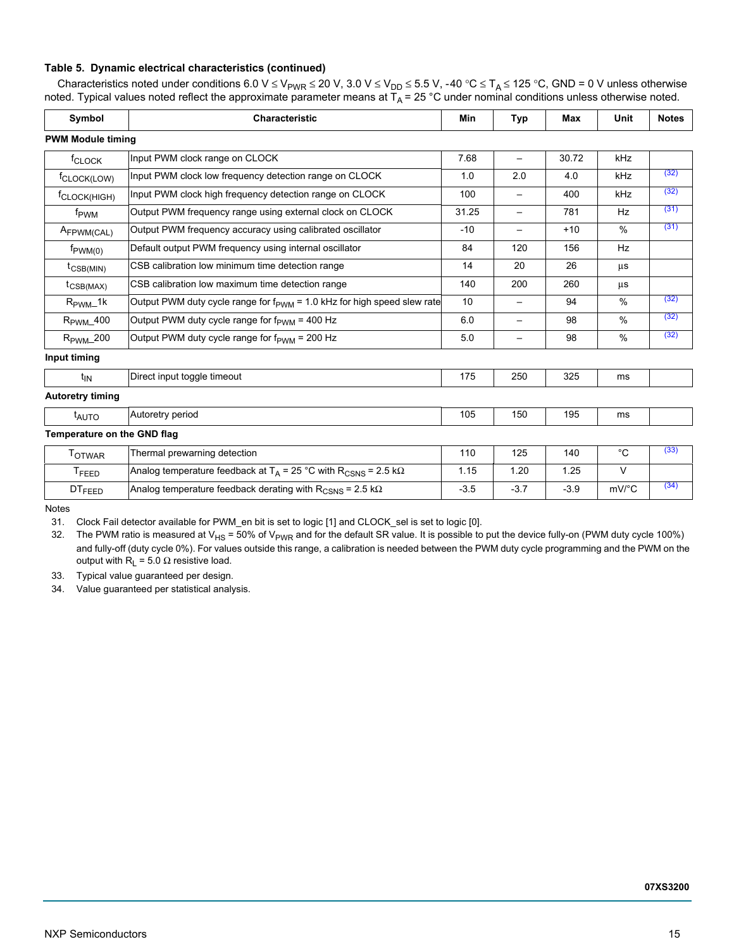### **Table 5. Dynamic electrical characteristics (continued)**

Characteristics noted under conditions 6.0 V ≤ V<sub>PWR</sub> ≤ 20 V, 3.0 V ≤ V<sub>DD</sub> ≤ 5.5 V, -40 °C ≤ T<sub>A</sub> ≤ 125 °C, GND = 0 V unless otherwise noted. Typical values noted reflect the approximate parameter means at T<sub>A</sub> = 25 °C under nominal conditions unless otherwise noted.

| Symbol                       | <b>Characteristic</b>                                                                         | <b>Min</b> | <b>Typ</b>               | <b>Max</b> | Unit                | <b>Notes</b> |
|------------------------------|-----------------------------------------------------------------------------------------------|------------|--------------------------|------------|---------------------|--------------|
| <b>PWM Module timing</b>     |                                                                                               |            |                          |            |                     |              |
| f <sub>CLOCK</sub>           | Input PWM clock range on CLOCK                                                                | 7.68       |                          | 30.72      | kHz                 |              |
| f <sub>CLOCK(LOW)</sub>      | Input PWM clock low frequency detection range on CLOCK                                        | 1.0        | 2.0                      | 4.0        | kHz                 | (32)         |
| <sup>f</sup> CLOCK(HIGH)     | Input PWM clock high frequency detection range on CLOCK                                       | 100        |                          | 400        | kHz                 | (32)         |
| f <sub>PWM</sub>             | Output PWM frequency range using external clock on CLOCK                                      | 31.25      | $\overline{\phantom{m}}$ | 781        | Hz                  | (31)         |
| AFPWM(CAL)                   | Output PWM frequency accuracy using calibrated oscillator                                     | $-10$      | $\overline{\phantom{0}}$ | $+10$      | $\%$                | (31)         |
| $f_{\text{PWM}(0)}$          | Default output PWM frequency using internal oscillator                                        | 84         | 120                      | 156        | Hz                  |              |
| $t_{\text{CSB(MIN)}}$        | CSB calibration low minimum time detection range                                              | 14         | 20                       | 26         | μs                  |              |
| $t_{\text{CSB}(\text{MAX})}$ | CSB calibration low maximum time detection range                                              | 140        | 200                      | 260        | μs                  |              |
| $R_{\text{PWM}}$ 1k          | Output PWM duty cycle range for $f_{\text{PWM}}$ = 1.0 kHz for high speed slew rate           | 10         | $\overline{\phantom{m}}$ | 94         | %                   | (32)         |
| $R_{\text{PWM}}$ 400         | Output PWM duty cycle range for f <sub>PWM</sub> = 400 Hz                                     | 6.0        | $\overline{\phantom{m}}$ | 98         | %                   | (32)         |
| $R_{\text{PWM}}$ 200         | Output PWM duty cycle range for f <sub>PWM</sub> = 200 Hz                                     | 5.0        |                          | 98         | %                   | (32)         |
| Input timing                 |                                                                                               |            |                          |            |                     |              |
| $t_{IN}$                     | Direct input toggle timeout                                                                   | 175        | 250                      | 325        | ms                  |              |
| <b>Autoretry timing</b>      |                                                                                               |            |                          |            |                     |              |
| $t_{\text{AUTO}}$            | Autoretry period                                                                              | 105        | 150                      | 195        | ms                  |              |
| Temperature on the GND flag  |                                                                                               |            |                          |            |                     |              |
| <b>TOTWAR</b>                | Thermal prewarning detection                                                                  | 110        | 125                      | 140        | $^{\circ}C$         | (33)         |
| T <sub>FEED</sub>            | Analog temperature feedback at T <sub>A</sub> = 25 °C with R <sub>CSNS</sub> = 2.5 k $\Omega$ | 1.15       | 1.20                     | 1.25       | $\vee$              |              |
| <b>DTFEED</b>                | Analog temperature feedback derating with $R_{CSNS}$ = 2.5 k $\Omega$                         | $-3.5$     | $-3.7$                   | $-3.9$     | $mV$ <sup>o</sup> C | (34)         |

Notes

<span id="page-14-1"></span>31. Clock Fail detector available for PWM\_en bit is set to logic [1] and CLOCK\_sel is set to logic [0].

<span id="page-14-0"></span>32. The PWM ratio is measured at V<sub>HS</sub> = 50% of V<sub>PWR</sub> and for the default SR value. It is possible to put the device fully-on (PWM duty cycle 100%) and fully-off (duty cycle 0%). For values outside this range, a calibration is needed between the PWM duty cycle programming and the PWM on the output with  $R_L$  = 5.0 Ω resistive load.

<span id="page-14-2"></span>33. Typical value guaranteed per design.

<span id="page-14-3"></span>34. Value guaranteed per statistical analysis.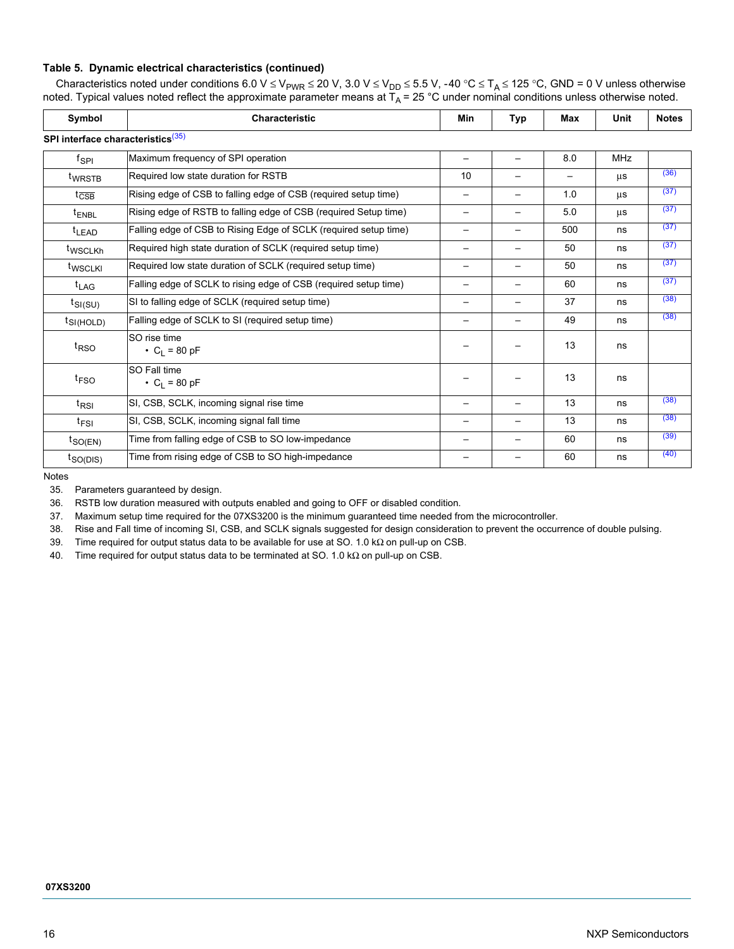### **Table 5. Dynamic electrical characteristics (continued)**

Characteristics noted under conditions 6.0 V ≤ V<sub>PWR</sub> ≤ 20 V, 3.0 V ≤ V<sub>DD</sub> ≤ 5.5 V, -40 °C ≤ T<sub>A</sub> ≤ 125 °C, GND = 0 V unless otherwise noted. Typical values noted reflect the approximate parameter means at T<sub>A</sub> = 25 °C under nominal conditions unless otherwise noted.

| Symbol                                        | <b>Characteristic</b>                                            | Min                      | <b>Typ</b>               | Max | Unit       | <b>Notes</b> |
|-----------------------------------------------|------------------------------------------------------------------|--------------------------|--------------------------|-----|------------|--------------|
| SPI interface characteristics <sup>(35)</sup> |                                                                  |                          |                          |     |            |              |
| fspr                                          | Maximum frequency of SPI operation                               |                          |                          | 8.0 | <b>MHz</b> |              |
| t <sub>WRSTB</sub>                            | Required low state duration for RSTB                             | 10                       |                          |     | μs         | (36)         |
| $t_{\overline{\text{CSB}}}$                   | Rising edge of CSB to falling edge of CSB (required setup time)  | $\qquad \qquad -$        | $\qquad \qquad -$        | 1.0 | μs         | (37)         |
| <sup>t</sup> ENBL                             | Rising edge of RSTB to falling edge of CSB (required Setup time) |                          |                          | 5.0 | μs         | (37)         |
| <sup>t</sup> LEAD                             | Falling edge of CSB to Rising Edge of SCLK (required setup time) |                          |                          | 500 | ns         | (37)         |
| twscLKh                                       | Required high state duration of SCLK (required setup time)       |                          |                          | 50  | ns         | (37)         |
| t <sub>WSCLKI</sub>                           | Required low state duration of SCLK (required setup time)        | —                        | —                        | 50  | ns         | (37)         |
| $t_{LAG}$                                     | Falling edge of SCLK to rising edge of CSB (required setup time) | $\qquad \qquad$          | $\overline{\phantom{0}}$ | 60  | ns         | (37)         |
| $t_{SI(SU)}$                                  | SI to falling edge of SCLK (required setup time)                 | $\overline{\phantom{0}}$ | $\overline{\phantom{0}}$ | 37  | ns         | (38)         |
| $t_{\text{SI(HOLD)}}$                         | Falling edge of SCLK to SI (required setup time)                 |                          |                          | 49  | ns         | (38)         |
| t <sub>RSO</sub>                              | SO rise time<br>• $C_1 = 80 pF$                                  |                          |                          | 13  | ns         |              |
| <sup>t</sup> FSO                              | SO Fall time<br>• $C_1 = 80 pF$                                  |                          |                          | 13  | ns         |              |
| $t_{RSI}$                                     | SI, CSB, SCLK, incoming signal rise time                         |                          | —                        | 13  | ns         | (38)         |
| $t_{FSI}$                                     | SI, CSB, SCLK, incoming signal fall time                         | —                        | —                        | 13  | ns         | (38)         |
| $t_{\mathsf{SO(EN)}}$                         | Time from falling edge of CSB to SO low-impedance                |                          |                          | 60  | ns         | (39)         |
| t <sub>SO(DIS)</sub>                          | Time from rising edge of CSB to SO high-impedance                |                          |                          | 60  | ns         | (40)         |

Notes

<span id="page-15-0"></span>35. Parameters guaranteed by design.

<span id="page-15-1"></span>36. RSTB low duration measured with outputs enabled and going to OFF or disabled condition.

<span id="page-15-2"></span>37. Maximum setup time required for the 07XS3200 is the minimum guaranteed time needed from the microcontroller.

<span id="page-15-3"></span>38. Rise and Fall time of incoming SI, CSB, and SCLK signals suggested for design consideration to prevent the occurrence of double pulsing.

<span id="page-15-4"></span>39. Time required for output status data to be available for use at SO. 1.0 kΩ on pull-up on CSB.

<span id="page-15-5"></span>40. Time required for output status data to be terminated at SO. 1.0 kΩ on pull-up on CSB.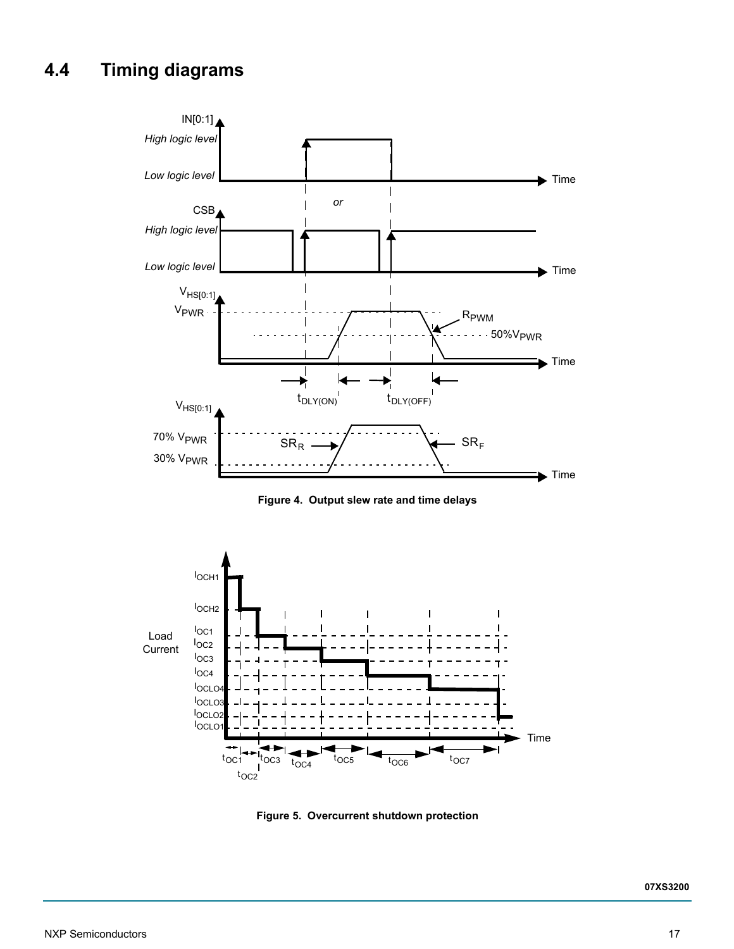# <span id="page-16-0"></span>**4.4 Timing diagrams**



**Figure 4. Output slew rate and time delays**

<span id="page-16-1"></span>

<span id="page-16-2"></span>**Figure 5. Overcurrent shutdown protection**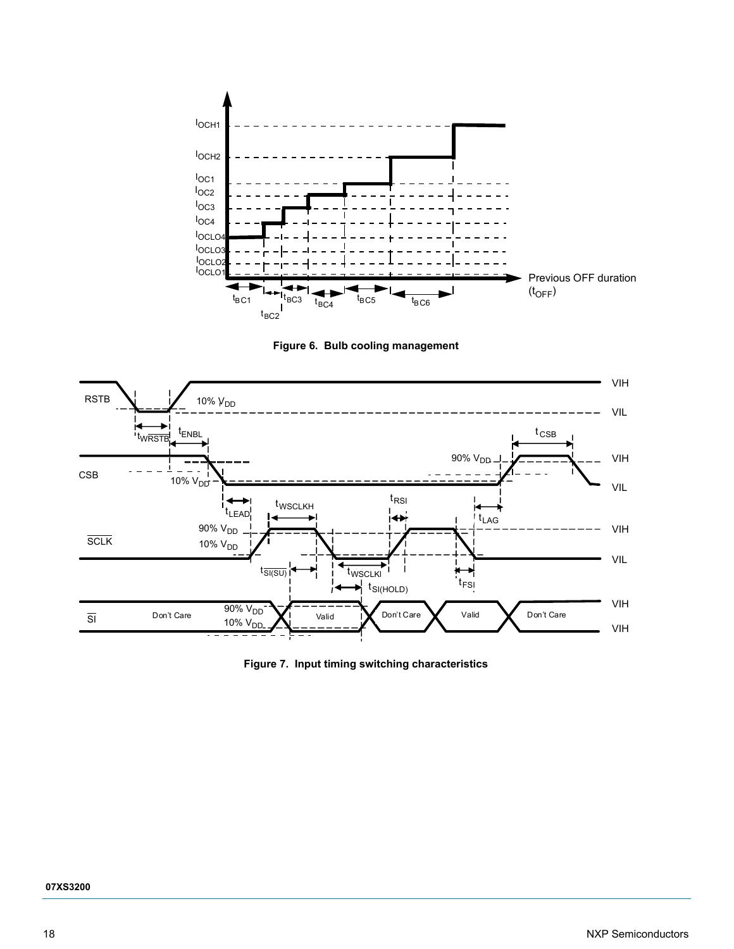



<span id="page-17-0"></span>

**Figure 7. Input timing switching characteristics**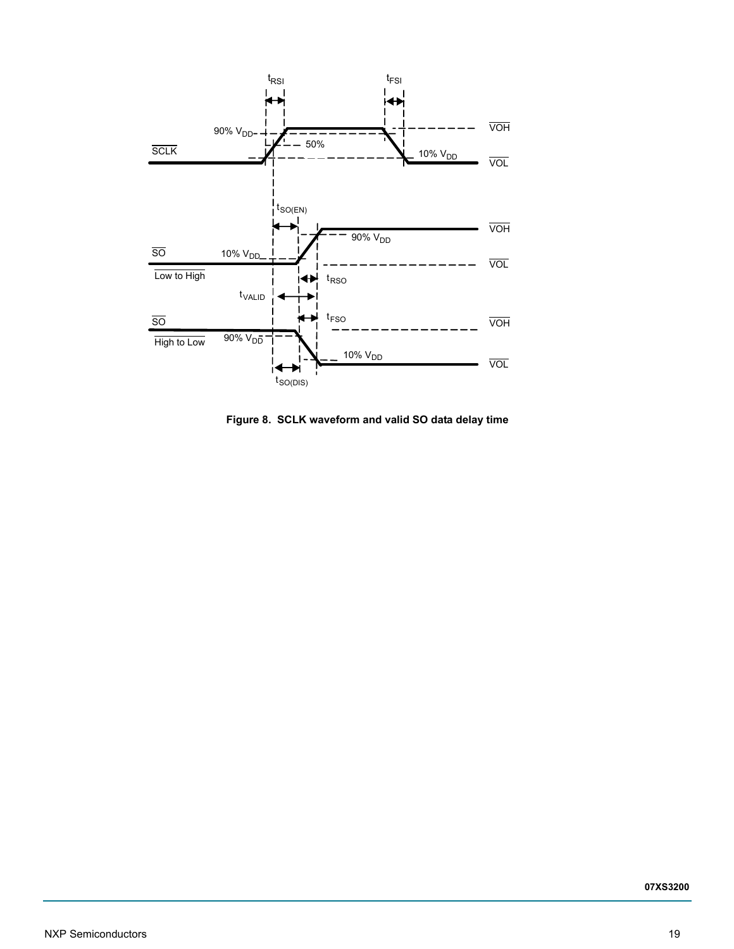

**Figure 8. SCLK waveform and valid SO data delay time**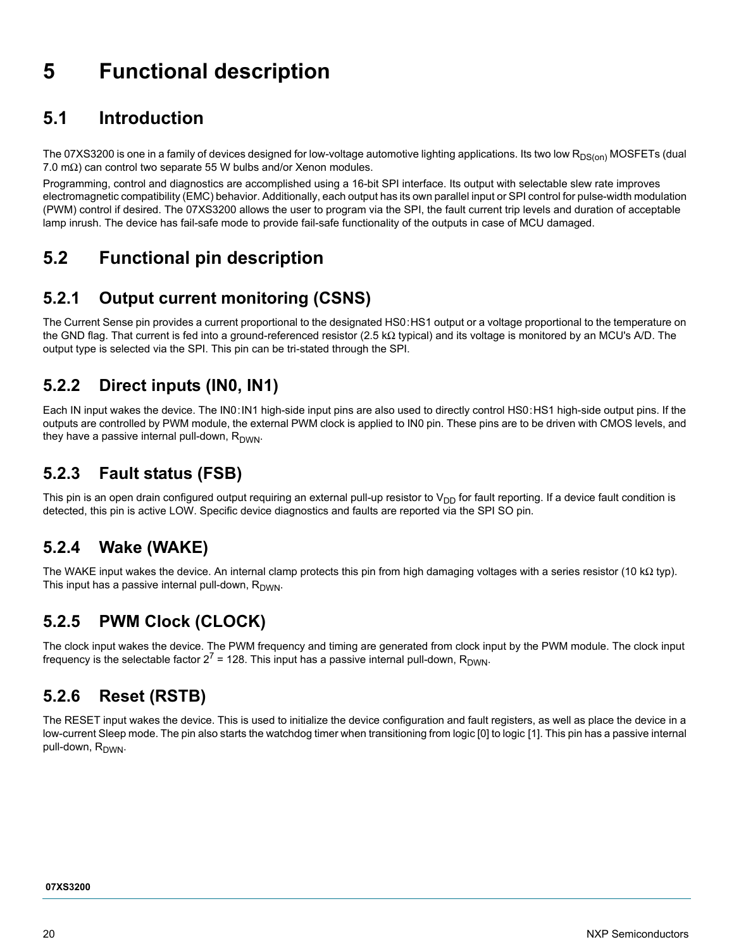# <span id="page-19-0"></span>**5 Functional description**

# <span id="page-19-1"></span>**5.1 Introduction**

The 07XS3200 is one in a family of devices designed for low-voltage automotive lighting applications. Its two low R<sub>DS(on)</sub> MOSFETs (dual 7.0 m $\Omega$ ) can control two separate 55 W bulbs and/or Xenon modules.

Programming, control and diagnostics are accomplished using a 16-bit SPI interface. Its output with selectable slew rate improves electromagnetic compatibility (EMC) behavior. Additionally, each output has its own parallel input or SPI control for pulse-width modulation (PWM) control if desired. The 07XS3200 allows the user to program via the SPI, the fault current trip levels and duration of acceptable lamp inrush. The device has fail-safe mode to provide fail-safe functionality of the outputs in case of MCU damaged.

# <span id="page-19-2"></span>**5.2 Functional pin description**

## **5.2.1 Output current monitoring (CSNS)**

The Current Sense pin provides a current proportional to the designated HS0:HS1 output or a voltage proportional to the temperature on the GND flag. That current is fed into a ground-referenced resistor (2.5 kΩ typical) and its voltage is monitored by an MCU's A/D. The output type is selected via the SPI. This pin can be tri-stated through the SPI.

## **5.2.2 Direct inputs (IN0, IN1)**

Each IN input wakes the device. The IN0:IN1 high-side input pins are also used to directly control HS0:HS1 high-side output pins. If the outputs are controlled by PWM module, the external PWM clock is applied to IN0 pin. These pins are to be driven with CMOS levels, and they have a passive internal pull-down,  $R_{DWN}$ .

## **5.2.3 Fault status (FSB)**

This pin is an open drain configured output requiring an external pull-up resistor to  $V_{DD}$  for fault reporting. If a device fault condition is detected, this pin is active LOW. Specific device diagnostics and faults are reported via the SPI SO pin.

# **5.2.4 Wake (WAKE)**

The WAKE input wakes the device. An internal clamp protects this pin from high damaging voltages with a series resistor (10 kΩ typ). This input has a passive internal pull-down,  $R_{DWN}$ .

# **5.2.5 PWM Clock (CLOCK)**

The clock input wakes the device. The PWM frequency and timing are generated from clock input by the PWM module. The clock input frequency is the selectable factor  $2^7$  = 128. This input has a passive internal pull-down, R<sub>DWN</sub>.

# **5.2.6 Reset (RSTB)**

The RESET input wakes the device. This is used to initialize the device configuration and fault registers, as well as place the device in a low-current Sleep mode. The pin also starts the watchdog timer when transitioning from logic [0] to logic [1]. This pin has a passive internal pull-down, R<sub>DWN</sub>.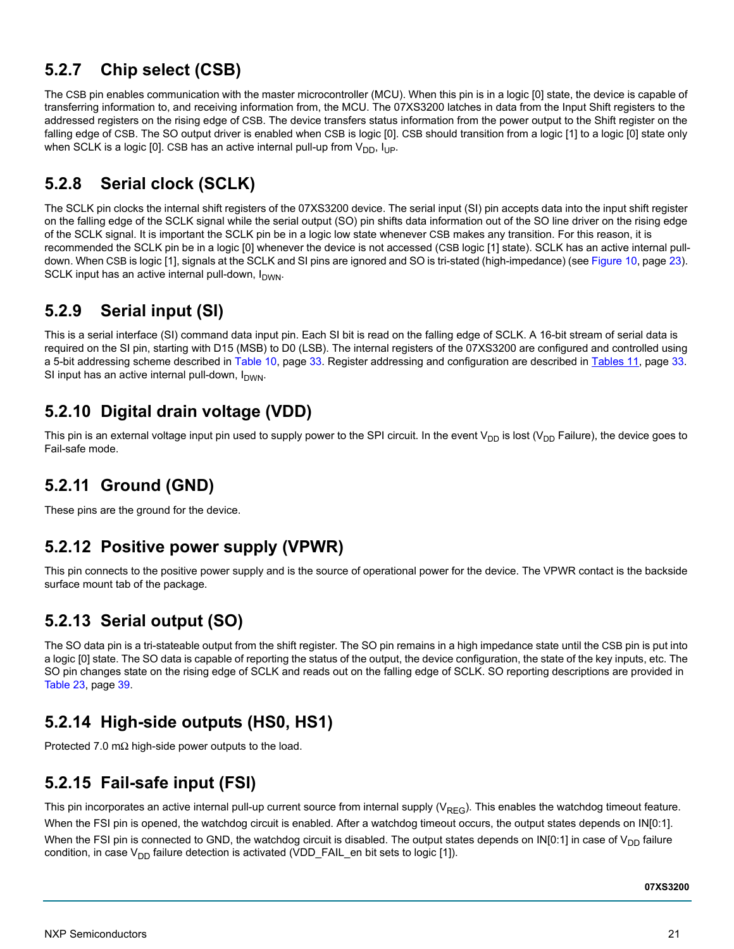## **5.2.7 Chip select (CSB)**

The CSB pin enables communication with the master microcontroller (MCU). When this pin is in a logic [0] state, the device is capable of transferring information to, and receiving information from, the MCU. The 07XS3200 latches in data from the Input Shift registers to the addressed registers on the rising edge of CSB. The device transfers status information from the power output to the Shift register on the falling edge of CSB. The SO output driver is enabled when CSB is logic [0]. CSB should transition from a logic [1] to a logic [0] state only when SCLK is a logic [0]. CSB has an active internal pull-up from  $V_{DD}$ ,  $I_{UP}$ .

## **5.2.8 Serial clock (SCLK)**

The SCLK pin clocks the internal shift registers of the 07XS3200 device. The serial input (SI) pin accepts data into the input shift register on the falling edge of the SCLK signal while the serial output (SO) pin shifts data information out of the SO line driver on the rising edge of the SCLK signal. It is important the SCLK pin be in a logic low state whenever CSB makes any transition. For this reason, it is recommended the SCLK pin be in a logic [0] whenever the device is not accessed (CSB logic [1] state). SCLK has an active internal pulldown. When CSB is logic [1], signals at the SCLK and SI pins are ignored and SO is tri-stated (high-impedance) (see [Figure](#page-22-3) 10, [page](#page-22-3) 23). SCLK input has an active internal pull-down,  $I_{DWN}$ .

## **5.2.9 Serial input (SI)**

This is a serial interface (SI) command data input pin. Each SI bit is read on the falling edge of SCLK. A 16-bit stream of serial data is required on the SI pin, starting with D15 (MSB) to D0 (LSB). The internal registers of the 07XS3200 are configured and controlled using a 5-bit addressing scheme described in [Table](#page-32-0) 10, [page](#page-32-0) 33. Register addressing and configuration are described in [Tables](#page-32-1) 11, [page](#page-32-1) 33. SI input has an active internal pull-down,  $I_{DWN}$ .

# **5.2.10 Digital drain voltage (VDD)**

This pin is an external voltage input pin used to supply power to the SPI circuit. In the event  $V_{DD}$  is lost ( $V_{DD}$  Failure), the device goes to Fail-safe mode.

# **5.2.11 Ground (GND)**

These pins are the ground for the device.

## **5.2.12 Positive power supply (VPWR)**

This pin connects to the positive power supply and is the source of operational power for the device. The VPWR contact is the backside surface mount tab of the package.

# **5.2.13 Serial output (SO)**

The SO data pin is a tri-stateable output from the shift register. The SO pin remains in a high impedance state until the CSB pin is put into a logic [0] state. The SO data is capable of reporting the status of the output, the device configuration, the state of the key inputs, etc. The SO pin changes state on the rising edge of SCLK and reads out on the falling edge of SCLK. SO reporting descriptions are provided in [Table](#page-38-0) 23, [page](#page-38-0) 39.

## **5.2.14 High-side outputs (HS0, HS1)**

Protected 7.0 mΩ high-side power outputs to the load.

### **5.2.15 Fail-safe input (FSI)**

This pin incorporates an active internal pull-up current source from internal supply ( $V_{REG}$ ). This enables the watchdog timeout feature. When the FSI pin is opened, the watchdog circuit is enabled. After a watchdog timeout occurs, the output states depends on IN[0:1]. When the FSI pin is connected to GND, the watchdog circuit is disabled. The output states depends on IN[0:1] in case of  $V_{DD}$  failure condition, in case  $V_{DD}$  failure detection is activated (VDD\_FAIL\_en bit sets to logic [1]).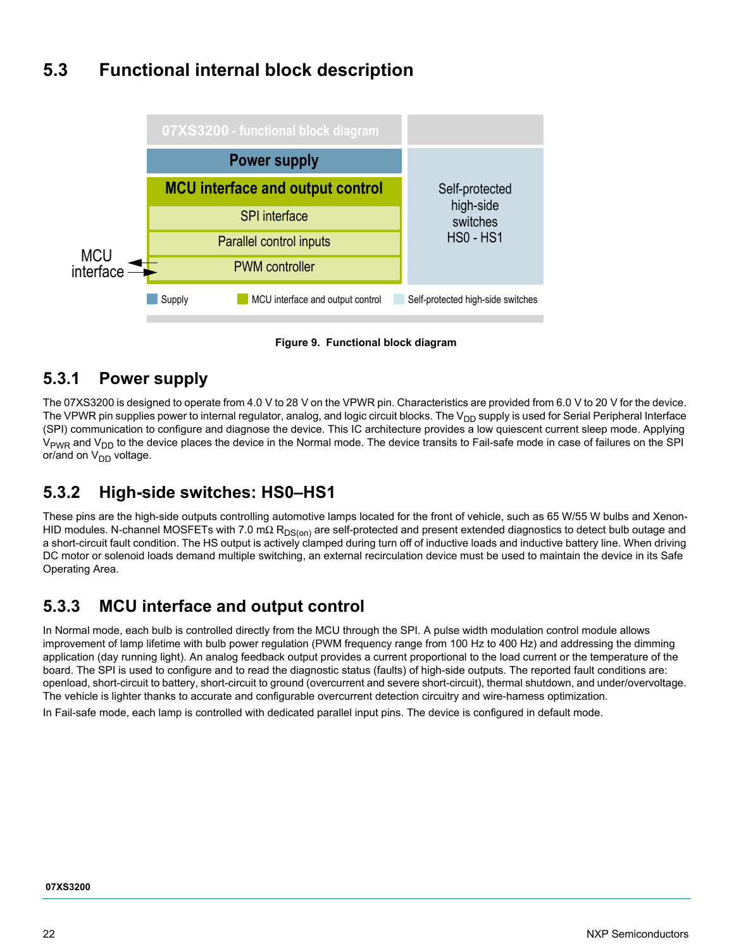# <span id="page-21-0"></span>**5.3 Functional internal block description**



**Figure 9. Functional block diagram**

### **5.3.1 Power supply**

The 07XS3200 is designed to operate from 4.0 V to 28 V on the VPWR pin. Characteristics are provided from 6.0 V to 20 V for the device. The VPWR pin supplies power to internal regulator, analog, and logic circuit blocks. The V<sub>DD</sub> supply is used for Serial Peripheral Interface (SPI) communication to configure and diagnose the device. This IC architecture provides a low quiescent current sleep mode. Applying V<sub>PWR</sub> and V<sub>DD</sub> to the device places the device in the Normal mode. The device transits to Fail-safe mode in case of failures on the SPI or/and on  $V_{DD}$  voltage.

## **5.3.2 High-side switches: HS0–HS1**

These pins are the high-side outputs controlling automotive lamps located for the front of vehicle, such as 65 W/55 W bulbs and Xenon-HID modules. N-channel MOSFETs with 7.0 mΩ R<sub>DS(on)</sub> are self-protected and present extended diagnostics to detect bulb outage and a short-circuit fault condition. The HS output is actively clamped during turn off of inductive loads and inductive battery line. When driving DC motor or solenoid loads demand multiple switching, an external recirculation device must be used to maintain the device in its Safe Operating Area.

### **5.3.3 MCU interface and output control**

In Normal mode, each bulb is controlled directly from the MCU through the SPI. A pulse width modulation control module allows improvement of lamp lifetime with bulb power regulation (PWM frequency range from 100 Hz to 400 Hz) and addressing the dimming application (day running light). An analog feedback output provides a current proportional to the load current or the temperature of the board. The SPI is used to configure and to read the diagnostic status (faults) of high-side outputs. The reported fault conditions are: openload, short-circuit to battery, short-circuit to ground (overcurrent and severe short-circuit), thermal shutdown, and under/overvoltage. The vehicle is lighter thanks to accurate and configurable overcurrent detection circuitry and wire-harness optimization.

In Fail-safe mode, each lamp is controlled with dedicated parallel input pins. The device is configured in default mode.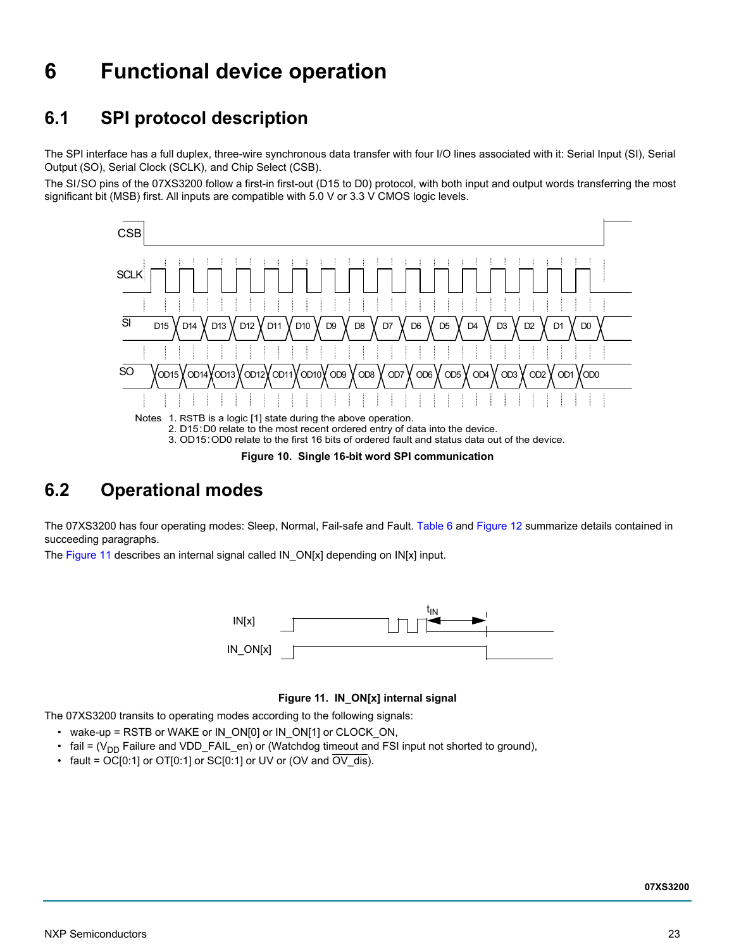# <span id="page-22-2"></span>**6 Functional device operation**

# <span id="page-22-1"></span>**6.1 SPI protocol description**

The SPI interface has a full duplex, three-wire synchronous data transfer with four I/O lines associated with it: Serial Input (SI), Serial Output (SO), Serial Clock (SCLK), and Chip Select (CSB).

The SI/SO pins of the 07XS3200 follow a first-in first-out (D15 to D0) protocol, with both input and output words transferring the most significant bit (MSB) first. All inputs are compatible with 5.0 V or 3.3 V CMOS logic levels.



# <span id="page-22-3"></span><span id="page-22-0"></span>**6.2 Operational modes**

The 07XS3200 has four operating modes: Sleep, Normal, Fail-safe and Fault. [Table](#page-23-0) 6 and [Figure](#page-23-1) 12 summarize details contained in succeeding paragraphs.

The [Figure](#page-22-4) 11 describes an internal signal called IN ON[x] depending on IN[x] input.



### **Figure 11. IN\_ON[x] internal signal**

<span id="page-22-4"></span>The 07XS3200 transits to operating modes according to the following signals:

- wake-up = RSTB or WAKE or IN\_ON[0] or IN\_ON[1] or CLOCK\_ON,
- fail =  $(V_{DD}$  Failure and VDD FAIL en) or (Watchdog timeout and FSI input not shorted to ground),
- fault =  $OC[0:1]$  or  $OT[0:1]$  or  $SC[0:1]$  or UV or (OV and  $\overline{OV}$  dis).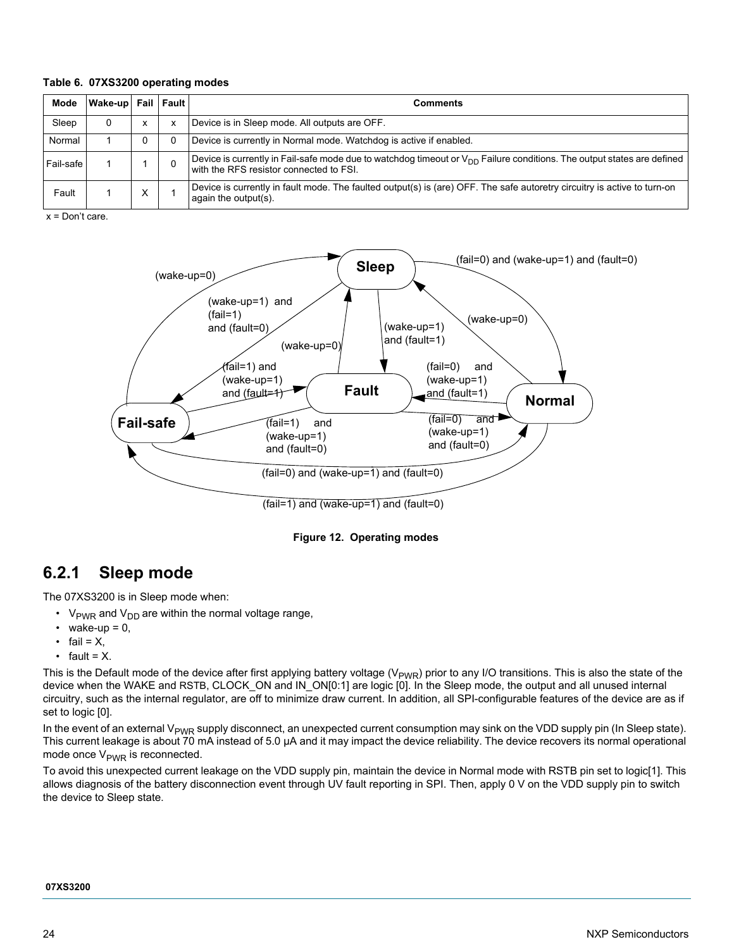### <span id="page-23-0"></span>**Table 6. 07XS3200 operating modes**

| Mode      | Wake-up Fail Fault |   |   | <b>Comments</b>                                                                                                                                                        |
|-----------|--------------------|---|---|------------------------------------------------------------------------------------------------------------------------------------------------------------------------|
| Sleep     |                    | x | х | Device is in Sleep mode. All outputs are OFF.                                                                                                                          |
| Normal    |                    | 0 |   | Device is currently in Normal mode. Watchdog is active if enabled.                                                                                                     |
| Fail-safe |                    |   |   | Device is currently in Fail-safe mode due to watchdog timeout or $V_{DD}$ Failure conditions. The output states are defined<br>with the RFS resistor connected to FSI. |
| Fault     |                    | v |   | Device is currently in fault mode. The faulted output(s) is (are) OFF. The safe autoretry circuitry is active to turn-on<br>again the output(s).                       |

x = Don't care.



**Figure 12. Operating modes**

### <span id="page-23-1"></span>**6.2.1 Sleep mode**

The 07XS3200 is in Sleep mode when:

- $V_{\text{PWR}}$  and  $V_{\text{DD}}$  are within the normal voltage range,
- wake-up =  $0$ ,
- fail =  $X$ ,
- fault =  $X$ .

This is the Default mode of the device after first applying battery voltage  $(V_{PWR})$  prior to any I/O transitions. This is also the state of the device when the WAKE and RSTB, CLOCK ON and IN ON[0:1] are logic [0]. In the Sleep mode, the output and all unused internal circuitry, such as the internal regulator, are off to minimize draw current. In addition, all SPI-configurable features of the device are as if set to logic [0].

In the event of an external V<sub>PWR</sub> supply disconnect, an unexpected current consumption may sink on the VDD supply pin (In Sleep state). This current leakage is about 70 mA instead of 5.0 µA and it may impact the device reliability. The device recovers its normal operational mode once  $V_{\text{PWR}}$  is reconnected.

To avoid this unexpected current leakage on the VDD supply pin, maintain the device in Normal mode with RSTB pin set to logic[1]. This allows diagnosis of the battery disconnection event through UV fault reporting in SPI. Then, apply 0 V on the VDD supply pin to switch the device to Sleep state.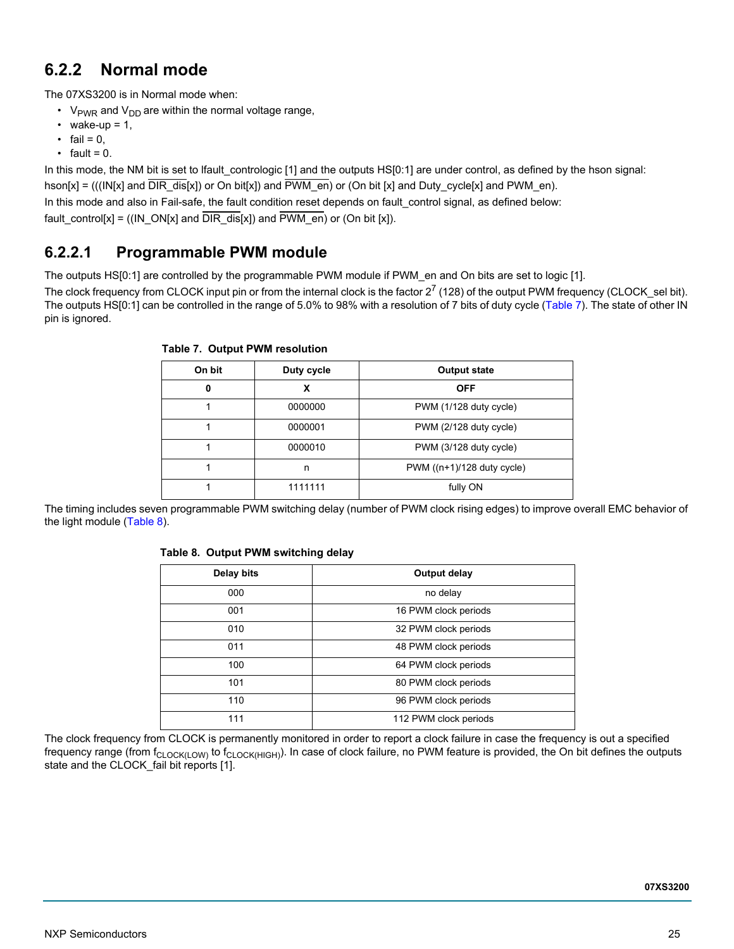### **6.2.2 Normal mode**

The 07XS3200 is in Normal mode when:

- $V_{\text{PWR}}$  and  $V_{\text{DD}}$  are within the normal voltage range,
- wake-up =  $1$ ,
- fail =  $0$ ,
- fault =  $0$ .

In this mode, the NM bit is set to lfault\_contrologic [1] and the outputs HS[0:1] are under control, as defined by the hson signal: hson[x] = (((IN[x] and  $\overline{DIR}$  dis[x]) or On bit[x]) and  $\overline{PWM}$  en) or (On bit [x] and Duty cycle[x] and PWM\_en). In this mode and also in Fail-safe, the fault condition reset depends on fault control signal, as defined below: fault\_control[x] = ((IN\_ON[x] and  $\overline{DIR\_dis}[x]$ ) and  $\overline{PWM\_en}$ ) or (On bit [x]).

### **6.2.2.1 Programmable PWM module**

The outputs HS[0:1] are controlled by the programmable PWM module if PWM\_en and On bits are set to logic [1].

The clock frequency from CLOCK input pin or from the internal clock is the factor  $2^7$  (128) of the output PWM frequency (CLOCK sel bit). The outputs HS[0:1] can be controlled in the range of 5.0% to 98% with a resolution of 7 bits of duty cycle [\(Table](#page-24-0) 7). The state of other IN pin is ignored.

| On bit | Duty cycle | <b>Output state</b>        |
|--------|------------|----------------------------|
| 0      | x          | <b>OFF</b>                 |
|        | 0000000    | PWM (1/128 duty cycle)     |
|        | 0000001    | PWM (2/128 duty cycle)     |
|        | 0000010    | PWM (3/128 duty cycle)     |
|        | n          | PWM ((n+1)/128 duty cycle) |
|        | 1111111    | fully ON                   |

<span id="page-24-0"></span>**Table 7. Output PWM resolution**

The timing includes seven programmable PWM switching delay (number of PWM clock rising edges) to improve overall EMC behavior of the light module [\(Table](#page-24-1) 8).

### <span id="page-24-1"></span>**Table 8. Output PWM switching delay**

| Delay bits | Output delay          |
|------------|-----------------------|
| 000        | no delay              |
| 001        | 16 PWM clock periods  |
| 010        | 32 PWM clock periods  |
| 011        | 48 PWM clock periods  |
| 100        | 64 PWM clock periods  |
| 101        | 80 PWM clock periods  |
| 110        | 96 PWM clock periods  |
|            | 112 PWM clock periods |

The clock frequency from CLOCK is permanently monitored in order to report a clock failure in case the frequency is out a specified frequency range (from f<sub>CLOCK(LOW)</sub> to f<sub>CLOCK(HIGH)</sub>). In case of clock failure, no PWM feature is provided, the On bit defines the outputs state and the CLOCK\_fail bit reports [1].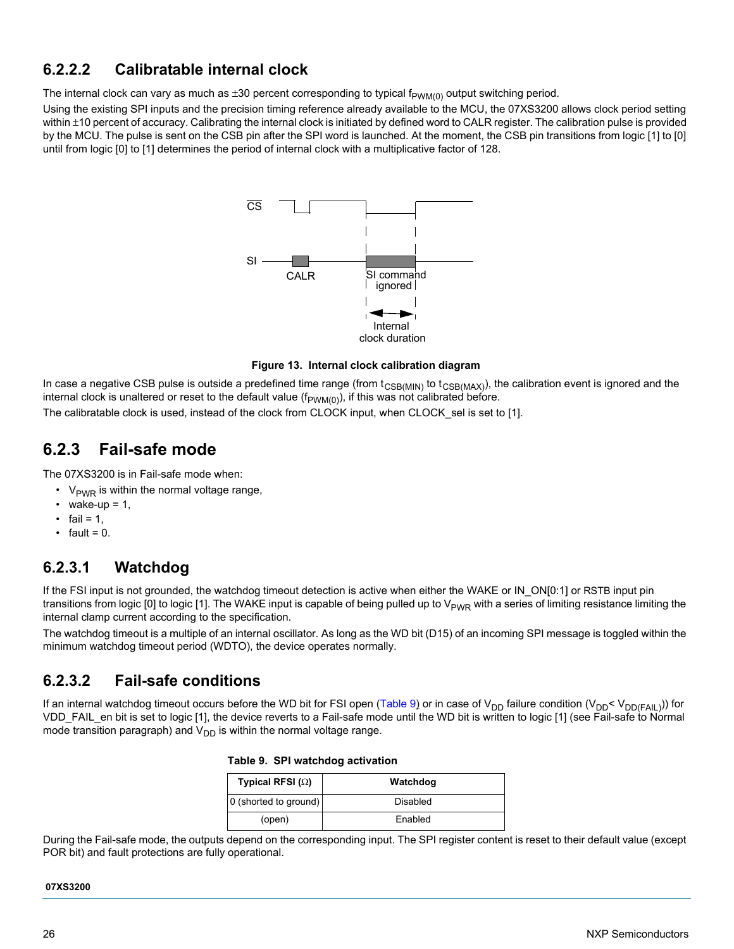### **6.2.2.2 Calibratable internal clock**

The internal clock can vary as much as  $\pm 30$  percent corresponding to typical f<sub>PWM(0)</sub> output switching period.

Using the existing SPI inputs and the precision timing reference already available to the MCU, the 07XS3200 allows clock period setting within  $\pm$ 10 percent of accuracy. Calibrating the internal clock is initiated by defined word to CALR register. The calibration pulse is provided by the MCU. The pulse is sent on the CSB pin after the SPI word is launched. At the moment, the CSB pin transitions from logic [1] to [0] until from logic [0] to [1] determines the period of internal clock with a multiplicative factor of 128.



**Figure 13. Internal clock calibration diagram**

In case a negative CSB pulse is outside a predefined time range (from  $t_{\text{CSB(MIN)}}$  to  $t_{\text{CSB(MAX)}}$ ), the calibration event is ignored and the internal clock is unaltered or reset to the default value  $(f_{PWM(0)})$ , if this was not calibrated before.

The calibratable clock is used, instead of the clock from CLOCK input, when CLOCK\_sel is set to [1].

### **6.2.3 Fail-safe mode**

The 07XS3200 is in Fail-safe mode when:

- $V_{\text{PWR}}$  is within the normal voltage range,
- wake-up =  $1$ ,
- fail =  $1$ ,
- $\cdot$  fault = 0.

### **6.2.3.1 Watchdog**

If the FSI input is not grounded, the watchdog timeout detection is active when either the WAKE or IN ON[0:1] or RSTB input pin transitions from logic [0] to logic [1]. The WAKE input is capable of being pulled up to  $V_{PWR}$  with a series of limiting resistance limiting the internal clamp current according to the specification.

The watchdog timeout is a multiple of an internal oscillator*.* As long as the WD bit (D15) of an incoming SPI message is toggled within the minimum watchdog timeout period (WDTO), the device operates normally.

### **6.2.3.2 Fail-safe conditions**

If an internal watchdog timeout occurs before the WD bit for FSI open [\(Table](#page-25-0) 9) or in case of V<sub>DD</sub> failure condition (V<sub>DD</sub>< V<sub>DD(FAIL)</sub>)) for VDD\_FAIL\_en bit is set to logic [1], the device reverts to a Fail-safe mode until the WD bit is written to logic [1] (see Fail-safe to Normal mode transition paragraph) and  $V_{DD}$  is within the normal voltage range.

<span id="page-25-0"></span>

|  | Table 9. SPI watchdog activation |  |
|--|----------------------------------|--|
|--|----------------------------------|--|

| Typical RFSI $(\Omega)$ | Watchdog |
|-------------------------|----------|
| 0 (shorted to ground)   | Disabled |
| (open)                  | Enabled  |

During the Fail-safe mode, the outputs depend on the corresponding input. The SPI register content is reset to their default value (except POR bit) and fault protections are fully operational.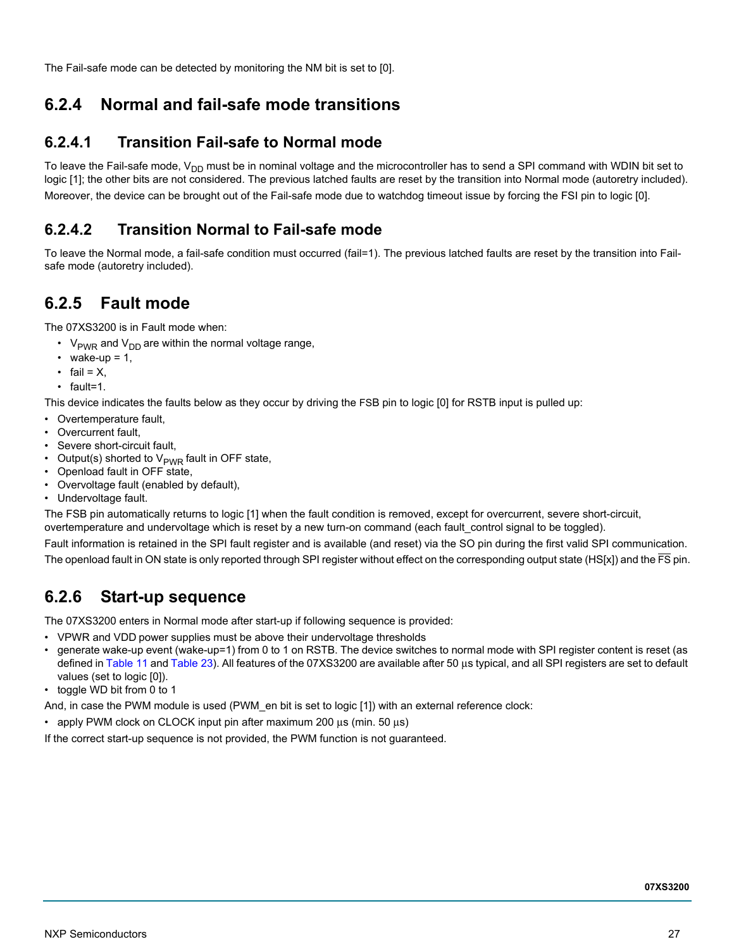The Fail-safe mode can be detected by monitoring the NM bit is set to [0].

### **6.2.4 Normal and fail-safe mode transitions**

### **6.2.4.1 Transition Fail-safe to Normal mode**

To leave the Fail-safe mode, V<sub>DD</sub> must be in nominal voltage and the microcontroller has to send a SPI command with WDIN bit set to logic [1]; the other bits are not considered. The previous latched faults are reset by the transition into Normal mode (autoretry included). Moreover, the device can be brought out of the Fail-safe mode due to watchdog timeout issue by forcing the FSI pin to logic [0].

### **6.2.4.2 Transition Normal to Fail-safe mode**

To leave the Normal mode, a fail-safe condition must occurred (fail=1). The previous latched faults are reset by the transition into Failsafe mode (autoretry included).

### **6.2.5 Fault mode**

The 07XS3200 is in Fault mode when:

- $V<sub>PWR</sub>$  and  $V<sub>DD</sub>$  are within the normal voltage range,
- wake-up =  $1$ ,
- fail =  $X$ .
- fault=1.

This device indicates the faults below as they occur by driving the FSB pin to logic [0] for RSTB input is pulled up:

- Overtemperature fault,
- Overcurrent fault,
- Severe short-circuit fault,
- Output(s) shorted to  $V_{\text{PWR}}$  fault in OFF state,
- Openload fault in OFF state,
- Overvoltage fault (enabled by default),
- Undervoltage fault.

The FSB pin automatically returns to logic [1] when the fault condition is removed, except for overcurrent, severe short-circuit, overtemperature and undervoltage which is reset by a new turn-on command (each fault\_control signal to be toggled).

Fault information is retained in the SPI fault register and is available (and reset) via the SO pin during the first valid SPI communication.

The openload fault in ON state is only reported through SPI register without effect on the corresponding output state ( $HS[x]$ ) and the  $\overline{FS}$  pin.

### **6.2.6 Start-up sequence**

The 07XS3200 enters in Normal mode after start-up if following sequence is provided:

- VPWR and VDD power supplies must be above their undervoltage thresholds
- generate wake-up event (wake-up=1) from 0 to 1 on RSTB. The device switches to normal mode with SPI register content is reset (as defined in [Table](#page-32-1) 11 and [Table](#page-38-0) 23). All features of the 07XS3200 are available after 50 μs typical, and all SPI registers are set to default values (set to logic [0]).
- toggle WD bit from 0 to 1
- And, in case the PWM module is used (PWM\_en bit is set to logic [1]) with an external reference clock:
- apply PWM clock on CLOCK input pin after maximum 200 μs (min. 50 μs)

If the correct start-up sequence is not provided, the PWM function is not guaranteed.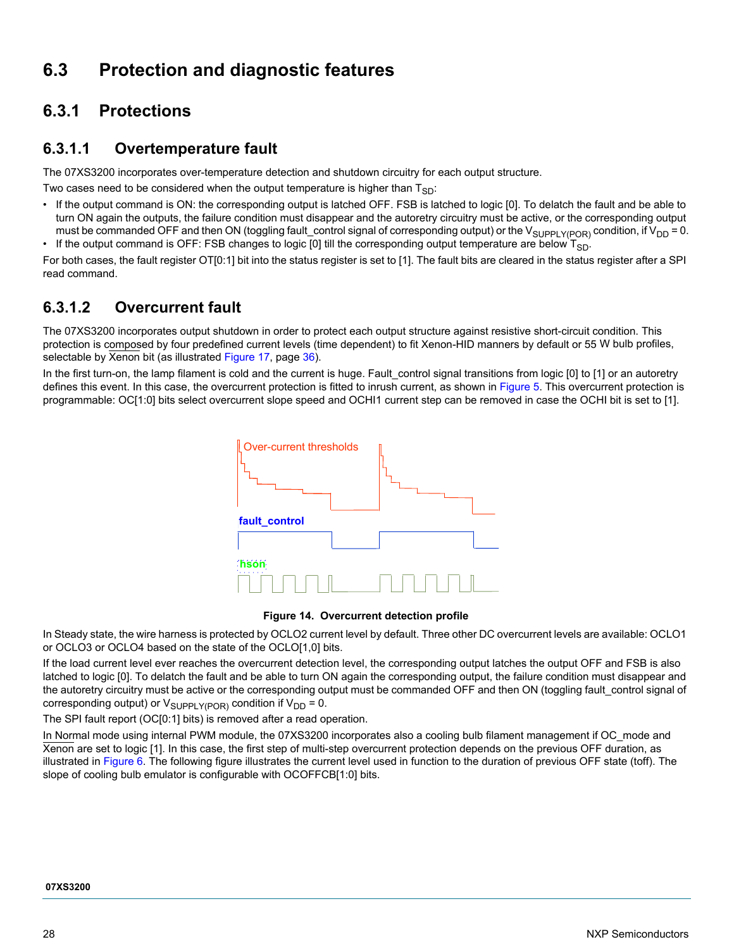# <span id="page-27-0"></span>**6.3 Protection and diagnostic features**

### **6.3.1 Protections**

### **6.3.1.1 Overtemperature fault**

The 07XS3200 incorporates over-temperature detection and shutdown circuitry for each output structure.

Two cases need to be considered when the output temperature is higher than  $T_{SD}$ :

- If the output command is ON: the corresponding output is latched OFF. FSB is latched to logic [0]. To delatch the fault and be able to turn ON again the outputs, the failure condition must disappear and the autoretry circuitry must be active, or the corresponding output must be commanded OFF and then ON (toggling fault\_control signal of corresponding output) or the V<sub>SUPPLY(POR)</sub> condition, if V<sub>DD</sub> = 0.
- If the output command is OFF: FSB changes to logic [0] till the corresponding output temperature are below  $T_{SD}$ .

For both cases, the fault register OT[0:1] bit into the status register is set to [1]. The fault bits are cleared in the status register after a SPI read command.

### **6.3.1.2 Overcurrent fault**

The 07XS3200 incorporates output shutdown in order to protect each output structure against resistive short-circuit condition. This protection is composed by four predefined current levels (time dependent) to fit Xenon-HID manners by default or 55 W bulb profiles, selectable by Xenon bit (as illustrated [Figure](#page-35-0) 17, [page](#page-35-0) 36).

In the first turn-on, the lamp filament is cold and the current is huge. Fault control signal transitions from logic [0] to [1] or an autoretry defines this event. In this case, the overcurrent protection is fitted to inrush current, as shown in [Figure](#page-16-2) 5. This overcurrent protection is programmable: OC[1:0] bits select overcurrent slope speed and OCHI1 current step can be removed in case the OCHI bit is set to [1].





In Steady state, the wire harness is protected by OCLO2 current level by default. Three other DC overcurrent levels are available: OCLO1 or OCLO3 or OCLO4 based on the state of the OCLO[1,0] bits.

If the load current level ever reaches the overcurrent detection level, the corresponding output latches the output OFF and FSB is also latched to logic [0]. To delatch the fault and be able to turn ON again the corresponding output, the failure condition must disappear and the autoretry circuitry must be active or the corresponding output must be commanded OFF and then ON (toggling fault\_control signal of corresponding output) or  $V_{\text{SUPPLY(POR)}}$  condition if  $V_{\text{DD}} = 0$ .

The SPI fault report (OC[0:1] bits) is removed after a read operation.

In Normal mode using internal PWM module, the 07XS3200 incorporates also a cooling bulb filament management if OC mode and Xenon are set to logic [1]. In this case, the first step of multi-step overcurrent protection depends on the previous OFF duration, as illustrated in [Figure](#page-17-0) 6. The following figure illustrates the current level used in function to the duration of previous OFF state (toff). The slope of cooling bulb emulator is configurable with OCOFFCB[1:0] bits.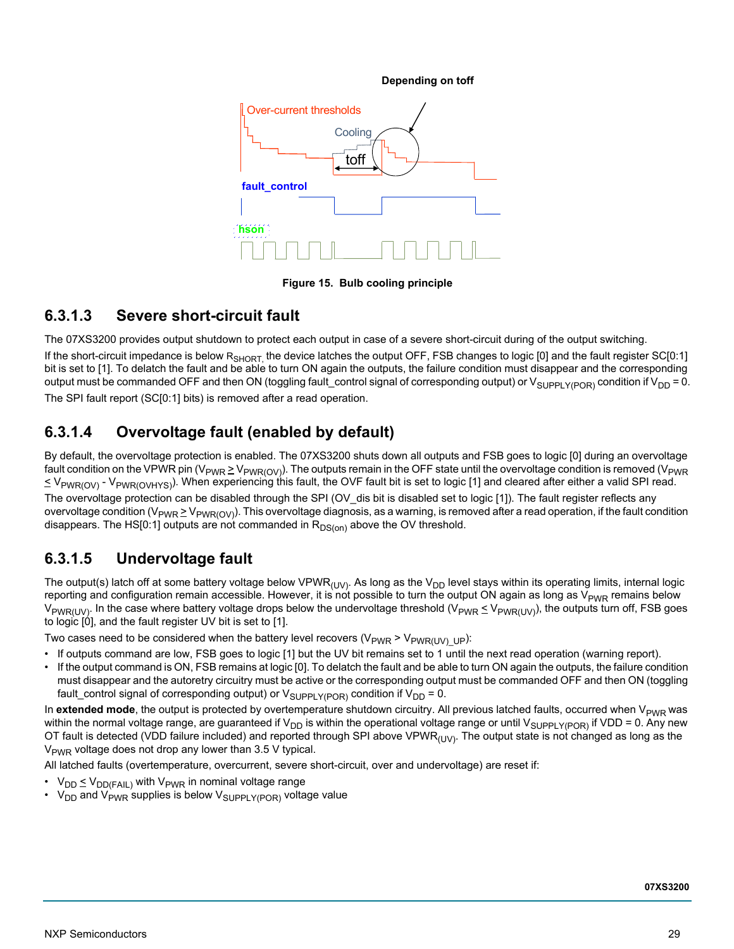

**Figure 15. Bulb cooling principle**

### **6.3.1.3 Severe short-circuit fault**

The 07XS3200 provides output shutdown to protect each output in case of a severe short-circuit during of the output switching.

If the short-circuit impedance is below R<sub>SHORT</sub> the device latches the output OFF, FSB changes to logic [0] and the fault register SC[0:1] bit is set to [1]. To delatch the fault and be able to turn ON again the outputs, the failure condition must disappear and the corresponding output must be commanded OFF and then ON (toggling fault\_control signal of corresponding output) or  $V_{\text{SUPPLYPOR}}$  condition if  $V_{\text{DD}} = 0$ . The SPI fault report (SC[0:1] bits) is removed after a read operation.

### **6.3.1.4 Overvoltage fault (enabled by default)**

By default, the overvoltage protection is enabled. The 07XS3200 shuts down all outputs and FSB goes to logic [0] during an overvoltage fault condition on the VPWR pin (V<sub>PWR</sub>  $\geq$  V<sub>PWR(OV</sub>). The outputs remain in the OFF state until the overvoltage condition is removed (V<sub>PWR</sub>)  $\leq$  V<sub>PWR(OV)</sub> - V<sub>PWR(OVHYS)</sub>). When experiencing this fault, the OVF fault bit is set to logic [1] and cleared after either a valid SPI read. The overvoltage protection can be disabled through the SPI (OV\_dis bit is disabled set to logic [1]). The fault register reflects any overvoltage condition ( $V_{PWR} \ge V_{PWR(OV)}$ ). This overvoltage diagnosis, as a warning, is removed after a read operation, if the fault condition disappears. The HS[0:1] outputs are not commanded in  $R_{DS(on)}$  above the OV threshold.

### **6.3.1.5 Undervoltage fault**

The output(s) latch off at some battery voltage below VPWR<sub>(UV)</sub>. As long as the V<sub>DD</sub> level stays within its operating limits, internal logic reporting and configuration remain accessible. However, it is not possible to turn the output ON again as long as  $V_{PWR}$  remains below  $V_{PWR(UV)}$ . In the case where battery voltage drops below the undervoltage threshold ( $V_{PWR} \leq V_{PWR(UV)}$ ), the outputs turn off, FSB goes to logic [0], and the fault register UV bit is set to [1].

Two cases need to be considered when the battery level recovers ( $V_{PWR}$  >  $V_{PWR(UV)UP}$ ):

- If outputs command are low, FSB goes to logic [1] but the UV bit remains set to 1 until the next read operation (warning report).
- If the output command is ON, FSB remains at logic [0]. To delatch the fault and be able to turn ON again the outputs, the failure condition must disappear and the autoretry circuitry must be active or the corresponding output must be commanded OFF and then ON (toggling fault\_control signal of corresponding output) or  $V_{\text{SUPPLY(POP)}}$  condition if  $V_{\text{DD}} = 0$ .

In extended mode, the output is protected by overtemperature shutdown circuitry. All previous latched faults, occurred when V<sub>PWR</sub> was within the normal voltage range, are guaranteed if V<sub>DD</sub> is within the operational voltage range or until V<sub>SUPPLY(POR)</sub> if VDD = 0. Any new OT fault is detected (VDD failure included) and reported through SPI above VPWR $_{(UV)}$ . The output state is not changed as long as the  $V<sub>PWR</sub>$  voltage does not drop any lower than 3.5 V typical.

All latched faults (overtemperature, overcurrent, severe short-circuit, over and undervoltage) are reset if:

- $V_{DD} \leq V_{DD(FAIL)}$  with  $V_{PWR}$  in nominal voltage range
- $V_{DD}$  and  $V_{PWR}$  supplies is below  $V_{SUPPLY(POR)}$  voltage value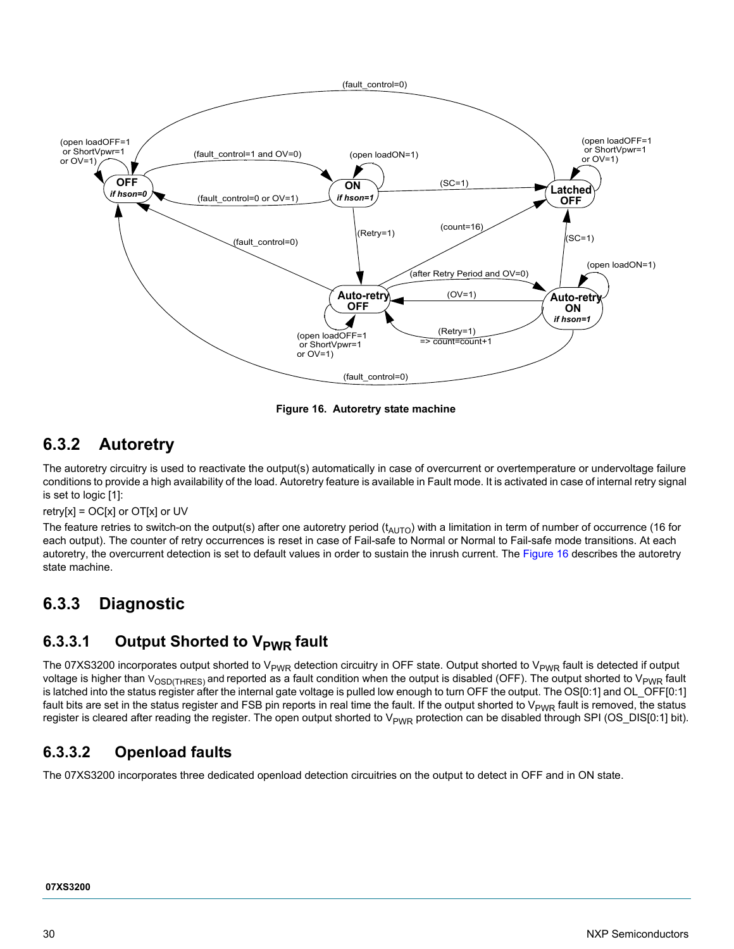

**Figure 16. Autoretry state machine**

### <span id="page-29-0"></span>**6.3.2 Autoretry**

The autoretry circuitry is used to reactivate the output(s) automatically in case of overcurrent or overtemperature or undervoltage failure conditions to provide a high availability of the load. Autoretry feature is available in Fault mode. It is activated in case of internal retry signal is set to logic [1]:

retry[x] =  $OC[x]$  or  $OT[x]$  or UV

The feature retries to switch-on the output(s) after one autoretry period  $(t_{AUTO})$  with a limitation in term of number of occurrence (16 for each output). The counter of retry occurrences is reset in case of Fail-safe to Normal or Normal to Fail-safe mode transitions. At each autoretry, the overcurrent detection is set to default values in order to sustain the inrush current. The [Figure](#page-29-0) 16 describes the autoretry state machine.

# **6.3.3 Diagnostic**

### **6.3.3.1 Output Shorted to V<sub>PWR</sub> fault**

The 07XS3200 incorporates output shorted to  $V_{PWR}$  detection circuitry in OFF state. Output shorted to  $V_{PWR}$  fault is detected if output voltage is higher than  $V_{OSD(THRES)}$  and reported as a fault condition when the output is disabled (OFF). The output shorted to  $V_{PWR}$  fault is latched into the status register after the internal gate voltage is pulled low enough to turn OFF the output. The OS[0:1] and OL\_OFF[0:1] fault bits are set in the status register and FSB pin reports in real time the fault. If the output shorted to  $V_{PWR}$  fault is removed, the status register is cleared after reading the register. The open output shorted to  $V_{PWR}$  protection can be disabled through SPI (OS\_DIS[0:1] bit).

### **6.3.3.2 Openload faults**

The 07XS3200 incorporates three dedicated openload detection circuitries on the output to detect in OFF and in ON state.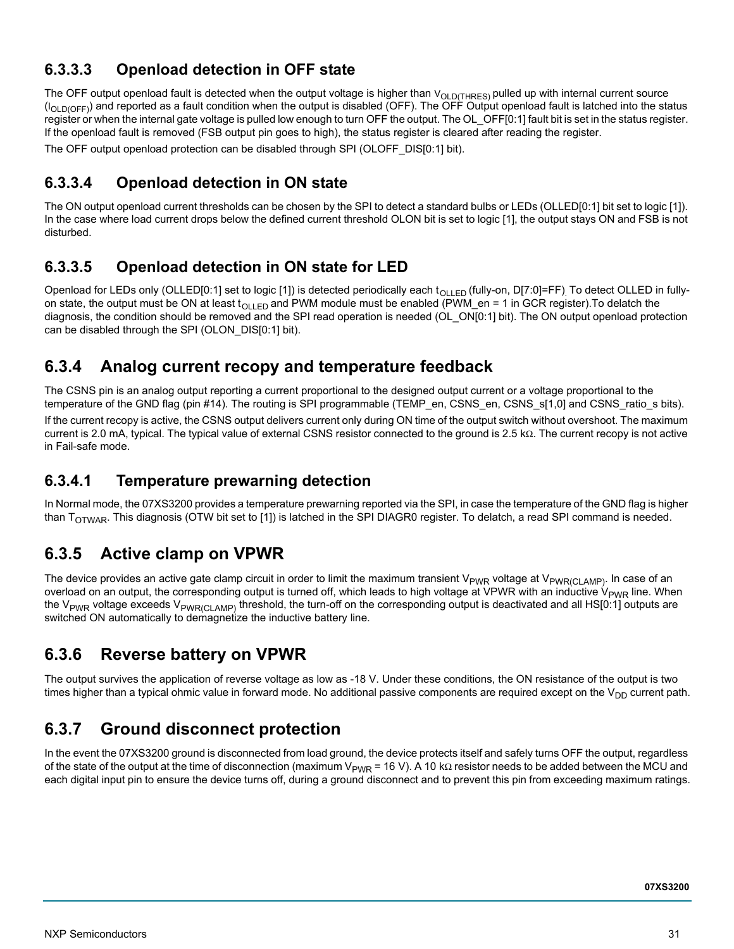### **6.3.3.3 Openload detection in OFF state**

The OFF output openload fault is detected when the output voltage is higher than  $V_{OLD(THRES)}$  pulled up with internal current source  $(I<sub>OID(OFE)</sub>)$  and reported as a fault condition when the output is disabled (OFF). The OFF Output openload fault is latched into the status register or when the internal gate voltage is pulled low enough to turn OFF the output. The OL\_OFF[0:1] fault bit is set in the status register. If the openload fault is removed (FSB output pin goes to high), the status register is cleared after reading the register. The OFF output openload protection can be disabled through SPI (OLOFF\_DIS[0:1] bit).

### **6.3.3.4 Openload detection in ON state**

The ON output openload current thresholds can be chosen by the SPI to detect a standard bulbs or LEDs (OLLED[0:1] bit set to logic [1]). In the case where load current drops below the defined current threshold OLON bit is set to logic [1], the output stays ON and FSB is not disturbed.

### <span id="page-30-0"></span>**6.3.3.5 Openload detection in ON state for LED**

Openload for LEDs only (OLLED[0:1] set to logic [1]) is detected periodically each t<sub>OLLED</sub> (fully-on, D[7:0]=FF). To detect OLLED in fullyon state, the output must be ON at least t<sub>OLLED</sub> and PWM module must be enabled (PWM\_en = 1 in GCR register). To delatch the diagnosis, the condition should be removed and the SPI read operation is needed (OL\_ON[0:1] bit). The ON output openload protection can be disabled through the SPI (OLON\_DIS[0:1] bit).

### **6.3.4 Analog current recopy and temperature feedback**

The CSNS pin is an analog output reporting a current proportional to the designed output current or a voltage proportional to the temperature of the GND flag (pin #14). The routing is SPI programmable (TEMP\_en, CSNS\_en, CSNS\_s[1,0] and CSNS\_ratio\_s bits).

If the current recopy is active, the CSNS output delivers current only during ON time of the output switch without overshoot. The maximum current is 2.0 mA, typical. The typical value of external CSNS resistor connected to the ground is 2.5 kΩ. The current recopy is not active in Fail-safe mode.

### **6.3.4.1 Temperature prewarning detection**

In Normal mode, the 07XS3200 provides a temperature prewarning reported via the SPI, in case the temperature of the GND flag is higher than  $T<sub>OTWAR</sub>$ . This diagnosis (OTW bit set to [1]) is latched in the SPI DIAGR0 register. To delatch, a read SPI command is needed.

## **6.3.5 Active clamp on VPWR**

The device provides an active gate clamp circuit in order to limit the maximum transient V<sub>PWR</sub> voltage at V<sub>PWR(CLAMP)</sub>. In case of an overload on an output, the corresponding output is turned off, which leads to high voltage at VPWR with an inductive V<sub>PWR</sub> line. When the V<sub>PWR</sub> voltage exceeds V<sub>PWR(CLAMP)</sub> threshold, the turn-off on the corresponding output is deactivated and all HS[0:1] outputs are switched ON automatically to demagnetize the inductive battery line.

### **6.3.6 Reverse battery on VPWR**

The output survives the application of reverse voltage as low as -18 V. Under these conditions, the ON resistance of the output is two times higher than a typical ohmic value in forward mode. No additional passive components are required except on the  $V_{DD}$  current path.

# **6.3.7 Ground disconnect protection**

In the event the 07XS3200 ground is disconnected from load ground, the device protects itself and safely turns OFF the output, regardless of the state of the output at the time of disconnection (maximum V<sub>PWR</sub> = 16 V). A 10 kΩ resistor needs to be added between the MCU and each digital input pin to ensure the device turns off, during a ground disconnect and to prevent this pin from exceeding maximum ratings.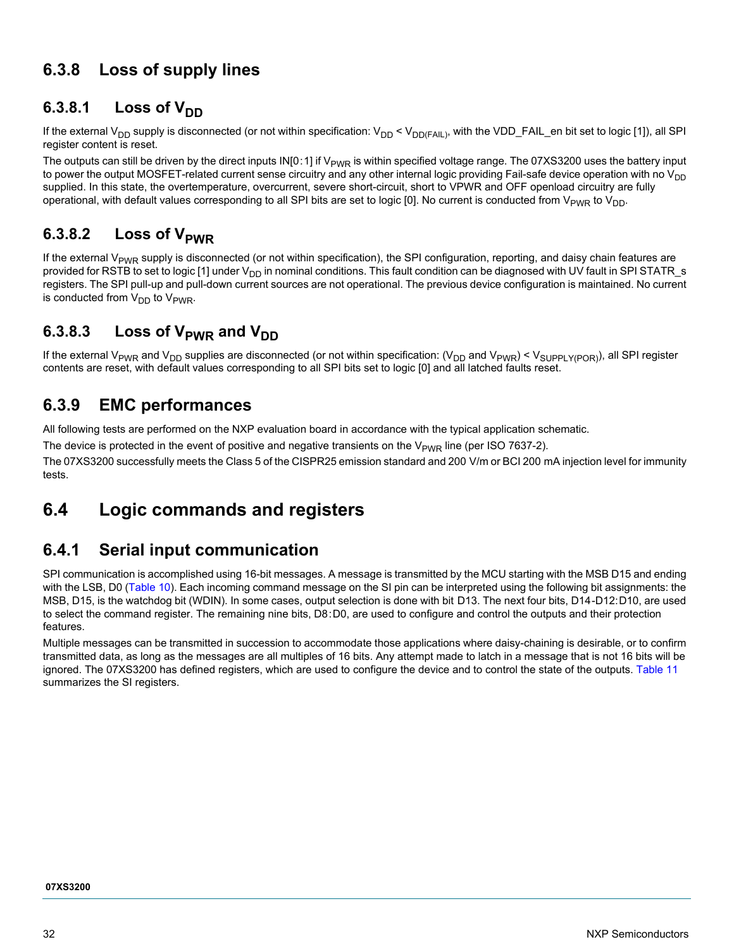## **6.3.8 Loss of supply lines**

### 6.3.8.1 **Loss of V**<sub>DD</sub>

If the external V<sub>DD</sub> supply is disconnected (or not within specification: V<sub>DD</sub> < V<sub>DD(FAIL)</sub>, with the VDD\_FAIL\_en bit set to logic [1]), all SPI register content is reset.

The outputs can still be driven by the direct inputs IN[0:1] if  $V_{PWR}$  is within specified voltage range. The 07XS3200 uses the battery input to power the output MOSFET-related current sense circuitry and any other internal logic providing Fail-safe device operation with no  $V_{DD}$ supplied. In this state, the overtemperature, overcurrent, severe short-circuit, short to VPWR and OFF openload circuitry are fully operational, with default values corresponding to all SPI bits are set to logic [0]. No current is conducted from  $V_{PWR}$  to  $V_{DD}$ .

### 6.3.8.2 **Loss of V**<sub>PWR</sub>

If the external  $V_{PWR}$  supply is disconnected (or not within specification), the SPI configuration, reporting, and daisy chain features are provided for RSTB to set to logic [1] under  $V_{DD}$  in nominal conditions. This fault condition can be diagnosed with UV fault in SPI STATR\_s registers. The SPI pull-up and pull-down current sources are not operational. The previous device configuration is maintained. No current is conducted from  $V_{DD}$  to  $V_{PWR}$ .

### 6.3.8.3 Loss of V<sub>PWR</sub> and V<sub>DD</sub>

If the external V<sub>PWR</sub> and V<sub>DD</sub> supplies are disconnected (or not within specification: (V<sub>DD</sub> and V<sub>PWR</sub>) < V<sub>SUPPLY(POR)</sub>), all SPI register contents are reset, with default values corresponding to all SPI bits set to logic [0] and all latched faults reset.

### **6.3.9 EMC performances**

All following tests are performed on the NXP evaluation board in accordance with the typical application schematic.

The device is protected in the event of positive and negative transients on the  $V_{PWR}$  line (per ISO 7637-2).

The 07XS3200 successfully meets the Class 5 of the CISPR25 emission standard and 200 V/m or BCI 200 mA injection level for immunity tests.

## <span id="page-31-0"></span>**6.4 Logic commands and registers**

### **6.4.1 Serial input communication**

SPI communication is accomplished using 16-bit messages. A message is transmitted by the MCU starting with the MSB D15 and ending with the LSB, D0 [\(Table](#page-32-0) 10). Each incoming command message on the SI pin can be interpreted using the following bit assignments: the MSB, D15, is the watchdog bit (WDIN). In some cases, output selection is done with bit D13. The next four bits, D14-D12:D10, are used to select the command register. The remaining nine bits, D8:D0, are used to configure and control the outputs and their protection features.

Multiple messages can be transmitted in succession to accommodate those applications where daisy-chaining is desirable, or to confirm transmitted data, as long as the messages are all multiples of 16 bits. Any attempt made to latch in a message that is not 16 bits will be ignored. The 07XS3200 has defined registers, which are used to configure the device and to control the state of the outputs. [Table](#page-32-1) 11 summarizes the SI registers.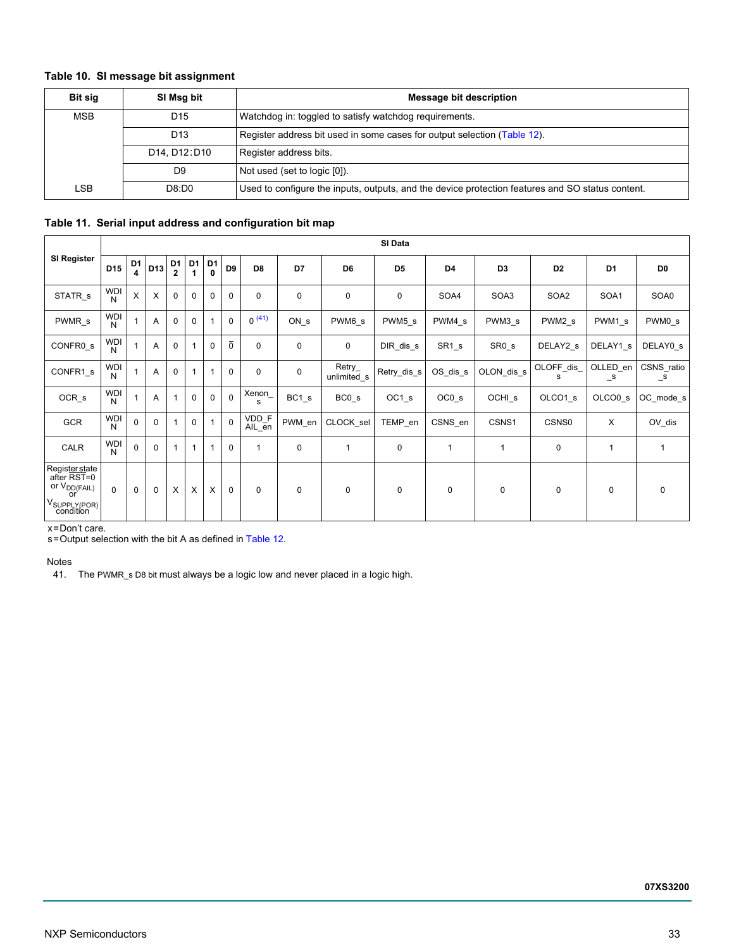### <span id="page-32-0"></span>**Table 10. SI message bit assignment**

| <b>Bit sig</b>                     | SI Msg bit      | Message bit description                                                                          |
|------------------------------------|-----------------|--------------------------------------------------------------------------------------------------|
| <b>MSB</b>                         | D <sub>15</sub> | Watchdog in: toggled to satisfy watchdog requirements.                                           |
|                                    | D <sub>13</sub> | Register address bit used in some cases for output selection (Table 12).                         |
|                                    | D14, D12: D10   | Register address bits.                                                                           |
| Not used (set to logic [0]).<br>D9 |                 |                                                                                                  |
| LSB                                | D8:D0           | Used to configure the inputs, outputs, and the device protection features and SO status content. |

### <span id="page-32-1"></span>**Table 11. Serial input address and configuration bit map**

|                                                                                                        |                 | SI Data             |              |                                |                      |                     |                |                 |             |                       |                |                |                   |                 |                          |                            |
|--------------------------------------------------------------------------------------------------------|-----------------|---------------------|--------------|--------------------------------|----------------------|---------------------|----------------|-----------------|-------------|-----------------------|----------------|----------------|-------------------|-----------------|--------------------------|----------------------------|
| <b>SI Register</b>                                                                                     | D <sub>15</sub> | D <sub>1</sub><br>4 | D13          | D <sub>1</sub><br>$\mathbf{2}$ | D <sub>1</sub><br>-1 | D <sub>1</sub><br>0 | D <sub>9</sub> | D <sub>8</sub>  | D7          | D <sub>6</sub>        | D <sub>5</sub> | D <sub>4</sub> | D <sub>3</sub>    | D <sub>2</sub>  | D <sub>1</sub>           | D <sub>0</sub>             |
| STATR <sub>s</sub>                                                                                     | <b>WDI</b><br>N | X                   | $\times$     | $\mathbf 0$                    | $\mathbf 0$          | $\mathbf 0$         | $\mathbf 0$    | $\mathbf 0$     | $\mathbf 0$ | 0                     | 0              | SOA4           | SOA3              | SOA2            | SOA1                     | SOA0                       |
| PWMR <sub>s</sub>                                                                                      | <b>WDI</b><br>N |                     | A            | $\mathbf 0$                    | $\mathbf 0$          |                     | $\Omega$       | $0^{(41)}$      | ON s        | PWM6 s                | PWM5 s         | PWM4 s         | PWM3 s            | PWM2 s          | PWM1 s                   | PWM0 s                     |
| CONFR0 s                                                                                               | <b>WDI</b><br>N |                     | Α            | $\mathbf 0$                    | 1                    | $\Omega$            | $\overline{0}$ | 0               | $\mathbf 0$ | 0                     | DIR dis s      | $SR1_s$        | SR <sub>0_s</sub> | DELAY2 s        | DELAY1 s                 | DELAY0 s                   |
| CONFR1 s                                                                                               | <b>WDI</b><br>N |                     | A            | $\mathbf 0$                    | 1                    |                     | $\Omega$       | 0               | $\mathbf 0$ | Retry_<br>unlimited s | Retry_dis_s    | OS_dis_s       | OLON dis s        | OLOFF_dis_<br>s | OLLED en<br>$\mathsf{S}$ | CSNS_ratio<br>$\mathsf{S}$ |
| OCR <sub>s</sub>                                                                                       | <b>WDI</b><br>N |                     | Α            | $\mathbf{1}$                   | $\Omega$             | $\Omega$            | $\Omega$       | Xenon_<br>s     | BC1 s       | BC0 s                 | OC1 s          | $OC0_s$        | OCHI_s            | OLCO1 s         | OLCO0 <sub>s</sub>       | OC mode s                  |
| GCR                                                                                                    | <b>WDI</b><br>N | $\mathbf 0$         | $\mathbf 0$  | $\mathbf{1}$                   | $\mathbf 0$          |                     | $\mathbf{0}$   | VDD_F<br>AIL_en | PWM_en      | CLOCK sel             | TEMP_en        | CSNS_en        | CSNS1             | CSNS0           | $\times$                 | OV_dis                     |
| CALR                                                                                                   | <b>WDI</b><br>N | $\mathbf 0$         | $\mathbf{0}$ | $\mathbf 1$                    | 1                    |                     | $\mathbf 0$    |                 | $\mathbf 0$ | 1                     | $\mathbf 0$    | 1              | 1                 | $\mathbf 0$     | 1                        | $\overline{1}$             |
| Regis <u>ter st</u> ate<br>  after RST=0<br>or V <sub>DD(FAIL)</sub><br>or<br>V <sub>SUPPLY(POR)</sub> | $\Omega$        | $\mathbf 0$         | $\mathbf 0$  | X                              | X                    | X                   | $\Omega$       | $\Omega$        | $\mathbf 0$ | $\mathbf 0$           | $\mathbf 0$    | $\mathbf 0$    | $\mathbf 0$       | $\mathbf 0$     | $\mathbf 0$              | $\mathbf 0$                |

x = Don't care.

s = Output selection with the bit A as defined in [Table 12.](#page-33-0)

Notes

<span id="page-32-2"></span>41. The PWMR\_s D8 bit must always be a logic low and never placed in a logic high.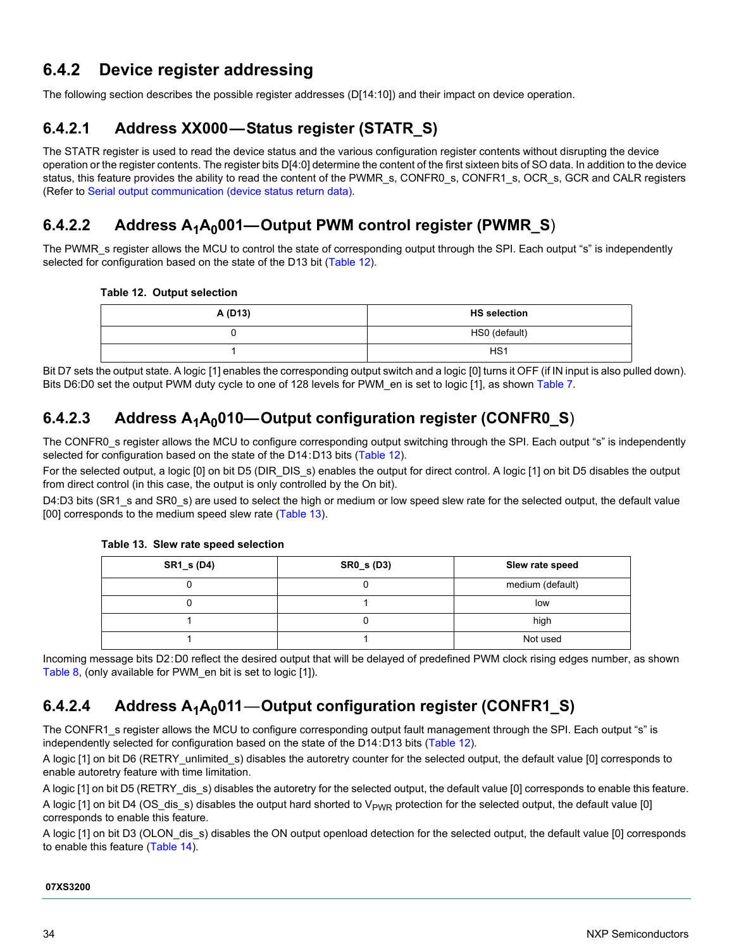### **6.4.2 Device register addressing**

The following section describes the possible register addresses (D[14:10]) and their impact on device operation.

### **6.4.2.1 Address XX000—Status register (STATR\_S)**

The STATR register is used to read the device status and the various configuration register contents without disrupting the device operation or the register contents. The register bits D[4:0] determine the content of the first sixteen bits of SO data. In addition to the device status, this feature provides the ability to read the content of the PWMR\_s, CONFR0\_s, CONFR1\_s, OCR\_s, GCR and CALR registers (Refer to [Serial output communication \(device status return data\).](#page-37-0)

### 6.4.2.2 Address A<sub>1</sub>A<sub>0</sub>001—Output PWM control register (PWMR\_S)

The PWMR\_s register allows the MCU to control the state of corresponding output through the SPI. Each output "s" is independently selected for configuration based on the state of the D13 bit [\(Table](#page-33-0) 12).

<span id="page-33-0"></span>

|  |  |  | Table 12. Output selection |
|--|--|--|----------------------------|
|--|--|--|----------------------------|

| A (D13) | <b>HS</b> selection |
|---------|---------------------|
|         | HS0 (default)       |
|         | HS <sub>1</sub>     |

Bit D7 sets the output state. A logic [1] enables the corresponding output switch and a logic [0] turns it OFF (if IN input is also pulled down). Bits D6:D0 set the output PWM duty cycle to one of 128 levels for PWM en is set to logic [1], as shown [Table](#page-24-0) 7.

### 6.4.2.3 Address A<sub>1</sub>A<sub>0</sub>010—Output configuration register (CONFR0\_S)

The CONFR0\_s register allows the MCU to configure corresponding output switching through the SPI. Each output "s" is independently selected for configuration based on the state of the D14:D13 bits [\(Table](#page-33-0) 12).

For the selected output, a logic [0] on bit D5 (DIR DIS s) enables the output for direct control. A logic [1] on bit D5 disables the output from direct control (in this case, the output is only controlled by the On bit).

D4:D3 bits (SR1 s and SR0 s) are used to select the high or medium or low speed slew rate for the selected output, the default value [00] corresponds to the medium speed slew rate [\(Table](#page-33-1) 13).

### <span id="page-33-1"></span>**Table 13. Slew rate speed selection**

| <b>SR1_s (D4)</b> | <b>SR0_s (D3)</b> | Slew rate speed  |
|-------------------|-------------------|------------------|
|                   |                   | medium (default) |
|                   |                   | low              |
|                   |                   | high             |
|                   |                   | Not used         |

Incoming message bits D2:D0 reflect the desired output that will be delayed of predefined PWM clock rising edges number, as shown [Table](#page-24-1) 8, (only available for PWM\_en bit is set to logic [1]).

### 6.4.2.4 Address A<sub>1</sub>A<sub>0</sub>011—Output configuration register (CONFR1\_S)

The CONFR1 s register allows the MCU to configure corresponding output fault management through the SPI. Each output "s" is independently selected for configuration based on the state of the D14:D13 bits ([Table](#page-33-0) 12).

A logic [1] on bit D6 (RETRY\_unlimited\_s) disables the autoretry counter for the selected output, the default value [0] corresponds to enable autoretry feature with time limitation.

A logic [1] on bit D5 (RETRY dis s) disables the autoretry for the selected output, the default value [0] corresponds to enable this feature. A logic [1] on bit D4 (OS\_dis\_s) disables the output hard shorted to  $V_{PWR}$  protection for the selected output, the default value [0] corresponds to enable this feature.

A logic [1] on bit D3 (OLON\_dis\_s) disables the ON output openload detection for the selected output, the default value [0] corresponds to enable this feature [\(Table](#page-34-0) 14).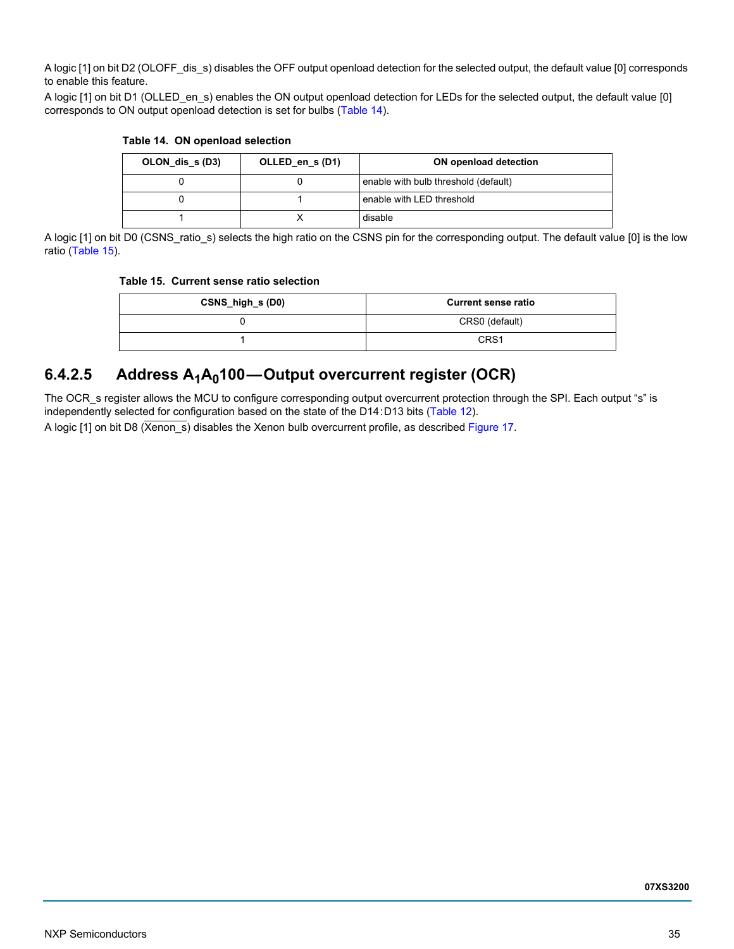A logic [1] on bit D2 (OLOFF\_dis\_s) disables the OFF output openload detection for the selected output, the default value [0] corresponds to enable this feature.

A logic [1] on bit D1 (OLLED en s) enables the ON output openload detection for LEDs for the selected output, the default value [0] corresponds to ON output openload detection is set for bulbs [\(Table](#page-34-0) 14).

| OLON dis s (D3) | OLLED en s(D1) | ON openload detection                |
|-----------------|----------------|--------------------------------------|
|                 |                | enable with bulb threshold (default) |
|                 |                | enable with LED threshold            |
|                 |                | disable                              |

### <span id="page-34-0"></span>**Table 14. ON openload selection**

A logic [1] on bit D0 (CSNS\_ratio\_s) selects the high ratio on the CSNS pin for the corresponding output. The default value [0] is the low ratio [\(Table](#page-34-1) 15).

#### <span id="page-34-1"></span>**Table 15. Current sense ratio selection**

| CSNS_high_s (D0) | <b>Current sense ratio</b> |
|------------------|----------------------------|
|                  | CRS0 (default)             |
|                  | CRS <sub>1</sub>           |

### 6.4.2.5 Address A<sub>1</sub>A<sub>0</sub>100-Output overcurrent register (OCR)

The OCR s register allows the MCU to configure corresponding output overcurrent protection through the SPI. Each output "s" is independently selected for configuration based on the state of the D14:D13 bits ([Table](#page-33-0) 12).

A logic [1] on bit D8 (Xenon\_s) disables the Xenon bulb overcurrent profile, as described [Figure](#page-35-0) 17.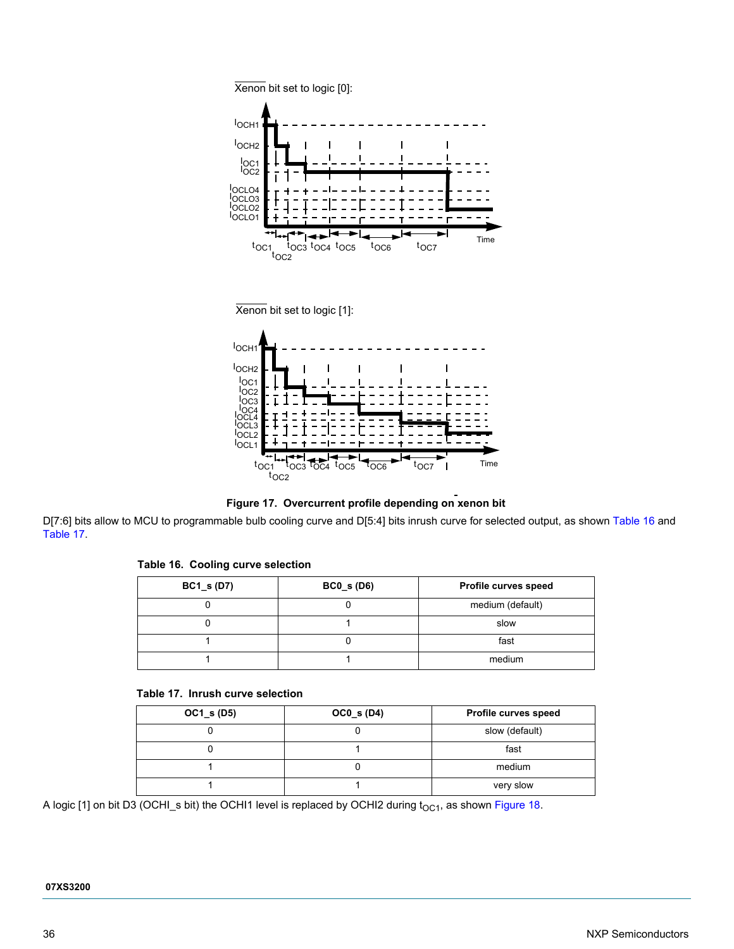





<span id="page-35-0"></span>D[7:6] bits allow to MCU to programmable bulb cooling curve and D[5:4] bits inrush curve for selected output, as shown [Table](#page-35-1) 16 and [Table](#page-35-2) 17.

<span id="page-35-1"></span>

| Table 16. Cooling curve selection |  |
|-----------------------------------|--|
|                                   |  |

| $BC1_s(D7)$ | $BC0_s(D6)$ | Profile curves speed |
|-------------|-------------|----------------------|
|             |             | medium (default)     |
|             |             | slow                 |
|             |             | fast                 |
|             |             | medium               |

### <span id="page-35-2"></span>**Table 17. Inrush curve selection**

| $OC1_s (D5)$ | $OC0_s(D4)$ | Profile curves speed |
|--------------|-------------|----------------------|
|              |             | slow (default)       |
|              |             | fast                 |
|              |             | medium               |
|              |             | very slow            |

A logic [1] on bit D3 (OCHI\_s bit) the OCHI1 level is replaced by OCHI2 during  $t_{OCl}$ , as shown [Figure](#page-36-0) 18.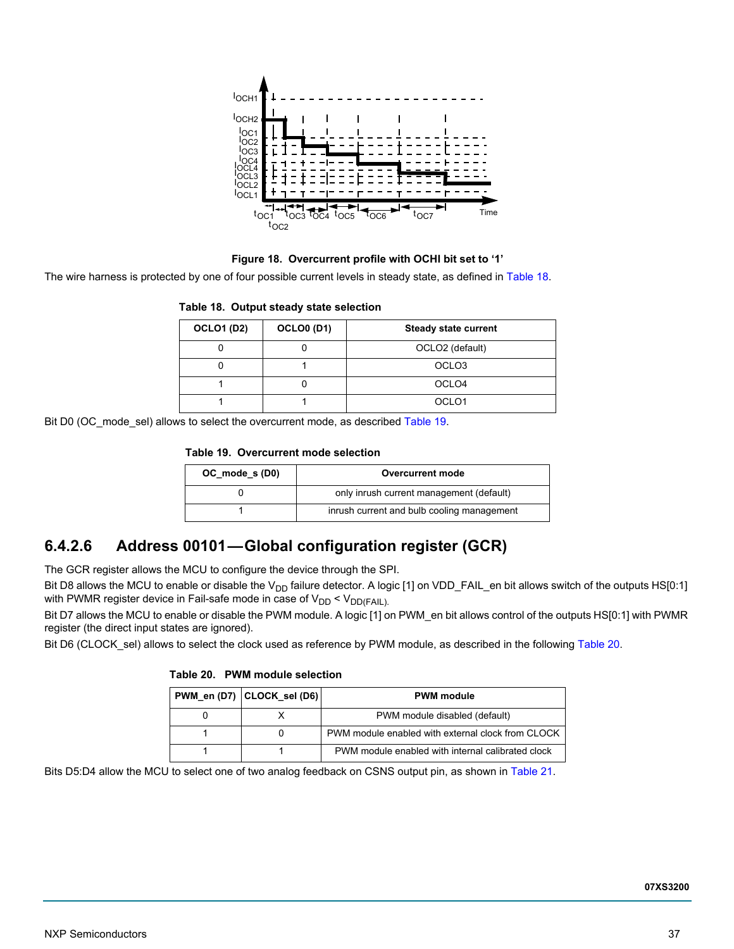

**Figure 18. Overcurrent profile with OCHI bit set to '1'**

<span id="page-36-0"></span>The wire harness is protected by one of four possible current levels in steady state, as defined in [Table](#page-36-1) 18.

### <span id="page-36-1"></span>**Table 18. Output steady state selection**

| <b>OCLO1 (D2)</b> | <b>OCLO0 (D1)</b> | <b>Steady state current</b> |
|-------------------|-------------------|-----------------------------|
|                   |                   | OCLO2 (default)             |
|                   |                   | OCLO <sub>3</sub>           |
|                   |                   | OCLO <sub>4</sub>           |
|                   |                   | OCLO <sub>1</sub>           |

Bit D0 (OC\_mode\_sel) allows to select the overcurrent mode, as described [Table](#page-36-2) 19.

### <span id="page-36-2"></span>**Table 19. Overcurrent mode selection**

| OC_mode_s (D0) | Overcurrent mode                           |
|----------------|--------------------------------------------|
|                | only inrush current management (default)   |
|                | inrush current and bulb cooling management |

### **6.4.2.6 Address 00101—Global configuration register (GCR)**

The GCR register allows the MCU to configure the device through the SPI.

Bit D8 allows the MCU to enable or disable the V<sub>DD</sub> failure detector. A logic [1] on VDD\_FAIL\_en bit allows switch of the outputs HS[0:1] with PWMR register device in Fail-safe mode in case of  $V_{DD} < V_{DD(FAIL)}$ .

Bit D7 allows the MCU to enable or disable the PWM module. A logic [1] on PWM\_en bit allows control of the outputs HS[0:1] with PWMR register (the direct input states are ignored).

Bit D6 (CLOCK sel) allows to select the clock used as reference by PWM module, as described in the following [Table](#page-36-3) 20.

| PWM en (D7) CLOCK sel (D6) | <b>PWM</b> module                                 |
|----------------------------|---------------------------------------------------|
|                            | PWM module disabled (default)                     |
|                            | PWM module enabled with external clock from CLOCK |
|                            | PWM module enabled with internal calibrated clock |

<span id="page-36-3"></span>**Table 20. PWM module selection**

Bits D5:D4 allow the MCU to select one of two analog feedback on CSNS output pin, as shown in [Table](#page-37-1) 21.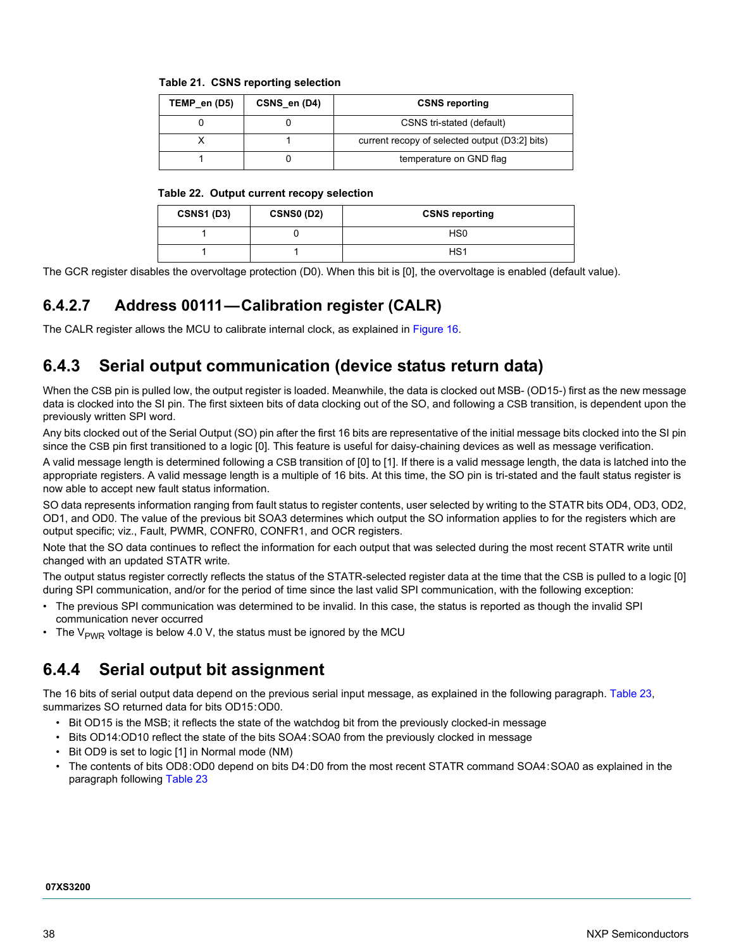<span id="page-37-1"></span>

|  |  | Table 21.  CSNS reporting selection |  |
|--|--|-------------------------------------|--|
|--|--|-------------------------------------|--|

| TEMP en (D5) | CSNS en (D4) | <b>CSNS reporting</b>                          |
|--------------|--------------|------------------------------------------------|
|              |              | CSNS tri-stated (default)                      |
|              |              | current recopy of selected output (D3:2] bits) |
|              |              | temperature on GND flag                        |

#### **Table 22. Output current recopy selection**

| <b>CSNS1 (D3)</b> | <b>CSNS0 (D2)</b> | <b>CSNS reporting</b> |
|-------------------|-------------------|-----------------------|
|                   |                   | HS0                   |
|                   |                   | HS1                   |

The GCR register disables the overvoltage protection (D0). When this bit is [0], the overvoltage is enabled (default value).

### **6.4.2.7 Address 00111—Calibration register (CALR)**

The CALR register allows the MCU to calibrate internal clock, as explained in [Figure](#page-29-0) 16.

### <span id="page-37-0"></span>**6.4.3 Serial output communication (device status return data)**

When the CSB pin is pulled low, the output register is loaded. Meanwhile, the data is clocked out MSB- (OD15-) first as the new message data is clocked into the SI pin. The first sixteen bits of data clocking out of the SO, and following a CSB transition, is dependent upon the previously written SPI word.

Any bits clocked out of the Serial Output (SO) pin after the first 16 bits are representative of the initial message bits clocked into the SI pin since the CSB pin first transitioned to a logic [0]. This feature is useful for daisy-chaining devices as well as message verification.

A valid message length is determined following a CSB transition of [0] to [1]. If there is a valid message length, the data is latched into the appropriate registers. A valid message length is a multiple of 16 bits. At this time, the SO pin is tri-stated and the fault status register is now able to accept new fault status information.

SO data represents information ranging from fault status to register contents, user selected by writing to the STATR bits OD4, OD3, OD2, OD1, and OD0. The value of the previous bit SOA3 determines which output the SO information applies to for the registers which are output specific; viz., Fault, PWMR, CONFR0, CONFR1, and OCR registers.

Note that the SO data continues to reflect the information for each output that was selected during the most recent STATR write until changed with an updated STATR write.

The output status register correctly reflects the status of the STATR-selected register data at the time that the CSB is pulled to a logic [0] during SPI communication, and/or for the period of time since the last valid SPI communication, with the following exception:

- The previous SPI communication was determined to be invalid. In this case, the status is reported as though the invalid SPI communication never occurred
- The  $V_{PWR}$  voltage is below 4.0 V, the status must be ignored by the MCU

### **6.4.4 Serial output bit assignment**

The 16 bits of serial output data depend on the previous serial input message, as explained in the following paragraph. [Table](#page-38-0) 23, summarizes SO returned data for bits OD15:OD0.

- Bit OD15 is the MSB; it reflects the state of the watchdog bit from the previously clocked-in message
- Bits OD14:OD10 reflect the state of the bits SOA4:SOA0 from the previously clocked in message
- Bit OD9 is set to logic [1] in Normal mode (NM)
- The contents of bits OD8:OD0 depend on bits D4:D0 from the most recent STATR command SOA4:SOA0 as explained in the paragraph following [Table](#page-38-0) 23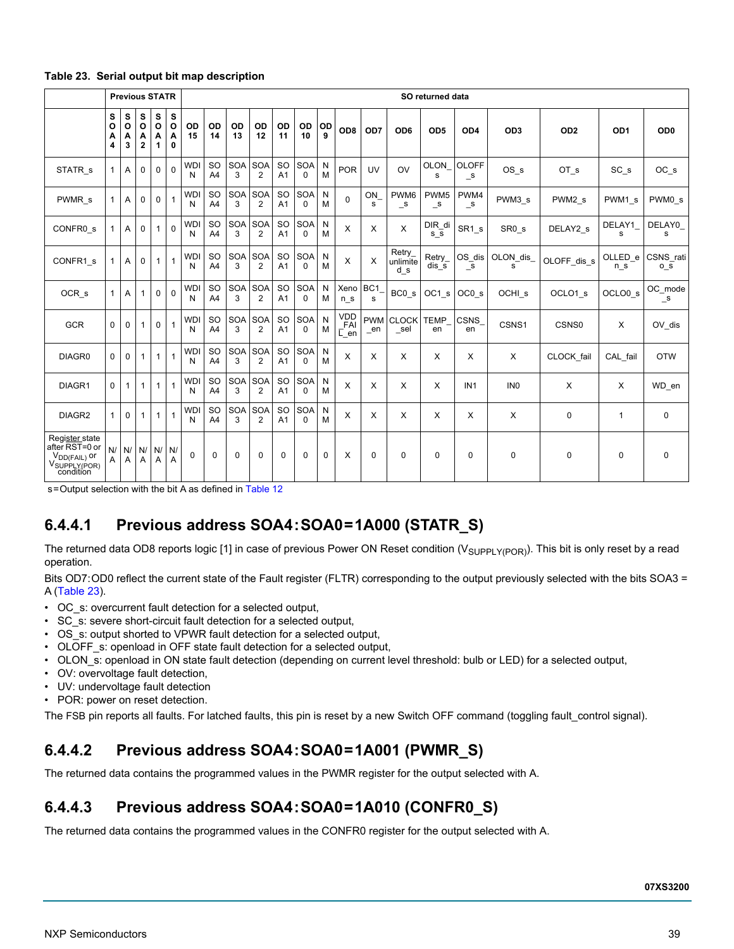<span id="page-38-0"></span>

|  |  |  |  | Table 23. Serial output bit map description |
|--|--|--|--|---------------------------------------------|
|--|--|--|--|---------------------------------------------|

|                                                                                                | <b>Previous STATR</b>  |                        |                        |                        | SO returned data |                 |                                 |                 |                              |                             |                        |             |                                  |                      |                                  |                                  |                              |                   |                    |                    |                         |
|------------------------------------------------------------------------------------------------|------------------------|------------------------|------------------------|------------------------|------------------|-----------------|---------------------------------|-----------------|------------------------------|-----------------------------|------------------------|-------------|----------------------------------|----------------------|----------------------------------|----------------------------------|------------------------------|-------------------|--------------------|--------------------|-------------------------|
|                                                                                                | s<br>$\circ$<br>Α<br>4 | s<br>$\circ$<br>A<br>3 | s<br>$\circ$<br>A<br>2 | s<br>$\circ$<br>Α<br>1 | s<br>O<br>Α<br>0 | OD<br>15        | OD<br>14                        | OD<br>13        | <b>OD</b><br>12              | OD<br>11                    | OD<br>10               | OD<br>9     | OD <sub>8</sub>                  | OD7                  | OD <sub>6</sub>                  | OD <sub>5</sub>                  | OD <sub>4</sub>              | OD <sub>3</sub>   | OD <sub>2</sub>    | OD <sub>1</sub>    | OD <sub>0</sub>         |
| STATR <sub>s</sub>                                                                             | 1                      | Α                      | 0                      | $\mathbf 0$            | 0                | <b>WDI</b><br>N | <sub>SO</sub><br>A <sub>4</sub> | SOA<br>3        | <b>SOA</b><br>$\overline{2}$ | <b>SO</b><br>A <sub>1</sub> | <b>SOA</b><br>$\Omega$ | N<br>M      | <b>POR</b>                       | UV                   | OV                               | <b>OLON</b><br>s                 | <b>OLOFF</b><br>$\mathsf{S}$ | OS s              | OT <sub>s</sub>    | SC <sub>s</sub>    | $OC_s$                  |
| PWMR <sub>s</sub>                                                                              | 1                      | A                      | 0                      | $\mathbf 0$            | 1                | <b>WD</b><br>N  | <b>SO</b><br>A4                 | <b>SOA</b><br>3 | <b>SOA</b><br>2              | <b>SO</b><br>A <sub>1</sub> | <b>SOA</b><br>$\Omega$ | N<br>M      | $\mathbf 0$                      | ON<br>s              | PWM <sub>6</sub><br>$\mathsf{S}$ | PWM <sub>5</sub><br>$\mathsf{S}$ | PWM4<br>$\mathsf{S}$         | PWM3 s            | PWM2 s             | PWM1 s             | PWM0 s                  |
| CONFR <sub>0</sub> s                                                                           | 1                      | A                      | 0                      | $\mathbf{1}$           | $\mathbf 0$      | <b>WD</b><br>N  | <b>SO</b><br>A <sub>4</sub>     | <b>SOA</b><br>3 | <b>SOA</b><br>$\overline{2}$ | <b>SO</b><br>A <sub>1</sub> | <b>SOA</b><br>$\Omega$ | N<br>M      | X                                | X                    | X                                | DIR_di<br>s s                    | SR1 s                        | SR <sub>0</sub> s | DELAY2 s           | DELAY1<br>s        | DELAY0<br>s             |
| CONFR1 s                                                                                       | 1                      | A                      | 0                      | $\mathbf{1}$           | 1                | <b>WD</b><br>N  | <b>SO</b><br>A <sub>4</sub>     | <b>SOA</b><br>3 | <b>SOA</b><br>2              | <b>SO</b><br>A <sub>1</sub> | <b>SOA</b><br>$\Omega$ | N<br>М      | X                                | X                    | Retry<br>unlimite<br>d s         | Retry<br>$dis$ s                 | OS dis<br>s                  | OLON dis<br>s     | OLOFF dis s        | OLLED e<br>n s     | CSNS rati<br>o s        |
| OCR <sub>s</sub>                                                                               | 1                      | A                      | 1                      | $\Omega$               | $\mathbf 0$      | <b>WDI</b><br>N | SO<br>A <sub>4</sub>            | SOA<br>3        | SOA<br>2                     | <b>SO</b><br>A <sub>1</sub> | <b>SOA</b><br>0        | N<br>M      | Xeno<br>n s                      | BC <sub>1</sub><br>s | BC0 s                            | OC1 s                            | OC <sub>0</sub> s            | OCHI <sub>s</sub> | OCLO1 <sub>s</sub> | OCLO0 <sub>s</sub> | OC mode<br>$\mathsf{S}$ |
| <b>GCR</b>                                                                                     | 0                      | 0                      | 1                      | $\mathbf 0$            | 1                | <b>WD</b><br>N  | <b>SO</b><br>A <sub>4</sub>     | <b>SOA</b><br>3 | <b>SOA</b><br>$\overline{2}$ | <b>SO</b><br>A <sub>1</sub> | <b>SOA</b><br>$\Omega$ | N<br>M      | <b>VDD</b><br>FAI<br>$\Gamma$ en | <b>PWM</b><br>_en    | <b>CLOCK</b><br>$\_sel$          | <b>TEMP</b><br>en                | <b>CSNS</b><br>en            | CSNS1             | CSNS0              | X                  | OV_dis                  |
| DIAGR0                                                                                         | 0                      | $\Omega$               | 1                      | $\mathbf{1}$           | 1                | <b>WD</b><br>N  | <b>SO</b><br>A <sub>4</sub>     | SOA<br>3        | <b>SOA</b><br>$\overline{2}$ | <b>SO</b><br>A <sub>1</sub> | <b>SOA</b><br>$\Omega$ | N<br>M      | X                                | X                    | X                                | X                                | X                            | X                 | CLOCK fail         | CAL_fail           | <b>OTW</b>              |
| DIAGR1                                                                                         | 0                      | 1                      | 1                      | $\mathbf{1}$           | 1                | <b>WD</b><br>N  | <b>SO</b><br>A <sub>4</sub>     | <b>SOA</b><br>3 | <b>SOA</b><br>$\overline{2}$ | <b>SO</b><br>A <sub>1</sub> | <b>SOA</b><br>$\Omega$ | N<br>M      | X                                | Х                    | X                                | X                                | IN <sub>1</sub>              | IN <sub>0</sub>   | X                  | X                  | WD en                   |
| DIAGR2                                                                                         | 1                      | 0                      | 1                      | $\mathbf{1}$           | 1                | <b>WD</b><br>N  | <b>SO</b><br>A <sub>4</sub>     | <b>SOA</b><br>3 | <b>SOA</b><br>$\overline{2}$ | <b>SO</b><br>A <sub>1</sub> | <b>SOA</b><br>$\Omega$ | N<br>M      | X                                | X                    | X                                | X                                | X                            | X                 | 0                  | $\mathbf{1}$       | 0                       |
| Register state<br>after RST=0 or<br>$V_{DD(FAIL)}$ or<br>V <sub>SUPPLY(POR)</sub><br>condition | N/<br>Α                | N/<br>Α                | N/<br>Α                | N/<br>Α                | N/<br>Α          | $\Omega$        | 0                               | $\mathbf 0$     | 0                            | 0                           | 0                      | $\mathbf 0$ | X                                | 0                    | $\mathbf 0$                      | $\mathbf 0$                      | $\mathbf 0$                  | 0                 | 0                  | $\mathbf 0$        | 0                       |

s = Output selection with the bit A as defined in [Table 12](#page-33-0)

## **6.4.4.1 Previous address SOA4:SOA0=1A000 (STATR\_S)**

The returned data OD8 reports logic [1] in case of previous Power ON Reset condition (V<sub>SUPPLY(POR)</sub>). This bit is only reset by a read operation.

Bits OD7: OD0 reflect the current state of the Fault register (FLTR) corresponding to the output previously selected with the bits SOA3 = A [\(Table](#page-38-0) 23).

- OC\_s: overcurrent fault detection for a selected output,
- SC\_s: severe short-circuit fault detection for a selected output,
- OS\_s: output shorted to VPWR fault detection for a selected output,
- OLOFF\_s: openload in OFF state fault detection for a selected output,
- OLON s: openload in ON state fault detection (depending on current level threshold: bulb or LED) for a selected output,
- OV: overvoltage fault detection,
- UV: undervoltage fault detection
- POR: power on reset detection.

The FSB pin reports all faults. For latched faults, this pin is reset by a new Switch OFF command (toggling fault\_control signal).

### **6.4.4.2 Previous address SOA4:SOA0=1A001 (PWMR\_S)**

The returned data contains the programmed values in the PWMR register for the output selected with A.

### **6.4.4.3 Previous address SOA4:SOA0=1A010 (CONFR0\_S)**

The returned data contains the programmed values in the CONFR0 register for the output selected with A.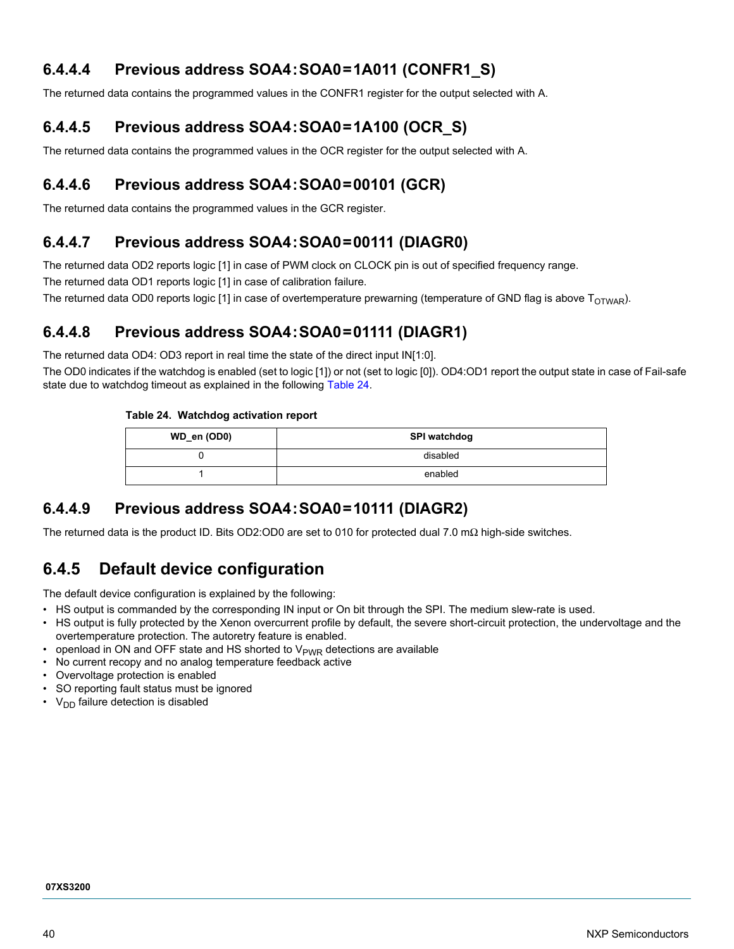### **6.4.4.4 Previous address SOA4:SOA0=1A011 (CONFR1\_S)**

The returned data contains the programmed values in the CONFR1 register for the output selected with A.

### **6.4.4.5 Previous address SOA4:SOA0=1A100 (OCR\_S)**

The returned data contains the programmed values in the OCR register for the output selected with A.

### **6.4.4.6 Previous address SOA4:SOA0=00101 (GCR)**

The returned data contains the programmed values in the GCR register.

### **6.4.4.7 Previous address SOA4:SOA0=00111 (DIAGR0)**

The returned data OD2 reports logic [1] in case of PWM clock on CLOCK pin is out of specified frequency range.

The returned data OD1 reports logic [1] in case of calibration failure.

The returned data OD0 reports logic [1] in case of overtemperature prewarning (temperature of GND flag is above  $T_{\text{OTWAR}}$ ).

### **6.4.4.8 Previous address SOA4:SOA0=01111 (DIAGR1)**

The returned data OD4: OD3 report in real time the state of the direct input IN[1:0].

The OD0 indicates if the watchdog is enabled (set to logic [1]) or not (set to logic [0]). OD4:OD1 report the output state in case of Fail-safe state due to watchdog timeout as explained in the following [Table](#page-39-0) 24.

### <span id="page-39-0"></span>**Table 24. Watchdog activation report**

| WD_en (OD0) | SPI watchdog |
|-------------|--------------|
|             | disabled     |
|             | enabled      |

### **6.4.4.9 Previous address SOA4:SOA0=10111 (DIAGR2)**

The returned data is the product ID. Bits OD2:OD0 are set to 010 for protected dual 7.0 mΩ high-side switches.

## **6.4.5 Default device configuration**

The default device configuration is explained by the following:

- HS output is commanded by the corresponding IN input or On bit through the SPI. The medium slew-rate is used.
- HS output is fully protected by the Xenon overcurrent profile by default, the severe short-circuit protection, the undervoltage and the overtemperature protection. The autoretry feature is enabled.
- openload in ON and OFF state and HS shorted to  $V_{\text{PWR}}$  detections are available
- No current recopy and no analog temperature feedback active
- Overvoltage protection is enabled
- SO reporting fault status must be ignored
- $V_{DD}$  failure detection is disabled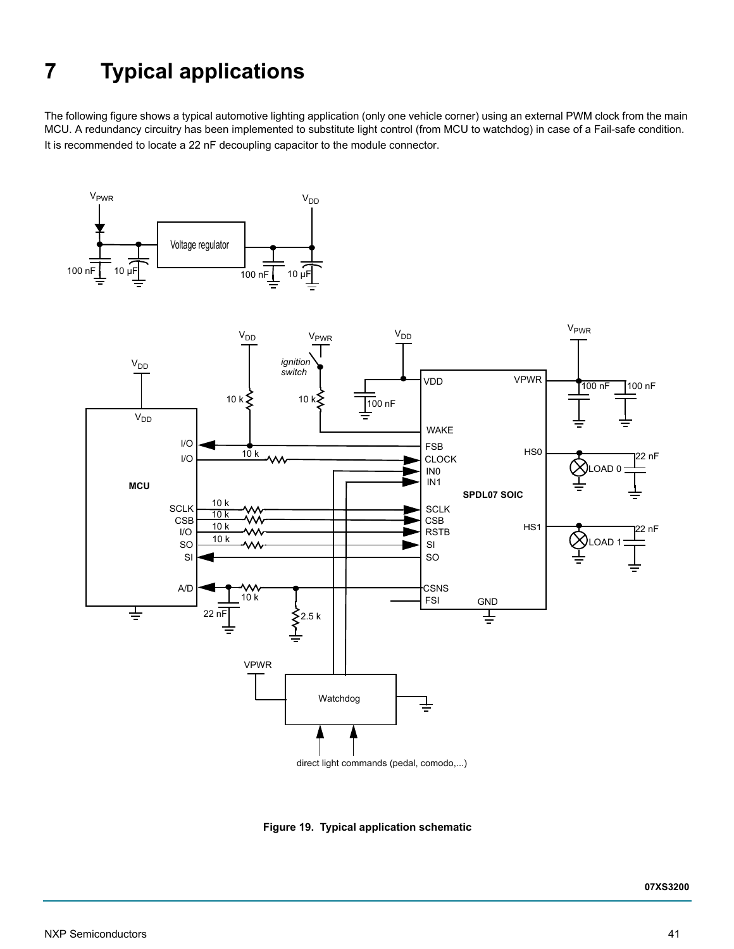# <span id="page-40-0"></span>**7 Typical applications**

The following figure shows a typical automotive lighting application (only one vehicle corner) using an external PWM clock from the main MCU. A redundancy circuitry has been implemented to substitute light control (from MCU to watchdog) in case of a Fail-safe condition. It is recommended to locate a 22 nF decoupling capacitor to the module connector.





direct light commands (pedal, comodo,...)

**Figure 19. Typical application schematic**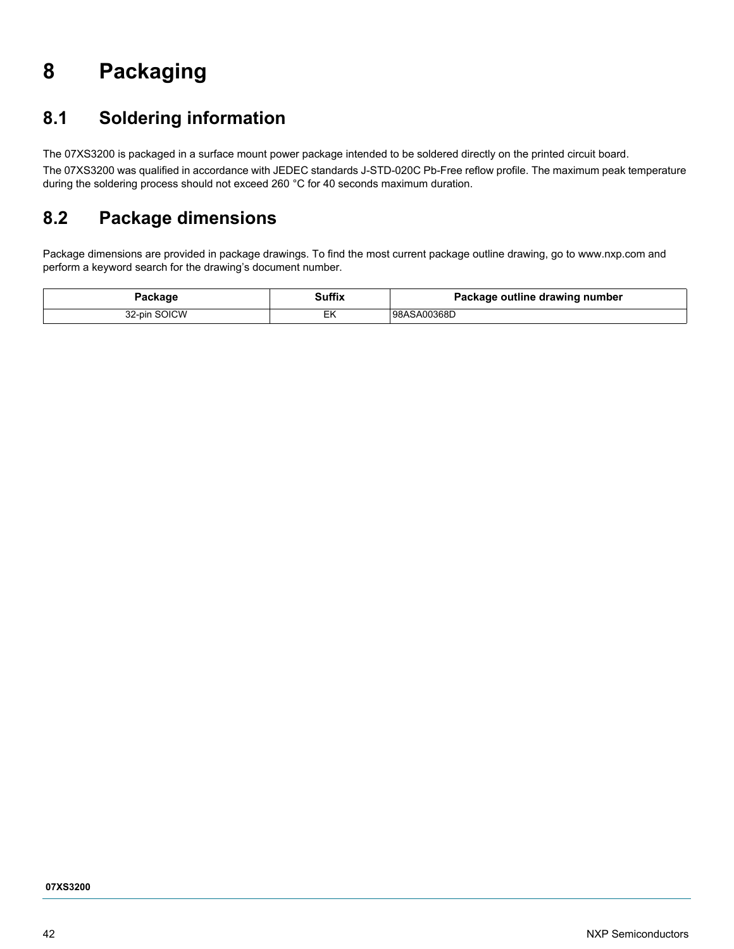# <span id="page-41-0"></span>**8 Packaging**

# <span id="page-41-1"></span>**8.1 Soldering information**

The 07XS3200 is packaged in a surface mount power package intended to be soldered directly on the printed circuit board. The 07XS3200 was qualified in accordance with JEDEC standards J-STD-020C Pb-Free reflow profile. The maximum peak temperature during the soldering process should not exceed 260 °C for 40 seconds maximum duration.

# <span id="page-41-2"></span>**8.2 Package dimensions**

Package dimensions are provided in package drawings. To find the most current package outline drawing, go to www.nxp.com and perform a keyword search for the drawing's document number.

| Package      | Suffix<br>$\sim$ $\sim$ $\sim$ $\sim$ $\sim$ $\sim$ $\sim$ | Package outline drawing number |
|--------------|------------------------------------------------------------|--------------------------------|
| 32-pin SOICW |                                                            | 98ASA00368D                    |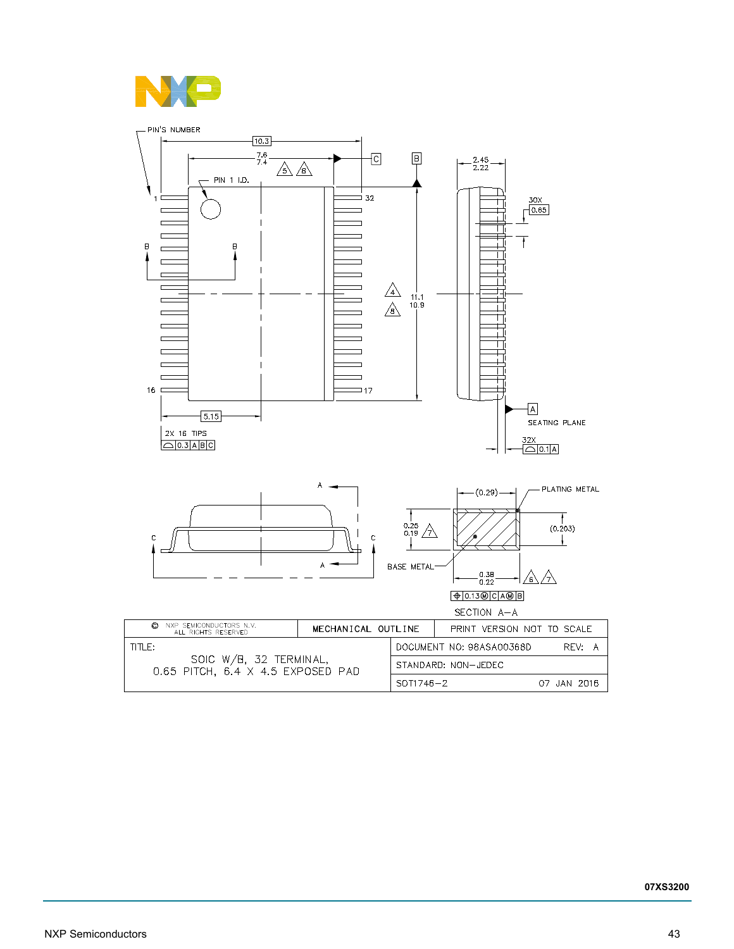

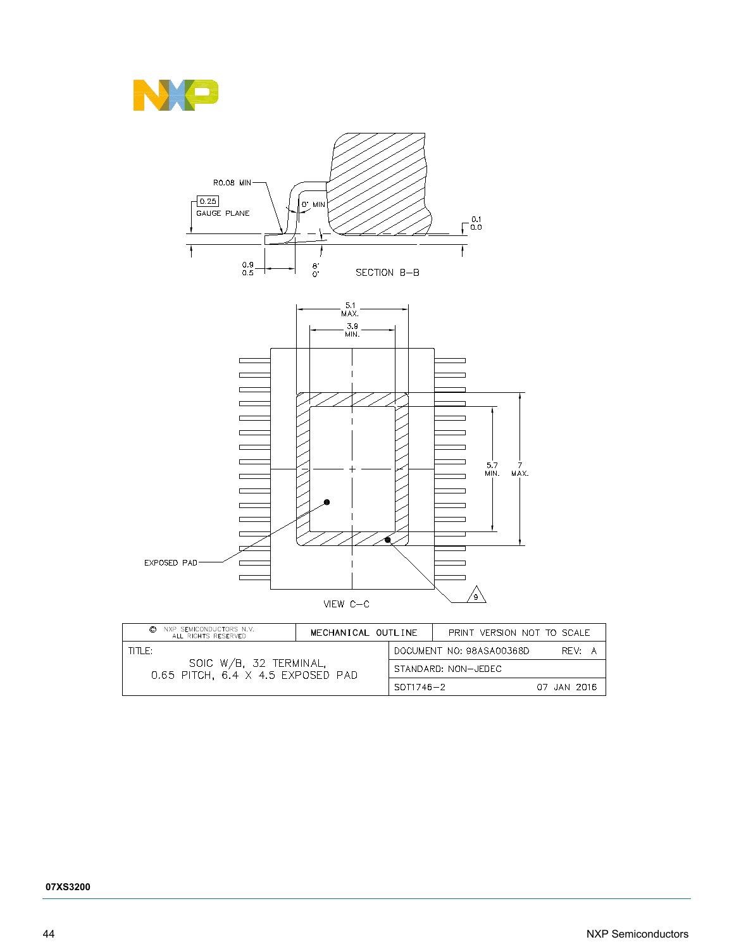



| NXP SEMICONDUCTORS N.V.<br>©<br>ALL RIGHTS RESERVED           | MECHANICAL OUTLINE |           | PRINT VERSION NOT TO SCALE |             |
|---------------------------------------------------------------|--------------------|-----------|----------------------------|-------------|
| TITI F:                                                       |                    |           | DOCUMENT NO: 98ASA00368D   | RFV: A      |
| SOIC W/B, 32 TERMINAL,<br>$0.65$ PITCH, 6.4 X 4.5 EXPOSED PAD |                    |           | STANDARD: NON-JEDEC        |             |
|                                                               |                    | SOT1746-2 |                            | 07 JAN 2016 |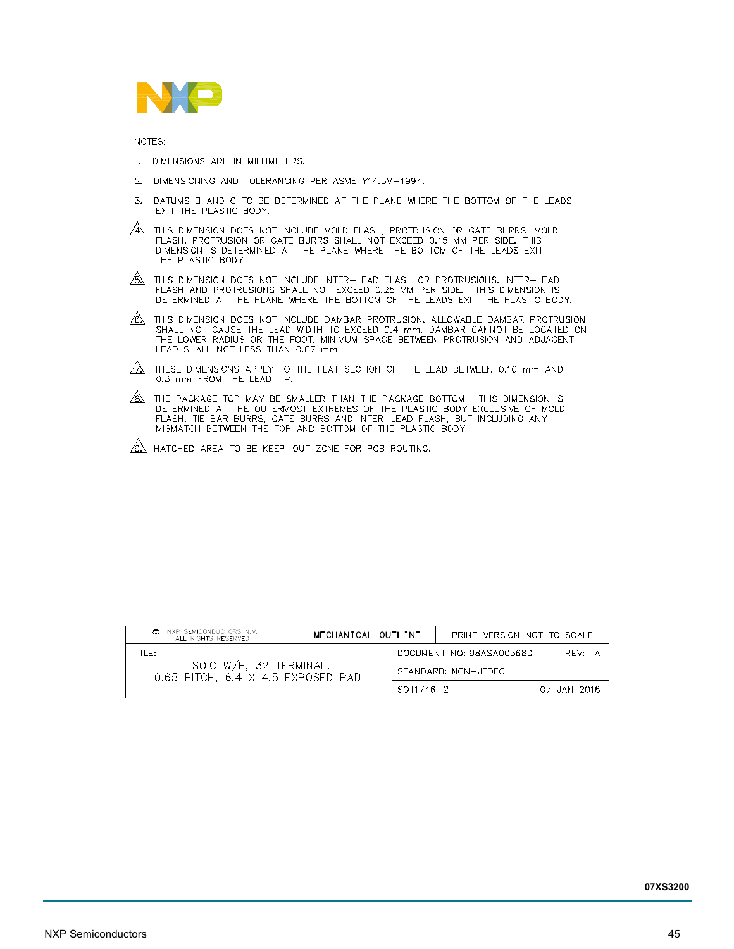

NOTES:

- 1. DIMENSIONS ARE IN MILLIMETERS.
- 2. DIMENSIONING AND TOLERANCING PER ASME Y14.5M-1994.
- 3. DATUMS B AND C TO BE DETERMINED AT THE PLANE WHERE THE BOTTOM OF THE LEADS EXIT THE PLASTIC BODY.
- $\overbrace{A}$  this dimension does not include mold flash, protrusion or gate burrs. Mold flash, protrusion or gate burrs shall not exceed 0.15 mm per side. This dimension is determined at the plane where the bottom of the lead THE PLASTIC BODY.
- $\frac{\sqrt{6}}{2}$  This dimension does not include inter-lead flash or protrusions. Inter-lead flash and protrusions shall not exceed 0.25 mm per side. This dimension is determined at the plane where the bottom of the leads exi
- $\sqrt{6}$  This dimension does not include dambar protrusion. Allowable dambar protrusion shall not cause the LEAD width to exceed 0.4 mm, dambar cannot be located on the lower radius or the foot. Minimum space between protr
- $\sqrt{2}$  these dimensions apply to the flat section of the lead between 0.10 mm and 0.3 mm FROM THE LEAD TIP.
- $\sqrt{8}$ . The package top May Be SMALLER THAN THE PACKAGE BOTTOM. THIS DIMENSION IS DETERMINED AT THE OUTERMOST EXTREMES OF THE PLASTIC BODY EXCLUSIVE OF MOLD FLASH, TIE BAR BURRS, GATE BURRS AND INTER-LEAD FLASH, BUT INCL
- $\sqrt{9}$  hatched area to be keep-out zone for PCB routing.

| NXP SEMICONDUCTORS N.V.<br>O<br>ALL RIGHTS RESERVED         | MECHANICAL OUTLINE |                     |                          | PRINT VERSION NOT TO SCALE |             |  |
|-------------------------------------------------------------|--------------------|---------------------|--------------------------|----------------------------|-------------|--|
| TITI E:                                                     |                    |                     | DOCUMENT NO: 98ASA00368D |                            | RFV: A      |  |
| SOIC W/B, 32 TERMINAL,<br>0.65 PITCH, 6.4 X 4.5 EXPOSED PAD |                    | STANDARD: NON-JEDEC |                          |                            |             |  |
|                                                             |                    | $SOT1746 - 2$       |                          |                            | 07 JAN 2016 |  |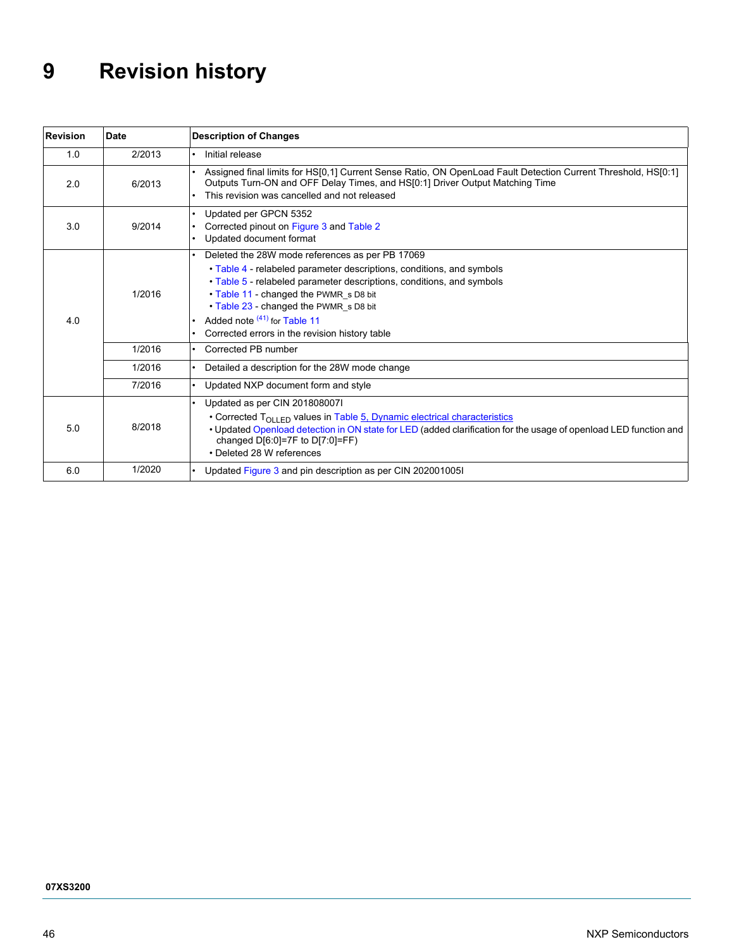# <span id="page-45-0"></span>**9 Revision history**

| <b>Revision</b> | <b>Date</b> | <b>Description of Changes</b>                                                                                                                                                                                                                                                                                                                                             |
|-----------------|-------------|---------------------------------------------------------------------------------------------------------------------------------------------------------------------------------------------------------------------------------------------------------------------------------------------------------------------------------------------------------------------------|
| 1.0             | 2/2013      | Initial release                                                                                                                                                                                                                                                                                                                                                           |
| 2.0             | 6/2013      | Assigned final limits for HS[0,1] Current Sense Ratio, ON OpenLoad Fault Detection Current Threshold, HS[0:1]<br>Outputs Turn-ON and OFF Delay Times, and HS[0:1] Driver Output Matching Time<br>This revision was cancelled and not released                                                                                                                             |
| 3.0             | 9/2014      | Updated per GPCN 5352<br>Corrected pinout on Figure 3 and Table 2<br>Updated document format                                                                                                                                                                                                                                                                              |
| 4.0             | 1/2016      | Deleted the 28W mode references as per PB 17069<br>• Table 4 - relabeled parameter descriptions, conditions, and symbols<br>• Table 5 - relabeled parameter descriptions, conditions, and symbols<br>• Table 11 - changed the PWMR s D8 bit<br>• Table 23 - changed the PWMR_s D8 bit<br>Added note $(41)$ for Table 11<br>Corrected errors in the revision history table |
|                 | 1/2016      | Corrected PB number                                                                                                                                                                                                                                                                                                                                                       |
|                 | 1/2016      | Detailed a description for the 28W mode change                                                                                                                                                                                                                                                                                                                            |
|                 | 7/2016      | Updated NXP document form and style                                                                                                                                                                                                                                                                                                                                       |
| 5.0             | 8/2018      | Updated as per CIN 201808007I<br>• Corrected $T_{\text{OII}+\text{FD}}$ values in Table 5, Dynamic electrical characteristics<br>• Updated Openload detection in ON state for LED (added clarification for the usage of openload LED function and<br>changed $D[6:0]=7F$ to $D[7:0]=FF$ )<br>• Deleted 28 W references                                                    |
| 6.0             | 1/2020      | Updated Figure 3 and pin description as per CIN 2020010051                                                                                                                                                                                                                                                                                                                |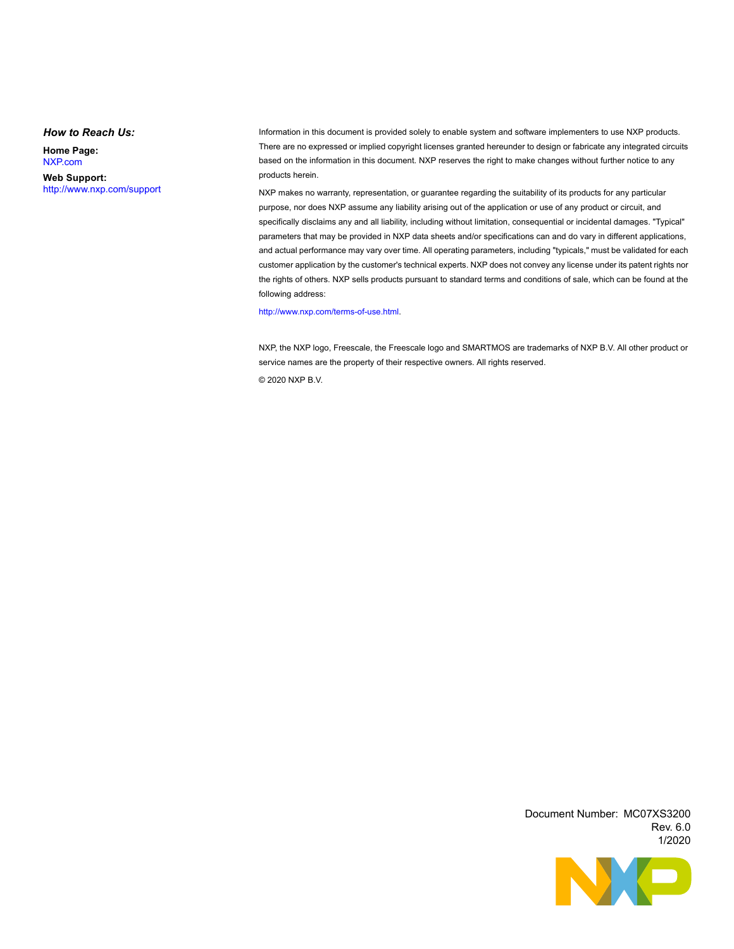#### *How to Reach Us:*

**Home Page:**  [NXP.com](http://www.nxp.com/)

**Web Support:**  <http://www.nxp.com/support> Information in this document is provided solely to enable system and software implementers to use NXP products. There are no expressed or implied copyright licenses granted hereunder to design or fabricate any integrated circuits based on the information in this document. NXP reserves the right to make changes without further notice to any products herein.

NXP makes no warranty, representation, or guarantee regarding the suitability of its products for any particular purpose, nor does NXP assume any liability arising out of the application or use of any product or circuit, and specifically disclaims any and all liability, including without limitation, consequential or incidental damages. "Typical" parameters that may be provided in NXP data sheets and/or specifications can and do vary in different applications, and actual performance may vary over time. All operating parameters, including "typicals," must be validated for each customer application by the customer's technical experts. NXP does not convey any license under its patent rights nor the rights of others. NXP sells products pursuant to standard terms and conditions of sale, which can be found at the following address:

#### [http://www.nxp.com/terms-of-use.html.](http://www.nxp.com/terms-of-use.html)

NXP, the NXP logo, Freescale, the Freescale logo and SMARTMOS are trademarks of NXP B.V. All other product or service names are the property of their respective owners. All rights reserved.

© 2020 NXP B.V.